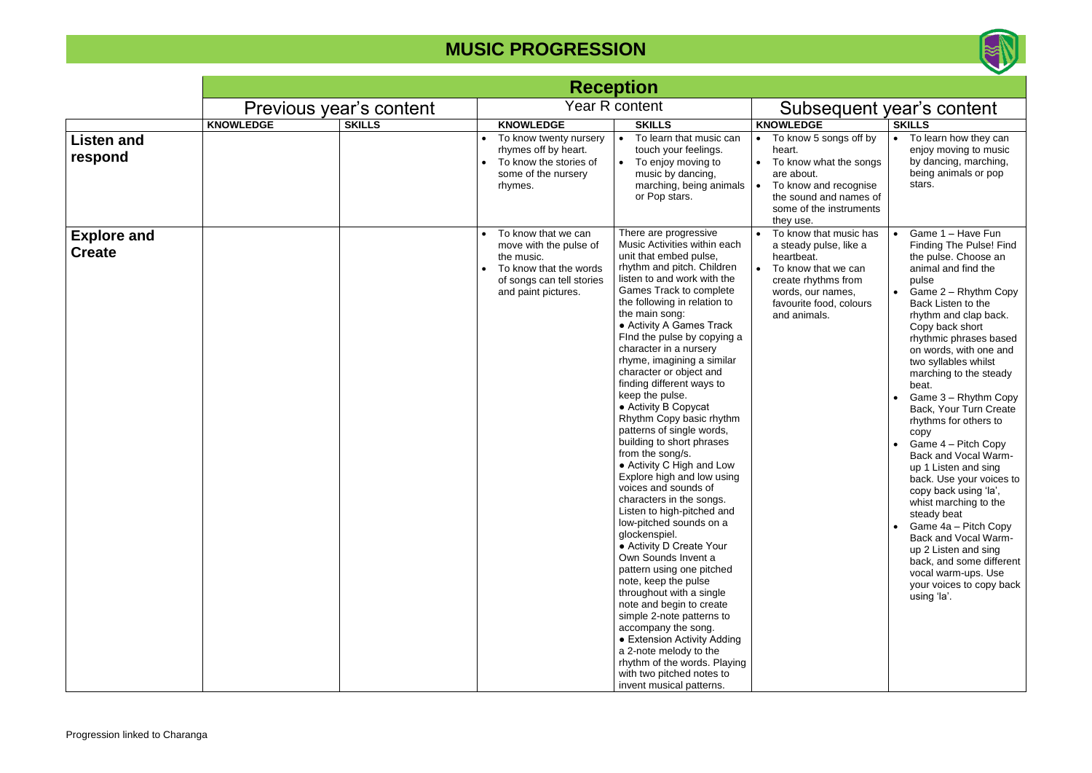

|                                                                              | <b>Reception</b>                                                                                                                                                                                                                                                                                                                                                                                                                                                                                                                                                                                                                                                                                                                                                                                                                                                                                                                                                                                                                                                                                                                                                                                                                                        |                                                                                                                                                                                                                                                                                                                                                                                                                                                                                                                                                                                                                                                                                                                                                                                                                                                                                                                                     |  |  |  |
|------------------------------------------------------------------------------|---------------------------------------------------------------------------------------------------------------------------------------------------------------------------------------------------------------------------------------------------------------------------------------------------------------------------------------------------------------------------------------------------------------------------------------------------------------------------------------------------------------------------------------------------------------------------------------------------------------------------------------------------------------------------------------------------------------------------------------------------------------------------------------------------------------------------------------------------------------------------------------------------------------------------------------------------------------------------------------------------------------------------------------------------------------------------------------------------------------------------------------------------------------------------------------------------------------------------------------------------------|-------------------------------------------------------------------------------------------------------------------------------------------------------------------------------------------------------------------------------------------------------------------------------------------------------------------------------------------------------------------------------------------------------------------------------------------------------------------------------------------------------------------------------------------------------------------------------------------------------------------------------------------------------------------------------------------------------------------------------------------------------------------------------------------------------------------------------------------------------------------------------------------------------------------------------------|--|--|--|
| Previous year's content                                                      | Year R content                                                                                                                                                                                                                                                                                                                                                                                                                                                                                                                                                                                                                                                                                                                                                                                                                                                                                                                                                                                                                                                                                                                                                                                                                                          | Subsequent year's content                                                                                                                                                                                                                                                                                                                                                                                                                                                                                                                                                                                                                                                                                                                                                                                                                                                                                                           |  |  |  |
| <b>KNOWLEDGE</b><br><b>SKILLS</b><br><b>Listen and</b><br>respond<br>rhymes. | <b>KNOWLEDGE</b><br><b>SKILLS</b><br>To learn that music can<br>To know twenty nursery<br>rhymes off by heart.<br>touch your feelings.<br>To know the stories of<br>To enjoy moving to<br>music by dancing,<br>some of the nursery<br>marching, being animals<br>or Pop stars.                                                                                                                                                                                                                                                                                                                                                                                                                                                                                                                                                                                                                                                                                                                                                                                                                                                                                                                                                                          | <b>KNOWLEDGE</b><br><b>SKILLS</b><br>• To know 5 songs off by<br>To learn how they can<br>enjoy moving to music<br>heart.<br>by dancing, marching,<br>• To know what the songs<br>being animals or pop<br>are about.<br>stars.<br>To know and recognise<br>$\bullet$<br>the sound and names of<br>some of the instruments<br>they use.                                                                                                                                                                                                                                                                                                                                                                                                                                                                                                                                                                                              |  |  |  |
| <b>Explore and</b><br><b>Create</b><br>the music.                            | To know that we can<br>There are progressive<br>Music Activities within each<br>move with the pulse of<br>unit that embed pulse,<br>rhythm and pitch. Children<br>To know that the words<br>listen to and work with the<br>of songs can tell stories<br>Games Track to complete<br>and paint pictures.<br>the following in relation to<br>the main song:<br>• Activity A Games Track<br>Find the pulse by copying a<br>character in a nursery<br>rhyme, imagining a similar<br>character or object and<br>finding different ways to<br>keep the pulse.<br>• Activity B Copycat<br>Rhythm Copy basic rhythm<br>patterns of single words,<br>building to short phrases<br>from the song/s.<br>• Activity C High and Low<br>Explore high and low using<br>voices and sounds of<br>characters in the songs.<br>Listen to high-pitched and<br>low-pitched sounds on a<br>glockenspiel.<br>• Activity D Create Your<br>Own Sounds Invent a<br>pattern using one pitched<br>note, keep the pulse<br>throughout with a single<br>note and begin to create<br>simple 2-note patterns to<br>accompany the song.<br>• Extension Activity Adding<br>a 2-note melody to the<br>rhythm of the words. Playing<br>with two pitched notes to<br>invent musical patterns. | • To know that music has<br>Game 1 - Have Fun<br>Finding The Pulse! Find<br>a steady pulse, like a<br>heartbeat.<br>the pulse. Choose an<br>animal and find the<br>To know that we can<br>pulse<br>create rhythms from<br>Game 2 – Rhythm Copy<br>words, our names,<br>favourite food, colours<br>Back Listen to the<br>rhythm and clap back.<br>and animals.<br>Copy back short<br>rhythmic phrases based<br>on words, with one and<br>two syllables whilst<br>marching to the steady<br>beat.<br>Game 3 - Rhythm Copy<br>Back, Your Turn Create<br>rhythms for others to<br>copy<br>Game 4 - Pitch Copy<br><b>Back and Vocal Warm-</b><br>up 1 Listen and sing<br>back. Use your voices to<br>copy back using 'la',<br>whist marching to the<br>steady beat<br>Game 4a - Pitch Copy<br>Back and Vocal Warm-<br>up 2 Listen and sing<br>back, and some different<br>vocal warm-ups. Use<br>your voices to copy back<br>using 'la'. |  |  |  |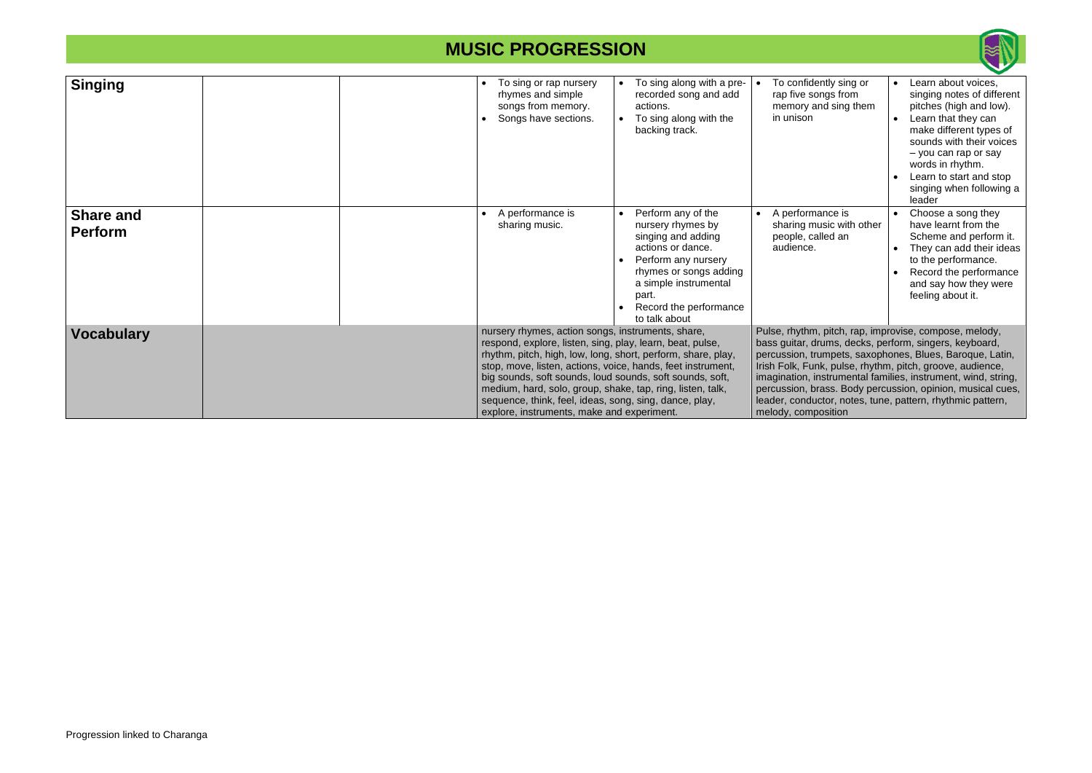| <b>MUSIC PROGRESSION</b>           |                                                                                                                                                                                                                                                                                                                                                                                                                                                                                                                                                                                                                                                                                                                                                                                                                                                                                                                                                  |  |  |  |  |
|------------------------------------|--------------------------------------------------------------------------------------------------------------------------------------------------------------------------------------------------------------------------------------------------------------------------------------------------------------------------------------------------------------------------------------------------------------------------------------------------------------------------------------------------------------------------------------------------------------------------------------------------------------------------------------------------------------------------------------------------------------------------------------------------------------------------------------------------------------------------------------------------------------------------------------------------------------------------------------------------|--|--|--|--|
| <b>Singing</b>                     | To sing along with a pre-<br>To confidently sing or<br>Learn about voices,<br>To sing or rap nursery<br>$\bullet$<br>recorded song and add<br>rap five songs from<br>rhymes and simple<br>singing notes of different<br>songs from memory.<br>actions.<br>memory and sing them<br>pitches (high and low).<br>in unison<br>Learn that they can<br>Songs have sections.<br>To sing along with the<br>make different types of<br>backing track.<br>sounds with their voices<br>- you can rap or say<br>words in rhythm.<br>Learn to start and stop<br>singing when following a<br>leader                                                                                                                                                                                                                                                                                                                                                            |  |  |  |  |
| <b>Share and</b><br><b>Perform</b> | Perform any of the<br>A performance is<br>A performance is<br>Choose a song they<br>$\bullet$<br>sharing music with other<br>have learnt from the<br>sharing music.<br>nursery rhymes by<br>singing and adding<br>people, called an<br>Scheme and perform it.<br>actions or dance.<br>audience.<br>They can add their ideas<br>Perform any nursery<br>to the performance.<br>rhymes or songs adding<br>Record the performance<br>a simple instrumental<br>and say how they were<br>part.<br>feeling about it.<br>Record the performance<br>to talk about                                                                                                                                                                                                                                                                                                                                                                                         |  |  |  |  |
| <b>Vocabulary</b>                  | Pulse, rhythm, pitch, rap, improvise, compose, melody,<br>nursery rhymes, action songs, instruments, share,<br>bass guitar, drums, decks, perform, singers, keyboard,<br>respond, explore, listen, sing, play, learn, beat, pulse,<br>rhythm, pitch, high, low, long, short, perform, share, play,<br>percussion, trumpets, saxophones, Blues, Baroque, Latin,<br>stop, move, listen, actions, voice, hands, feet instrument,<br>Irish Folk, Funk, pulse, rhythm, pitch, groove, audience,<br>imagination, instrumental families, instrument, wind, string,<br>big sounds, soft sounds, loud sounds, soft sounds, soft,<br>percussion, brass. Body percussion, opinion, musical cues,<br>medium, hard, solo, group, shake, tap, ring, listen, talk,<br>sequence, think, feel, ideas, song, sing, dance, play,<br>leader, conductor, notes, tune, pattern, rhythmic pattern,<br>melody, composition<br>explore, instruments, make and experiment. |  |  |  |  |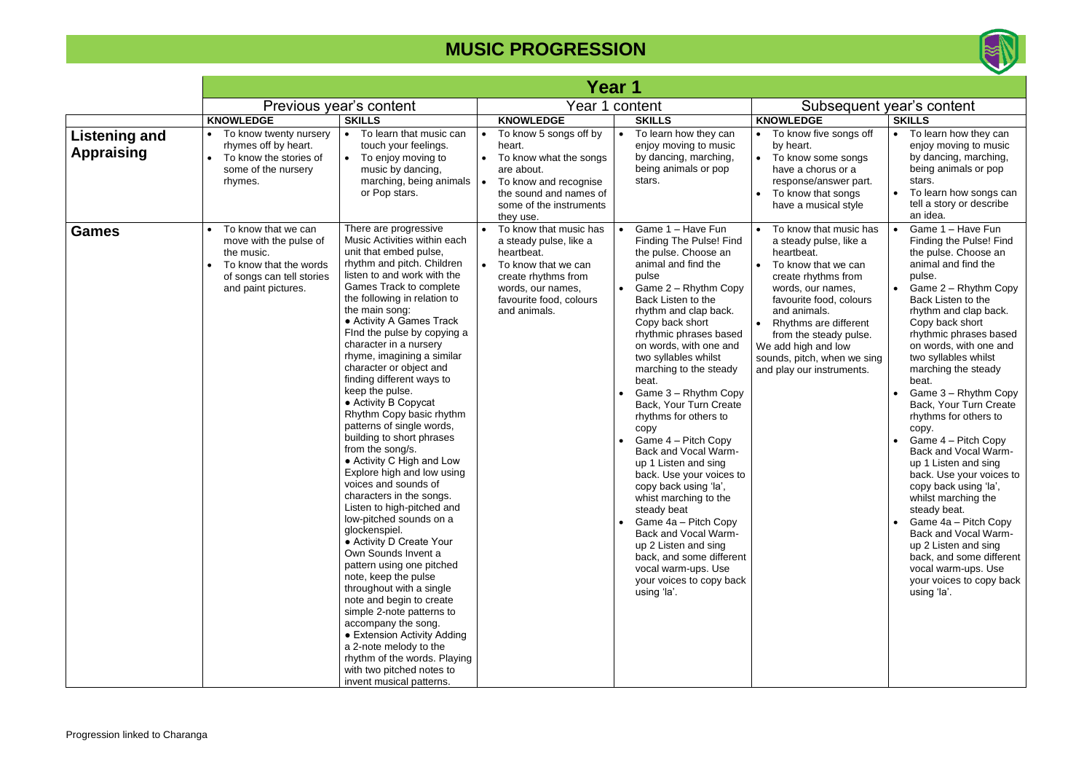

|                                           | Year 1                                                                                                                                    |                                                                                                                                                                                                                                                                                                                                                                                                                                                                                                                                                                                                                                                                                                                                                                                                                                                                                                                                                                                                                                                                                                                          |                                                                                                                                                                              |                                                                                                                                                                                                                                                                                                                                                                                                                                                                                                                                                                                                                                                                                                                                                  |                                                                                                                                                                                                                                                                                                                      |                                                                                                                                                                                                                                                                                                                                                                                                                                                                                                                                                                                                                                                                                                                                         |
|-------------------------------------------|-------------------------------------------------------------------------------------------------------------------------------------------|--------------------------------------------------------------------------------------------------------------------------------------------------------------------------------------------------------------------------------------------------------------------------------------------------------------------------------------------------------------------------------------------------------------------------------------------------------------------------------------------------------------------------------------------------------------------------------------------------------------------------------------------------------------------------------------------------------------------------------------------------------------------------------------------------------------------------------------------------------------------------------------------------------------------------------------------------------------------------------------------------------------------------------------------------------------------------------------------------------------------------|------------------------------------------------------------------------------------------------------------------------------------------------------------------------------|--------------------------------------------------------------------------------------------------------------------------------------------------------------------------------------------------------------------------------------------------------------------------------------------------------------------------------------------------------------------------------------------------------------------------------------------------------------------------------------------------------------------------------------------------------------------------------------------------------------------------------------------------------------------------------------------------------------------------------------------------|----------------------------------------------------------------------------------------------------------------------------------------------------------------------------------------------------------------------------------------------------------------------------------------------------------------------|-----------------------------------------------------------------------------------------------------------------------------------------------------------------------------------------------------------------------------------------------------------------------------------------------------------------------------------------------------------------------------------------------------------------------------------------------------------------------------------------------------------------------------------------------------------------------------------------------------------------------------------------------------------------------------------------------------------------------------------------|
|                                           |                                                                                                                                           | Previous year's content                                                                                                                                                                                                                                                                                                                                                                                                                                                                                                                                                                                                                                                                                                                                                                                                                                                                                                                                                                                                                                                                                                  | Year 1 content                                                                                                                                                               |                                                                                                                                                                                                                                                                                                                                                                                                                                                                                                                                                                                                                                                                                                                                                  |                                                                                                                                                                                                                                                                                                                      | Subsequent year's content                                                                                                                                                                                                                                                                                                                                                                                                                                                                                                                                                                                                                                                                                                               |
|                                           | <b>KNOWLEDGE</b>                                                                                                                          | <b>SKILLS</b>                                                                                                                                                                                                                                                                                                                                                                                                                                                                                                                                                                                                                                                                                                                                                                                                                                                                                                                                                                                                                                                                                                            | <b>KNOWLEDGE</b>                                                                                                                                                             | <b>SKILLS</b>                                                                                                                                                                                                                                                                                                                                                                                                                                                                                                                                                                                                                                                                                                                                    | <b>KNOWLEDGE</b>                                                                                                                                                                                                                                                                                                     | <b>SKILLS</b>                                                                                                                                                                                                                                                                                                                                                                                                                                                                                                                                                                                                                                                                                                                           |
| <b>Listening and</b><br><b>Appraising</b> | To know twenty nursery<br>rhymes off by heart.<br>To know the stories of<br>some of the nursery<br>rhymes.                                | To learn that music can<br>touch your feelings.<br>To enjoy moving to<br>music by dancing,<br>marching, being animals<br>or Pop stars.                                                                                                                                                                                                                                                                                                                                                                                                                                                                                                                                                                                                                                                                                                                                                                                                                                                                                                                                                                                   | To know 5 songs off by<br>heart.<br>To know what the songs<br>are about.<br>To know and recognise<br>the sound and names of<br>some of the instruments<br>they use.          | To learn how they can<br>enjoy moving to music<br>by dancing, marching,<br>being animals or pop<br>stars.                                                                                                                                                                                                                                                                                                                                                                                                                                                                                                                                                                                                                                        | • To know five songs off<br>by heart.<br>• To know some songs<br>have a chorus or a<br>response/answer part.<br>• To know that songs<br>have a musical style                                                                                                                                                         | To learn how they can<br>enjoy moving to music<br>by dancing, marching,<br>being animals or pop<br>stars.<br>To learn how songs can<br>tell a story or describe<br>an idea.                                                                                                                                                                                                                                                                                                                                                                                                                                                                                                                                                             |
| <b>Games</b>                              | To know that we can<br>move with the pulse of<br>the music.<br>To know that the words<br>of songs can tell stories<br>and paint pictures. | There are progressive<br>Music Activities within each<br>unit that embed pulse,<br>rhythm and pitch. Children<br>listen to and work with the<br>Games Track to complete<br>the following in relation to<br>the main song:<br>• Activity A Games Track<br>Find the pulse by copying a<br>character in a nursery<br>rhyme, imagining a similar<br>character or object and<br>finding different ways to<br>keep the pulse.<br>• Activity B Copycat<br>Rhythm Copy basic rhythm<br>patterns of single words,<br>building to short phrases<br>from the song/s.<br>• Activity C High and Low<br>Explore high and low using<br>voices and sounds of<br>characters in the songs.<br>Listen to high-pitched and<br>low-pitched sounds on a<br>glockenspiel.<br>• Activity D Create Your<br>Own Sounds Invent a<br>pattern using one pitched<br>note, keep the pulse<br>throughout with a single<br>note and begin to create<br>simple 2-note patterns to<br>accompany the song.<br>• Extension Activity Adding<br>a 2-note melody to the<br>rhythm of the words. Playing<br>with two pitched notes to<br>invent musical patterns. | To know that music has<br>a steady pulse, like a<br>heartbeat.<br>To know that we can<br>create rhythms from<br>words, our names,<br>favourite food, colours<br>and animals. | Game 1 - Have Fun<br><b>Finding The Pulse! Find</b><br>the pulse. Choose an<br>animal and find the<br>pulse<br>Game 2 - Rhythm Copy<br>Back Listen to the<br>rhythm and clap back.<br>Copy back short<br>rhythmic phrases based<br>on words, with one and<br>two syllables whilst<br>marching to the steady<br>beat.<br>Game 3 - Rhythm Copy<br>Back, Your Turn Create<br>rhythms for others to<br>copy<br>Game 4 - Pitch Copy<br>Back and Vocal Warm-<br>up 1 Listen and sing<br>back. Use your voices to<br>copy back using 'la'<br>whist marching to the<br>steady beat<br>Game 4a - Pitch Copy<br>Back and Vocal Warm-<br>up 2 Listen and sing<br>back, and some different<br>vocal warm-ups. Use<br>your voices to copy back<br>using 'la'. | To know that music has<br>a steady pulse, like a<br>heartbeat.<br>To know that we can<br>create rhythms from<br>words, our names,<br>favourite food, colours<br>and animals.<br>• Rhythms are different<br>from the steady pulse.<br>We add high and low<br>sounds, pitch, when we sing<br>and play our instruments. | Game 1 - Have Fun<br>Finding the Pulse! Find<br>the pulse. Choose an<br>animal and find the<br>pulse.<br>Game 2 - Rhythm Copy<br>Back Listen to the<br>rhythm and clap back.<br>Copy back short<br>rhythmic phrases based<br>on words, with one and<br>two syllables whilst<br>marching the steady<br>beat.<br>Game 3 - Rhythm Copy<br>Back, Your Turn Create<br>rhythms for others to<br>copy.<br>Game 4 - Pitch Copy<br>Back and Vocal Warm-<br>up 1 Listen and sing<br>back. Use your voices to<br>copy back using 'la'<br>whilst marching the<br>steady beat.<br>Game 4a - Pitch Copy<br>Back and Vocal Warm-<br>up 2 Listen and sing<br>back, and some different<br>vocal warm-ups. Use<br>your voices to copy back<br>using 'la'. |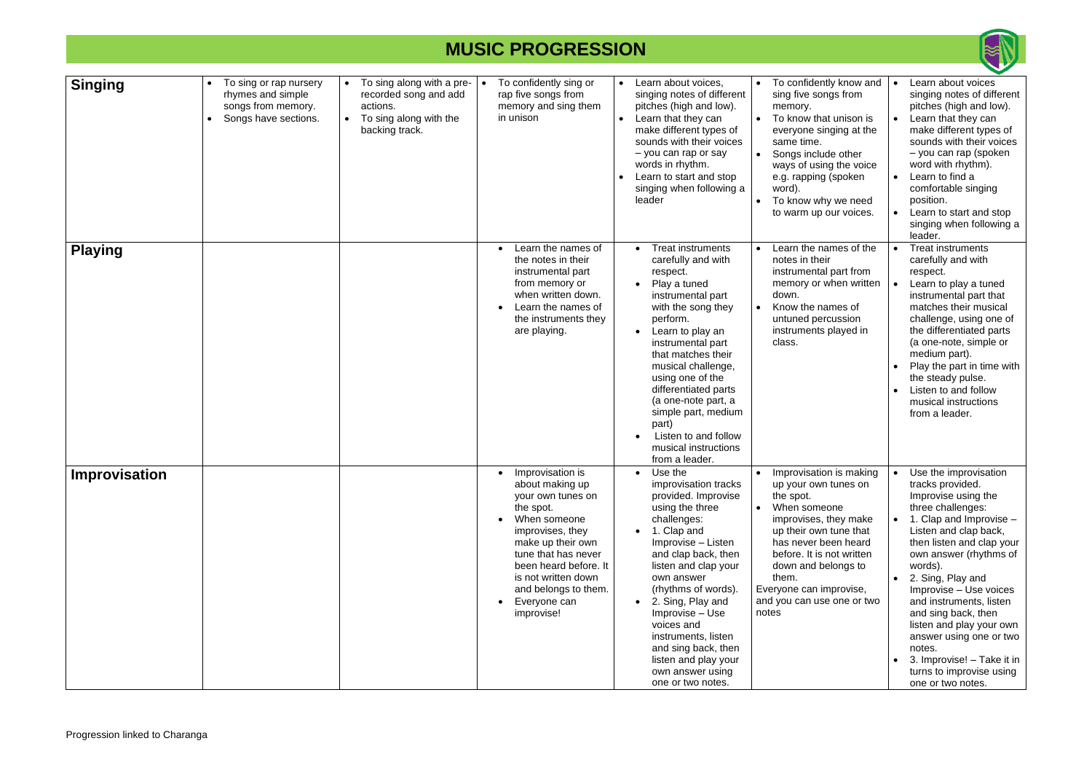

| <b>Singing</b><br>$\bullet$ | To sing or rap nursery<br>rhymes and simple<br>songs from memory.<br>Songs have sections.<br>$\bullet$ | To sing along with a pre-<br>recorded song and add<br>actions.<br>To sing along with the<br>backing track. | To confidently sing or<br>rap five songs from<br>memory and sing them<br>in unison                                                                                                                                                                                       | Learn about voices,<br>$\bullet$<br>singing notes of different<br>pitches (high and low).<br>Learn that they can<br>make different types of<br>sounds with their voices<br>- you can rap or say<br>words in rhythm.<br>Learn to start and stop<br>singing when following a<br>leader                                                                                                                     | • To confidently know and<br>sing five songs from<br>memory.<br>To know that unison is<br>$\bullet$<br>everyone singing at the<br>same time.<br>Songs include other<br>$\bullet$<br>ways of using the voice<br>e.g. rapping (spoken<br>word).<br>To know why we need<br>to warm up our voices.        | Learn about voices<br>singing notes of different<br>pitches (high and low).<br>Learn that they can<br>make different types of<br>sounds with their voices<br>- you can rap (spoken<br>word with rhythm).<br>Learn to find a<br>comfortable singing<br>position.<br>Learn to start and stop<br>singing when following a<br>leader.                                                                                                                              |
|-----------------------------|--------------------------------------------------------------------------------------------------------|------------------------------------------------------------------------------------------------------------|--------------------------------------------------------------------------------------------------------------------------------------------------------------------------------------------------------------------------------------------------------------------------|----------------------------------------------------------------------------------------------------------------------------------------------------------------------------------------------------------------------------------------------------------------------------------------------------------------------------------------------------------------------------------------------------------|-------------------------------------------------------------------------------------------------------------------------------------------------------------------------------------------------------------------------------------------------------------------------------------------------------|----------------------------------------------------------------------------------------------------------------------------------------------------------------------------------------------------------------------------------------------------------------------------------------------------------------------------------------------------------------------------------------------------------------------------------------------------------------|
| <b>Playing</b>              |                                                                                                        |                                                                                                            | Learn the names of<br>the notes in their<br>instrumental part<br>from memory or<br>when written down.<br>Learn the names of<br>the instruments they<br>are playing.                                                                                                      | <b>Treat instruments</b><br>carefully and with<br>respect.<br>Play a tuned<br>instrumental part<br>with the song they<br>perform.<br>Learn to play an<br>$\bullet$<br>instrumental part<br>that matches their<br>musical challenge,<br>using one of the<br>differentiated parts<br>(a one-note part, a<br>simple part, medium<br>part)<br>Listen to and follow<br>musical instructions<br>from a leader. | • Learn the names of the<br>notes in their<br>instrumental part from<br>memory or when written<br>down.<br>• Know the names of<br>untuned percussion<br>instruments played in<br>class.                                                                                                               | <b>Treat instruments</b><br>carefully and with<br>respect.<br>Learn to play a tuned<br>instrumental part that<br>matches their musical<br>challenge, using one of<br>the differentiated parts<br>(a one-note, simple or<br>medium part).<br>Play the part in time with<br>the steady pulse.<br>Listen to and follow<br>musical instructions<br>from a leader.                                                                                                  |
| <b>Improvisation</b>        |                                                                                                        |                                                                                                            | Improvisation is<br>$\bullet$<br>about making up<br>your own tunes on<br>the spot.<br>When someone<br>improvises, they<br>make up their own<br>tune that has never<br>been heard before. It<br>is not written down<br>and belongs to them.<br>Everyone can<br>improvise! | Use the<br>$\bullet$<br>improvisation tracks<br>provided. Improvise<br>using the three<br>challenges:<br>1. Clap and<br>Improvise - Listen<br>and clap back, then<br>listen and clap your<br>own answer<br>(rhythms of words).<br>2. Sing, Play and<br>Improvise - Use<br>voices and<br>instruments, listen<br>and sing back, then<br>listen and play your<br>own answer using<br>one or two notes.      | Improvisation is making<br>$\bullet$<br>up your own tunes on<br>the spot.<br>• When someone<br>improvises, they make<br>up their own tune that<br>has never been heard<br>before. It is not written<br>down and belongs to<br>them.<br>Everyone can improvise,<br>and you can use one or two<br>notes | Use the improvisation<br>tracks provided.<br>Improvise using the<br>three challenges:<br>1. Clap and Improvise $-$<br>Listen and clap back,<br>then listen and clap your<br>own answer (rhythms of<br>words).<br>2. Sing, Play and<br>Improvise - Use voices<br>and instruments, listen<br>and sing back, then<br>listen and play your own<br>answer using one or two<br>notes.<br>3. Improvise! - Take it in<br>turns to improvise using<br>one or two notes. |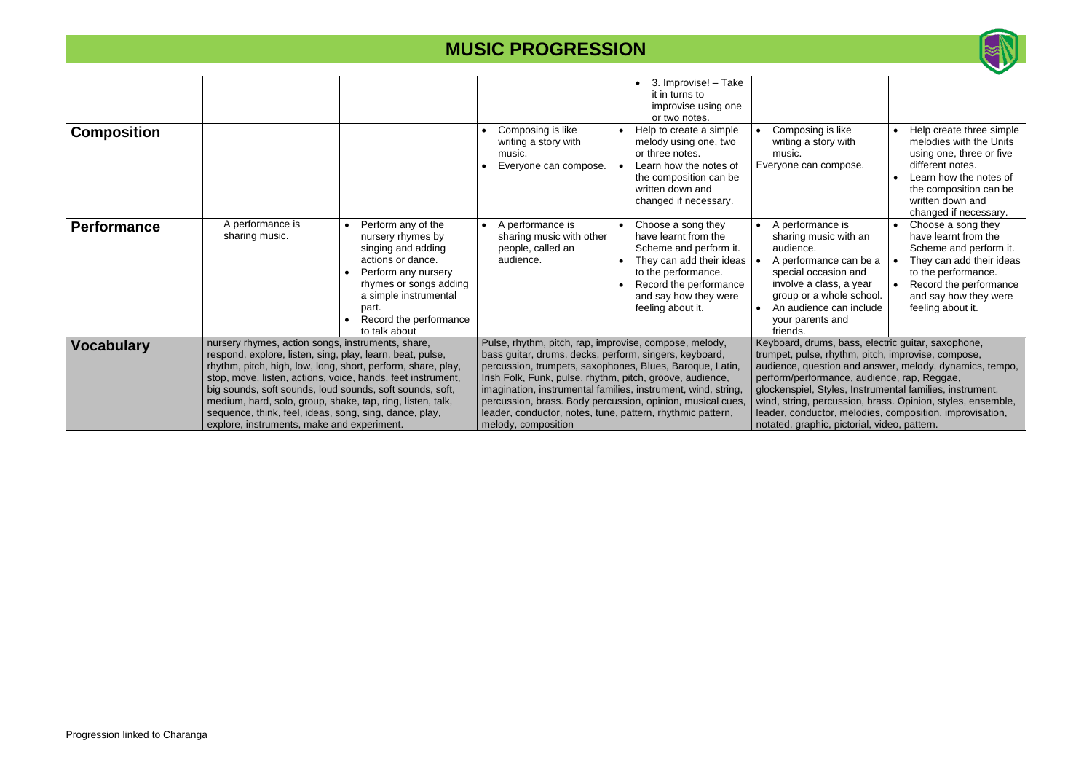

| <b>Composition</b> |                                                                                                                                                                                                                                                                                                                                                                                                                                                                                 |                                                                                                                                                                                        | Composing is like<br>writing a story with<br>music.<br>Everyone can compose.                                                                                                                                                                                                                                                                                                                                                                                  | 3. Improvise! - Take<br>it in turns to<br>improvise using one<br>or two notes.<br>Help to create a simple<br>melody using one, two<br>or three notes.<br>Learn how the notes of<br>the composition can be<br>written down and<br>changed if necessary. | Composing is like<br>writing a story with<br>music.<br>Everyone can compose.                                                                                                                                                                                                                                                                                                                                                                              | Help create three simple<br>melodies with the Units<br>using one, three or five<br>different notes.<br>Learn how the notes of<br>the composition can be<br>written down and<br>changed if necessary. |
|--------------------|---------------------------------------------------------------------------------------------------------------------------------------------------------------------------------------------------------------------------------------------------------------------------------------------------------------------------------------------------------------------------------------------------------------------------------------------------------------------------------|----------------------------------------------------------------------------------------------------------------------------------------------------------------------------------------|---------------------------------------------------------------------------------------------------------------------------------------------------------------------------------------------------------------------------------------------------------------------------------------------------------------------------------------------------------------------------------------------------------------------------------------------------------------|--------------------------------------------------------------------------------------------------------------------------------------------------------------------------------------------------------------------------------------------------------|-----------------------------------------------------------------------------------------------------------------------------------------------------------------------------------------------------------------------------------------------------------------------------------------------------------------------------------------------------------------------------------------------------------------------------------------------------------|------------------------------------------------------------------------------------------------------------------------------------------------------------------------------------------------------|
| <b>Performance</b> | A performance is<br>sharing music.<br>part.<br>to talk about                                                                                                                                                                                                                                                                                                                                                                                                                    | Perform any of the<br>nursery rhymes by<br>singing and adding<br>actions or dance.<br>Perform any nursery<br>rhymes or songs adding<br>a simple instrumental<br>Record the performance | A performance is<br>sharing music with other<br>people, called an<br>audience.                                                                                                                                                                                                                                                                                                                                                                                | Choose a song they<br>have learnt from the<br>Scheme and perform it.<br>They can add their ideas<br>to the performance.<br>Record the performance<br>and say how they were<br>feeling about it.                                                        | A performance is<br>sharing music with an<br>audience.<br>A performance can be a<br>special occasion and<br>involve a class, a year<br>group or a whole school.<br>An audience can include<br>your parents and<br>friends.                                                                                                                                                                                                                                | Choose a song they<br>have learnt from the<br>Scheme and perform it.<br>They can add their ideas<br>to the performance.<br>Record the performance<br>and say how they were<br>feeling about it.      |
| <b>Vocabulary</b>  | nursery rhymes, action songs, instruments, share,<br>respond, explore, listen, sing, play, learn, beat, pulse,<br>rhythm, pitch, high, low, long, short, perform, share, play,<br>stop, move, listen, actions, voice, hands, feet instrument,<br>big sounds, soft sounds, loud sounds, soft sounds, soft,<br>medium, hard, solo, group, shake, tap, ring, listen, talk,<br>sequence, think, feel, ideas, song, sing, dance, play,<br>explore, instruments, make and experiment. |                                                                                                                                                                                        | Pulse, rhythm, pitch, rap, improvise, compose, melody,<br>bass guitar, drums, decks, perform, singers, keyboard,<br>percussion, trumpets, saxophones, Blues, Baroque, Latin,<br>Irish Folk, Funk, pulse, rhythm, pitch, groove, audience,<br>imagination, instrumental families, instrument, wind, string,<br>percussion, brass. Body percussion, opinion, musical cues,<br>leader, conductor, notes, tune, pattern, rhythmic pattern,<br>melody, composition |                                                                                                                                                                                                                                                        | Keyboard, drums, bass, electric guitar, saxophone,<br>trumpet, pulse, rhythm, pitch, improvise, compose,<br>audience, question and answer, melody, dynamics, tempo,<br>perform/performance, audience, rap, Reggae,<br>glockenspiel, Styles, Instrumental families, instrument,<br>wind, string, percussion, brass. Opinion, styles, ensemble,<br>leader, conductor, melodies, composition, improvisation,<br>notated, graphic, pictorial, video, pattern. |                                                                                                                                                                                                      |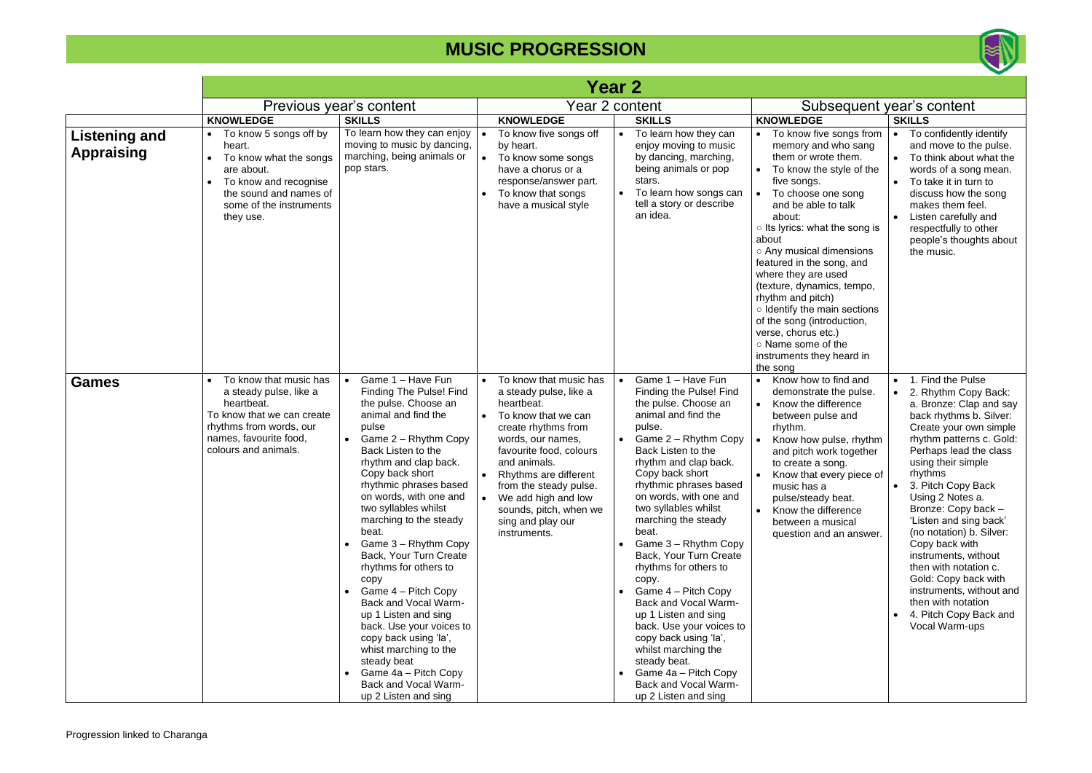

|                                           | <b>Year 2</b>                                                                                                                                                             |                                                                                                                                                                                                                                                                                                                                                                                                                                                                                                                                                                                                                                                          |                                                                                                                                                                                                                                                                                                                                    |                                                                                                                                                                                                                                                                                                                                                                                                                                                                                                                                                                                                                                            |                                                                                                                                                                                                                                                                                                                                                                                                                                                                                                                                |                                                                                                                                                                                                                                                                                                                                                                                                                                                                                                                                               |
|-------------------------------------------|---------------------------------------------------------------------------------------------------------------------------------------------------------------------------|----------------------------------------------------------------------------------------------------------------------------------------------------------------------------------------------------------------------------------------------------------------------------------------------------------------------------------------------------------------------------------------------------------------------------------------------------------------------------------------------------------------------------------------------------------------------------------------------------------------------------------------------------------|------------------------------------------------------------------------------------------------------------------------------------------------------------------------------------------------------------------------------------------------------------------------------------------------------------------------------------|--------------------------------------------------------------------------------------------------------------------------------------------------------------------------------------------------------------------------------------------------------------------------------------------------------------------------------------------------------------------------------------------------------------------------------------------------------------------------------------------------------------------------------------------------------------------------------------------------------------------------------------------|--------------------------------------------------------------------------------------------------------------------------------------------------------------------------------------------------------------------------------------------------------------------------------------------------------------------------------------------------------------------------------------------------------------------------------------------------------------------------------------------------------------------------------|-----------------------------------------------------------------------------------------------------------------------------------------------------------------------------------------------------------------------------------------------------------------------------------------------------------------------------------------------------------------------------------------------------------------------------------------------------------------------------------------------------------------------------------------------|
|                                           |                                                                                                                                                                           | Previous year's content                                                                                                                                                                                                                                                                                                                                                                                                                                                                                                                                                                                                                                  |                                                                                                                                                                                                                                                                                                                                    | Year 2 content                                                                                                                                                                                                                                                                                                                                                                                                                                                                                                                                                                                                                             |                                                                                                                                                                                                                                                                                                                                                                                                                                                                                                                                | Subsequent year's content                                                                                                                                                                                                                                                                                                                                                                                                                                                                                                                     |
|                                           | <b>KNOWLEDGE</b>                                                                                                                                                          | <b>SKILLS</b>                                                                                                                                                                                                                                                                                                                                                                                                                                                                                                                                                                                                                                            | <b>KNOWLEDGE</b>                                                                                                                                                                                                                                                                                                                   | <b>SKILLS</b>                                                                                                                                                                                                                                                                                                                                                                                                                                                                                                                                                                                                                              | <b>KNOWLEDGE</b>                                                                                                                                                                                                                                                                                                                                                                                                                                                                                                               | <b>SKILLS</b>                                                                                                                                                                                                                                                                                                                                                                                                                                                                                                                                 |
| <b>Listening and</b><br><b>Appraising</b> | To know 5 songs off by<br>heart.<br>To know what the songs<br>are about.<br>To know and recognise<br>the sound and names of<br>some of the instruments<br>they use.       | To learn how they can enjoy<br>moving to music by dancing,<br>marching, being animals or<br>pop stars.                                                                                                                                                                                                                                                                                                                                                                                                                                                                                                                                                   | To know five songs off<br>by heart.<br>To know some songs<br>have a chorus or a<br>response/answer part.<br>To know that songs<br>have a musical style                                                                                                                                                                             | To learn how they can<br>enjoy moving to music<br>by dancing, marching,<br>being animals or pop<br>stars.<br>To learn how songs can<br>tell a story or describe<br>an idea.                                                                                                                                                                                                                                                                                                                                                                                                                                                                | • To know five songs from<br>memory and who sang<br>them or wrote them.<br>To know the style of the<br>five songs.<br>To choose one song<br>$\bullet$<br>and be able to talk<br>about:<br>$\circ$ Its lyrics: what the song is<br>about<br>○ Any musical dimensions<br>featured in the song, and<br>where they are used<br>(texture, dynamics, tempo,<br>rhythm and pitch)<br>○ Identify the main sections<br>of the song (introduction,<br>verse, chorus etc.)<br>○ Name some of the<br>instruments they heard in<br>the song | To confidently identify<br>and move to the pulse.<br>• To think about what the<br>words of a song mean.<br>To take it in turn to<br>$\bullet$<br>discuss how the song<br>makes them feel.<br>Listen carefully and<br>respectfully to other<br>people's thoughts about<br>the music.                                                                                                                                                                                                                                                           |
| <b>Games</b>                              | To know that music has<br>a steady pulse, like a<br>heartbeat.<br>To know that we can create<br>rhythms from words, our<br>names, favourite food,<br>colours and animals. | Game 1 - Have Fun<br>Finding The Pulse! Find<br>the pulse. Choose an<br>animal and find the<br>pulse<br>• Game $2 - R$ hythm Copy<br>Back Listen to the<br>rhythm and clap back.<br>Copy back short<br>rhythmic phrases based<br>on words, with one and<br>two syllables whilst<br>marching to the steady<br>beat.<br>Game 3 - Rhythm Copy<br>Back, Your Turn Create<br>rhythms for others to<br>copy<br>Game 4 – Pitch Copy<br><b>Back and Vocal Warm-</b><br>up 1 Listen and sing<br>back. Use your voices to<br>copy back using 'la',<br>whist marching to the<br>steady beat<br>Game 4a – Pitch Copy<br>Back and Vocal Warm-<br>up 2 Listen and sing | To know that music has<br>$\bullet$<br>a steady pulse, like a<br>heartbeat.<br>To know that we can<br>create rhythms from<br>words, our names,<br>favourite food, colours<br>and animals.<br>Rhythms are different<br>from the steady pulse.<br>We add high and low<br>sounds, pitch, when we<br>sing and play our<br>instruments. | Game 1 - Have Fun<br>Finding the Pulse! Find<br>the pulse. Choose an<br>animal and find the<br>pulse.<br>Game 2 - Rhythm Copy<br>Back Listen to the<br>rhythm and clap back.<br>Copy back short<br>rhythmic phrases based<br>on words, with one and<br>two syllables whilst<br>marching the steady<br>beat.<br>Game 3 - Rhythm Copy<br>Back, Your Turn Create<br>rhythms for others to<br>copy.<br>Game 4 - Pitch Copy<br>Back and Vocal Warm-<br>up 1 Listen and sing<br>back. Use your voices to<br>copy back using 'la',<br>whilst marching the<br>steady beat.<br>Game 4a - Pitch Copy<br>Back and Vocal Warm-<br>up 2 Listen and sing | • Know how to find and<br>demonstrate the pulse.<br>• Know the difference<br>between pulse and<br>rhythm.<br>Know how pulse, rhythm<br>and pitch work together<br>to create a song.<br>• Know that every piece of<br>music has a<br>pulse/steady beat.<br>• Know the difference<br>between a musical<br>question and an answer.                                                                                                                                                                                                | 1. Find the Pulse<br>2. Rhythm Copy Back:<br>a. Bronze: Clap and say<br>back rhythms b. Silver:<br>Create your own simple<br>rhythm patterns c. Gold:<br>Perhaps lead the class<br>using their simple<br>rhythms<br>3. Pitch Copy Back<br>$\bullet$<br>Using 2 Notes a.<br>Bronze: Copy back -<br>'Listen and sing back'<br>(no notation) b. Silver:<br>Copy back with<br>instruments, without<br>then with notation c.<br>Gold: Copy back with<br>instruments, without and<br>then with notation<br>4. Pitch Copy Back and<br>Vocal Warm-ups |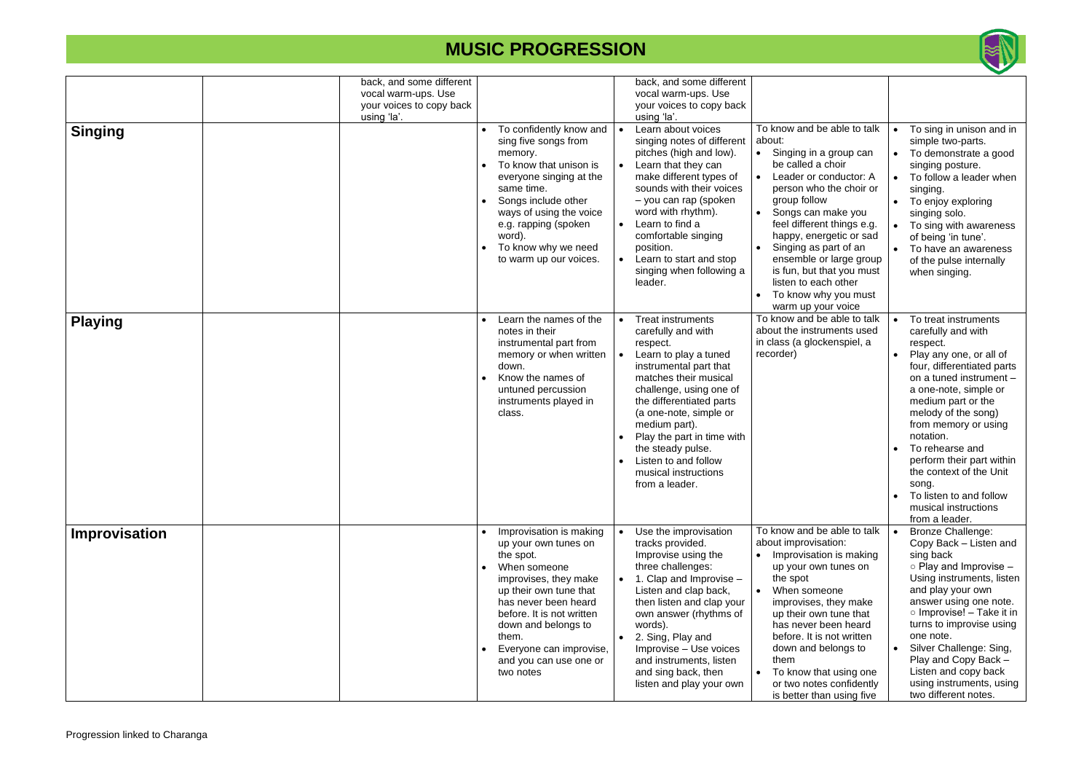

| <b>Singing</b>       | back, and some different<br>vocal warm-ups. Use<br>your voices to copy back<br>using 'la'. | To confidently know and<br>sing five songs from<br>memory.<br>To know that unison is<br>everyone singing at the<br>same time.<br>Songs include other<br>ways of using the voice<br>e.g. rapping (spoken<br>$\bullet$<br>word).<br>To know why we need<br>to warm up our voices.        | back, and some different<br>vocal warm-ups. Use<br>your voices to copy back<br>using 'la'.<br>To know and be able to talk<br>Learn about voices<br>about:<br>singing notes of different<br>• Singing in a group can<br>pitches (high and low).<br>Learn that they can<br>be called a choir<br>make different types of<br>Leader or conductor: A<br>$\bullet$<br>sounds with their voices<br>person who the choir or<br>group follow<br>- you can rap (spoken<br>word with rhythm).<br>Songs can make you<br>$\bullet$<br>Learn to find a<br>feel different things e.g.<br>comfortable singing<br>happy, energetic or sad<br>Singing as part of an<br>position.<br>$\bullet$<br>Learn to start and stop<br>ensemble or large group<br>is fun, but that you must<br>singing when following a<br>listen to each other<br>leader.<br>To know why you must<br>warm up your voice | To sing in unison and in<br>simple two-parts.<br>• To demonstrate a good<br>singing posture.<br>• To follow a leader when<br>singing.<br>• To enjoy exploring<br>singing solo.<br>• To sing with awareness<br>of being 'in tune'.<br>• To have an awareness<br>of the pulse internally<br>when singing.                                                                                                        |
|----------------------|--------------------------------------------------------------------------------------------|----------------------------------------------------------------------------------------------------------------------------------------------------------------------------------------------------------------------------------------------------------------------------------------|-----------------------------------------------------------------------------------------------------------------------------------------------------------------------------------------------------------------------------------------------------------------------------------------------------------------------------------------------------------------------------------------------------------------------------------------------------------------------------------------------------------------------------------------------------------------------------------------------------------------------------------------------------------------------------------------------------------------------------------------------------------------------------------------------------------------------------------------------------------------------------|----------------------------------------------------------------------------------------------------------------------------------------------------------------------------------------------------------------------------------------------------------------------------------------------------------------------------------------------------------------------------------------------------------------|
| <b>Playing</b>       |                                                                                            | Learn the names of the<br>notes in their<br>instrumental part from<br>memory or when written<br>down.<br>Know the names of<br>untuned percussion<br>instruments played in<br>class.                                                                                                    | To know and be able to talk<br><b>Treat instruments</b><br>about the instruments used<br>carefully and with<br>in class (a glockenspiel, a<br>respect.<br>recorder)<br>Learn to play a tuned<br>instrumental part that<br>matches their musical<br>challenge, using one of<br>the differentiated parts<br>(a one-note, simple or<br>medium part).<br>Play the part in time with<br>the steady pulse.<br>Listen to and follow<br>musical instructions<br>from a leader.                                                                                                                                                                                                                                                                                                                                                                                                      | To treat instruments<br>carefully and with<br>respect.<br>Play any one, or all of<br>four, differentiated parts<br>on a tuned instrument -<br>a one-note, simple or<br>medium part or the<br>melody of the song)<br>from memory or using<br>notation.<br>To rehearse and<br>perform their part within<br>the context of the Unit<br>song.<br>To listen to and follow<br>musical instructions<br>from a leader. |
| <b>Improvisation</b> |                                                                                            | Improvisation is making<br>up your own tunes on<br>the spot.<br>When someone<br>improvises, they make<br>up their own tune that<br>has never been heard<br>before. It is not written<br>down and belongs to<br>them.<br>Everyone can improvise,<br>and you can use one or<br>two notes | To know and be able to talk<br>Use the improvisation<br>about improvisation:<br>tracks provided.<br>Improvise using the<br>Improvisation is making<br>three challenges:<br>up your own tunes on<br>the spot<br>1. Clap and Improvise -<br>Listen and clap back,<br>When someone<br>then listen and clap your<br>improvises, they make<br>own answer (rhythms of<br>up their own tune that<br>has never been heard<br>words).<br>before. It is not written<br>2. Sing, Play and<br>down and belongs to<br>Improvise - Use voices<br>and instruments, listen<br>them<br>To know that using one<br>and sing back, then<br>$\bullet$<br>listen and play your own<br>or two notes confidently<br>is better than using five                                                                                                                                                       | <b>Bronze Challenge:</b><br>Copy Back - Listen and<br>sing back<br>$\circ$ Play and Improvise $-$<br>Using instruments, listen<br>and play your own<br>answer using one note.<br>$\circ$ Improvise! – Take it in<br>turns to improvise using<br>one note.<br>Silver Challenge: Sing,<br>Play and Copy Back -<br>Listen and copy back<br>using instruments, using<br>two different notes.                       |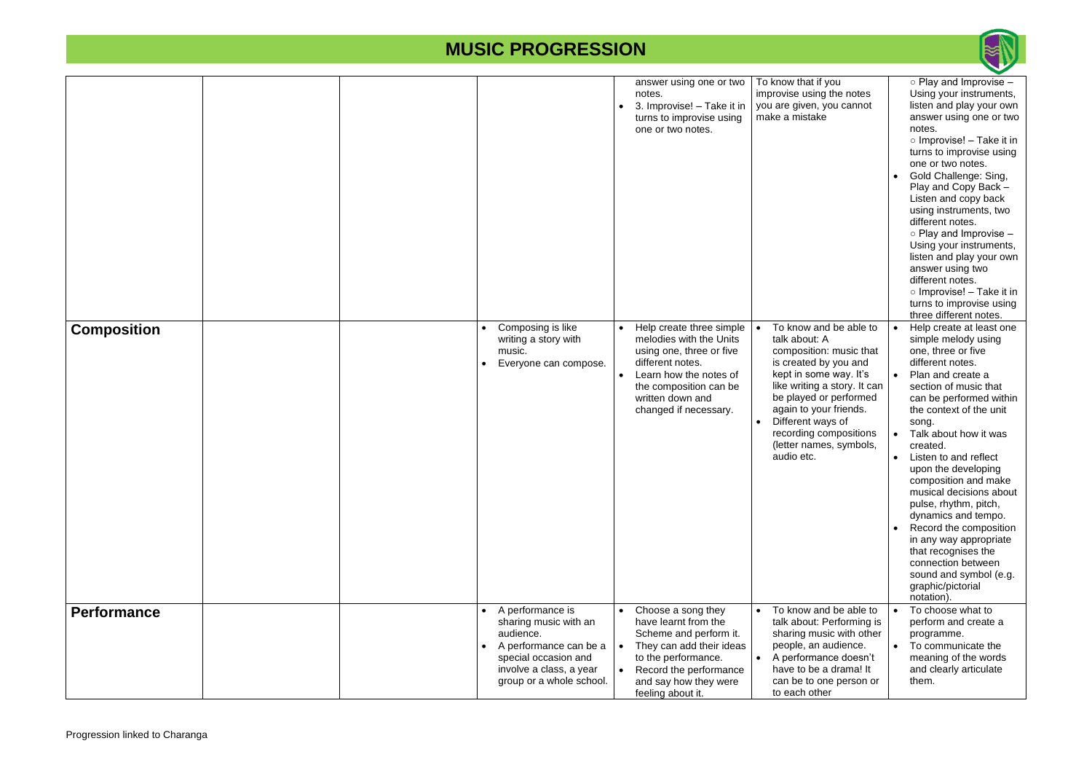N

|                    | <b>MUULL INUUNLUUIUN</b>                                                                                                                                                                                                                                                                                                                                                                                                                                                                                                                                                                               | MV                                                                                                                                                                                                                                                                                                                                                                                                                                                                                                                                                              |
|--------------------|--------------------------------------------------------------------------------------------------------------------------------------------------------------------------------------------------------------------------------------------------------------------------------------------------------------------------------------------------------------------------------------------------------------------------------------------------------------------------------------------------------------------------------------------------------------------------------------------------------|-----------------------------------------------------------------------------------------------------------------------------------------------------------------------------------------------------------------------------------------------------------------------------------------------------------------------------------------------------------------------------------------------------------------------------------------------------------------------------------------------------------------------------------------------------------------|
|                    | To know that if you<br>answer using one or two<br>improvise using the notes<br>notes.<br>you are given, you cannot<br>3. Improvise! - Take it in<br>make a mistake<br>turns to improvise using<br>one or two notes.                                                                                                                                                                                                                                                                                                                                                                                    | $\circ$ Play and Improvise $-$<br>Using your instruments,<br>listen and play your own<br>answer using one or two<br>notes.<br>$\circ$ Improvise! - Take it in<br>turns to improvise using<br>one or two notes.<br>Gold Challenge: Sing,<br>Play and Copy Back -<br>Listen and copy back<br>using instruments, two<br>different notes.<br>$\circ$ Play and Improvise $-$<br>Using your instruments,<br>listen and play your own<br>answer using two<br>different notes.<br>$\circ$ Improvise! – Take it in<br>turns to improvise using<br>three different notes. |
| <b>Composition</b> | Composing is like<br>To know and be able to<br>Help create three simple<br>$\bullet$<br>melodies with the Units<br>talk about: A<br>writing a story with<br>using one, three or five<br>composition: music that<br>music.<br>different notes.<br>is created by you and<br>Everyone can compose.<br>kept in some way. It's<br>Learn how the notes of<br>like writing a story. It can<br>the composition can be<br>be played or performed<br>written down and<br>again to your friends.<br>changed if necessary.<br>Different ways of<br>recording compositions<br>(letter names, symbols,<br>audio etc. | Help create at least one<br>simple melody using<br>one, three or five<br>different notes.<br>Plan and create a<br>section of music that<br>can be performed within<br>the context of the unit<br>song.<br>Talk about how it was<br>created.<br>Listen to and reflect<br>upon the developing<br>composition and make<br>musical decisions about<br>pulse, rhythm, pitch,<br>dynamics and tempo.<br>Record the composition<br>in any way appropriate<br>that recognises the<br>connection between<br>sound and symbol (e.g.<br>graphic/pictorial<br>notation).    |
| <b>Performance</b> | To know and be able to<br>A performance is<br>Choose a song they<br>$\bullet$<br>sharing music with an<br>have learnt from the<br>talk about: Performing is<br>audience.<br>Scheme and perform it.<br>sharing music with other<br>A performance can be a<br>They can add their ideas<br>people, an audience.<br>to the performance.<br>• A performance doesn't<br>special occasion and<br>involve a class, a year<br>have to be a drama! It<br>Record the performance<br>group or a whole school.<br>can be to one person or<br>and say how they were<br>to each other<br>feeling about it.            | To choose what to<br>perform and create a<br>programme.<br>To communicate the<br>meaning of the words<br>and clearly articulate<br>them.                                                                                                                                                                                                                                                                                                                                                                                                                        |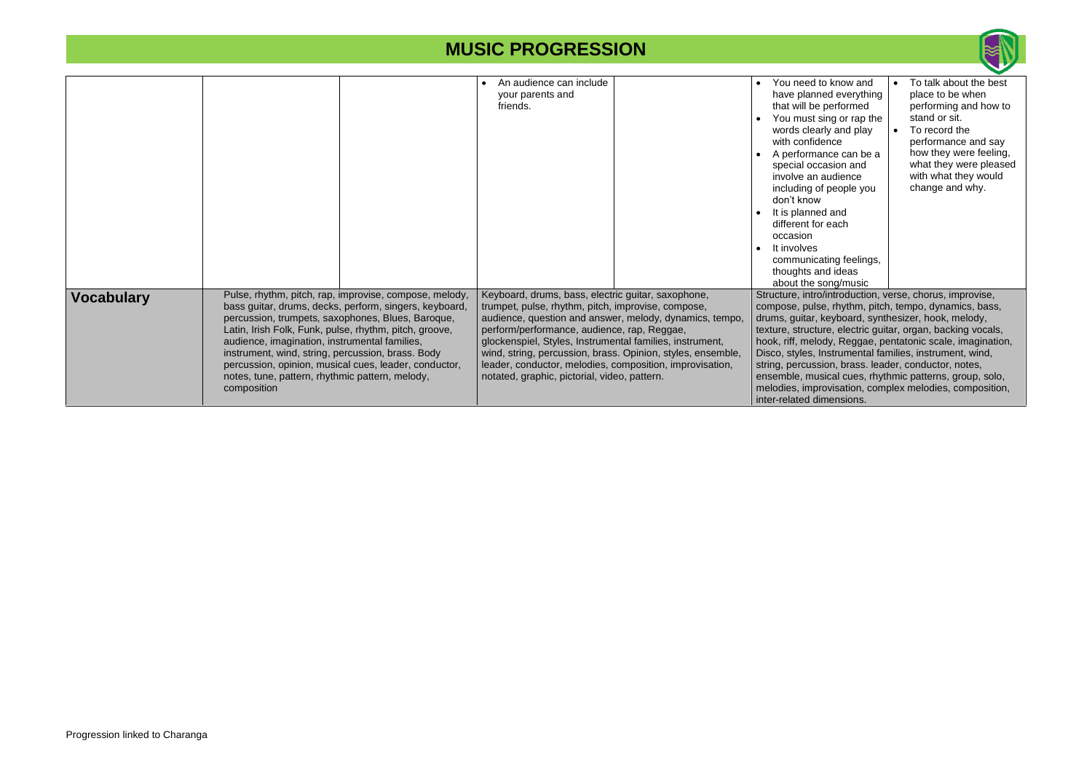|                   |                                                                                                                                                                                                                                                                                                                                                                                                                                                                  | An audience can include<br>your parents and<br>friends.                                                                                                                                                                                                                                                                                                                                                                                                   | You need to know and<br>have planned everything<br>that will be performed<br>You must sing or rap the<br>words clearly and play<br>with confidence<br>A performance can be a<br>special occasion and<br>involve an audience<br>including of people you<br>don't know<br>It is planned and<br>different for each<br>occasion<br>It involves<br>communicating feelings,<br>thoughts and ideas<br>about the song/music |
|-------------------|------------------------------------------------------------------------------------------------------------------------------------------------------------------------------------------------------------------------------------------------------------------------------------------------------------------------------------------------------------------------------------------------------------------------------------------------------------------|-----------------------------------------------------------------------------------------------------------------------------------------------------------------------------------------------------------------------------------------------------------------------------------------------------------------------------------------------------------------------------------------------------------------------------------------------------------|---------------------------------------------------------------------------------------------------------------------------------------------------------------------------------------------------------------------------------------------------------------------------------------------------------------------------------------------------------------------------------------------------------------------|
| <b>Vocabulary</b> | Pulse, rhythm, pitch, rap, improvise, compose, melody,<br>bass guitar, drums, decks, perform, singers, keyboard,<br>percussion, trumpets, saxophones, Blues, Baroque,<br>Latin, Irish Folk, Funk, pulse, rhythm, pitch, groove,<br>audience, imagination, instrumental families,<br>instrument, wind, string, percussion, brass. Body<br>percussion, opinion, musical cues, leader, conductor,<br>notes, tune, pattern, rhythmic pattern, melody,<br>composition | Keyboard, drums, bass, electric guitar, saxophone,<br>trumpet, pulse, rhythm, pitch, improvise, compose,<br>audience, question and answer, melody, dynamics, tempo,<br>perform/performance, audience, rap, Reggae,<br>glockenspiel, Styles, Instrumental families, instrument,<br>wind, string, percussion, brass. Opinion, styles, ensemble,<br>leader, conductor, melodies, composition, improvisation,<br>notated, graphic, pictorial, video, pattern. | Structure, intro/introduction,<br>compose, pulse, rhythm, pitc<br>drums, guitar, keyboard, synt<br>texture, structure, electric gui<br>hook, riff, melody, Reggae, p<br>Disco, styles, Instrumental fa<br>string, percussion, brass. lea<br>ensemble, musical cues, rhy<br>melodies, improvisation, com<br>inter-related dimensions                                                                                 |

| You need to know and<br>have planned everything<br>that will be performed<br>You must sing or rap the<br>words clearly and play<br>with confidence<br>A performance can be a<br>special occasion and<br>involve an audience<br>including of people you<br>don't know<br>It is planned and<br>different for each<br>occasion<br>It involves<br>communicating feelings,<br>thoughts and ideas<br>about the song/music                                                                                                                                                         | To talk about the best<br>place to be when<br>performing and how to<br>stand or sit.<br>To record the<br>performance and say<br>how they were feeling,<br>what they were pleased<br>with what they would<br>change and why. |  |  |  |  |
|-----------------------------------------------------------------------------------------------------------------------------------------------------------------------------------------------------------------------------------------------------------------------------------------------------------------------------------------------------------------------------------------------------------------------------------------------------------------------------------------------------------------------------------------------------------------------------|-----------------------------------------------------------------------------------------------------------------------------------------------------------------------------------------------------------------------------|--|--|--|--|
| Structure, intro/introduction, verse, chorus, improvise,<br>compose, pulse, rhythm, pitch, tempo, dynamics, bass,<br>drums, guitar, keyboard, synthesizer, hook, melody,<br>texture, structure, electric guitar, organ, backing vocals,<br>hook, riff, melody, Reggae, pentatonic scale, imagination,<br>Disco, styles, Instrumental families, instrument, wind,<br>string, percussion, brass. leader, conductor, notes,<br>ensemble, musical cues, rhythmic patterns, group, solo,<br>melodies, improvisation, complex melodies, composition,<br>inter-related dimensions. |                                                                                                                                                                                                                             |  |  |  |  |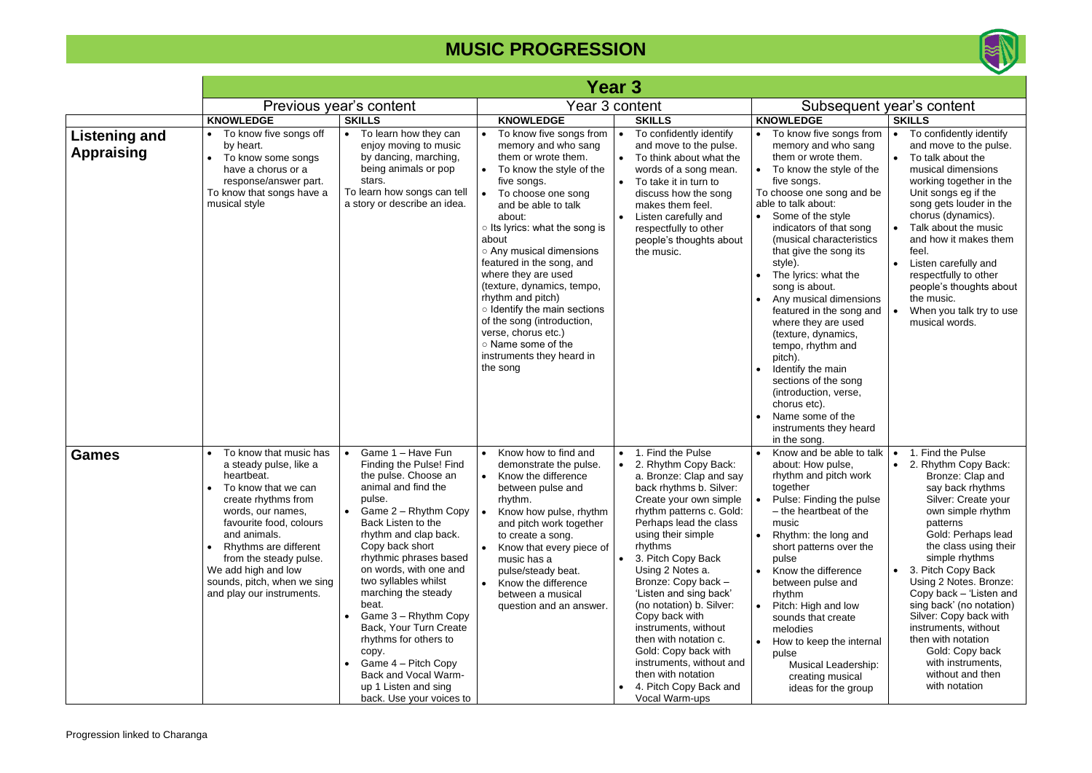

|                                    | <b>Year 3</b>                                                                                                                                                                                                                                                                                                      |                                                                                                                                                                                                                                                                                                                                                                                                                                                                                                    |                                                                                                                                                                                                                                                                                                                                                                                                                                                                                                                                                                                                                                                                                                                                                                                                                                                                              |                                                                                                                                                                                                                                                                                                                                                                                                                                                                                                                                                                                                                                                                                                                                                                                                                                                                                                                                                                                                                                               |
|------------------------------------|--------------------------------------------------------------------------------------------------------------------------------------------------------------------------------------------------------------------------------------------------------------------------------------------------------------------|----------------------------------------------------------------------------------------------------------------------------------------------------------------------------------------------------------------------------------------------------------------------------------------------------------------------------------------------------------------------------------------------------------------------------------------------------------------------------------------------------|------------------------------------------------------------------------------------------------------------------------------------------------------------------------------------------------------------------------------------------------------------------------------------------------------------------------------------------------------------------------------------------------------------------------------------------------------------------------------------------------------------------------------------------------------------------------------------------------------------------------------------------------------------------------------------------------------------------------------------------------------------------------------------------------------------------------------------------------------------------------------|-----------------------------------------------------------------------------------------------------------------------------------------------------------------------------------------------------------------------------------------------------------------------------------------------------------------------------------------------------------------------------------------------------------------------------------------------------------------------------------------------------------------------------------------------------------------------------------------------------------------------------------------------------------------------------------------------------------------------------------------------------------------------------------------------------------------------------------------------------------------------------------------------------------------------------------------------------------------------------------------------------------------------------------------------|
|                                    |                                                                                                                                                                                                                                                                                                                    | Previous year's content                                                                                                                                                                                                                                                                                                                                                                                                                                                                            | Year 3 content                                                                                                                                                                                                                                                                                                                                                                                                                                                                                                                                                                                                                                                                                                                                                                                                                                                               | Subsequent year's content                                                                                                                                                                                                                                                                                                                                                                                                                                                                                                                                                                                                                                                                                                                                                                                                                                                                                                                                                                                                                     |
|                                    | <b>KNOWLEDGE</b>                                                                                                                                                                                                                                                                                                   | <b>SKILLS</b>                                                                                                                                                                                                                                                                                                                                                                                                                                                                                      | <b>KNOWLEDGE</b><br><b>SKILLS</b>                                                                                                                                                                                                                                                                                                                                                                                                                                                                                                                                                                                                                                                                                                                                                                                                                                            | <b>KNOWLEDGE</b><br><b>SKILLS</b>                                                                                                                                                                                                                                                                                                                                                                                                                                                                                                                                                                                                                                                                                                                                                                                                                                                                                                                                                                                                             |
| Listening and<br><b>Appraising</b> | To know five songs off<br>by heart.<br>To know some songs<br>have a chorus or a<br>response/answer part.<br>To know that songs have a<br>musical style                                                                                                                                                             | To learn how they can<br>enjoy moving to music<br>by dancing, marching,<br>being animals or pop<br>stars.<br>To learn how songs can tell<br>a story or describe an idea.                                                                                                                                                                                                                                                                                                                           | To know five songs from<br>To confidently identify<br>memory and who sang<br>and move to the pulse.<br>them or wrote them.<br>To think about what the<br>To know the style of the<br>words of a song mean.<br>five songs.<br>To take it in turn to<br>$\bullet$<br>To choose one song<br>discuss how the song<br>and be able to talk<br>makes them feel.<br>about:<br>Listen carefully and<br>$\circ$ Its lyrics: what the song is<br>respectfully to other<br>people's thoughts about<br>about<br>○ Any musical dimensions<br>the music.<br>featured in the song, and<br>where they are used<br>(texture, dynamics, tempo,<br>rhythm and pitch)<br>o Identify the main sections<br>of the song (introduction,<br>verse, chorus etc.)<br>○ Name some of the<br>instruments they heard in<br>the song                                                                         | To know five songs from<br>To confidently identify<br>and move to the pulse.<br>memory and who sang<br>them or wrote them.<br>To talk about the<br>$\bullet$<br>• To know the style of the<br>musical dimensions<br>working together in the<br>five songs.<br>To choose one song and be<br>Unit songs eg if the<br>able to talk about:<br>song gets louder in the<br>chorus (dynamics).<br>• Some of the style<br>Talk about the music<br>indicators of that song<br>(musical characteristics<br>and how it makes them<br>that give the song its<br>feel<br>style).<br>Listen carefully and<br>respectfully to other<br>The lyrics: what the<br>people's thoughts about<br>song is about.<br>the music.<br>Any musical dimensions<br>featured in the song and<br>When you talk try to use<br>where they are used<br>musical words.<br>(texture, dynamics,<br>tempo, rhythm and<br>pitch).<br>Identify the main<br>sections of the song<br>(introduction, verse,<br>chorus etc).<br>Name some of the<br>instruments they heard<br>in the song. |
| <b>Games</b>                       | To know that music has<br>a steady pulse, like a<br>heartbeat.<br>To know that we can<br>create rhythms from<br>words, our names,<br>favourite food, colours<br>and animals.<br>Rhythms are different<br>from the steady pulse.<br>We add high and low<br>sounds, pitch, when we sing<br>and play our instruments. | Game 1 - Have Fun<br>Finding the Pulse! Find<br>the pulse. Choose an<br>animal and find the<br>pulse.<br>Game 2 – Rhythm Copy<br>Back Listen to the<br>rhythm and clap back.<br>Copy back short<br>rhythmic phrases based<br>on words, with one and<br>two syllables whilst<br>marching the steady<br>beat.<br>Game 3 - Rhythm Copy<br>Back, Your Turn Create<br>rhythms for others to<br>copy.<br>Game 4 – Pitch Copy<br>Back and Vocal Warm-<br>up 1 Listen and sing<br>back. Use your voices to | Know how to find and<br>1. Find the Pulse<br>$\bullet$<br>demonstrate the pulse.<br>2. Rhythm Copy Back:<br>• Know the difference<br>a. Bronze: Clap and say<br>back rhythms b. Silver:<br>between pulse and<br>Create your own simple<br>rhythm.<br>rhythm patterns c. Gold:<br>Know how pulse, rhythm<br>Perhaps lead the class<br>and pitch work together<br>using their simple<br>to create a song.<br>rhythms<br>Know that every piece of<br>3. Pitch Copy Back<br>music has a<br>Using 2 Notes a.<br>pulse/steady beat.<br>Bronze: Copy back -<br>• Know the difference<br>'Listen and sing back'<br>between a musical<br>(no notation) b. Silver:<br>question and an answer.<br>Copy back with<br>instruments, without<br>then with notation c.<br>Gold: Copy back with<br>instruments, without and<br>then with notation<br>4. Pitch Copy Back and<br>Vocal Warm-ups | 1. Find the Pulse<br>Know and be able to talk<br>about: How pulse,<br>2. Rhythm Copy Back:<br>rhythm and pitch work<br>Bronze: Clap and<br>together<br>say back rhythms<br>Silver: Create your<br>Pulse: Finding the pulse<br>- the heartbeat of the<br>own simple rhythm<br>music<br>patterns<br>Gold: Perhaps lead<br>Rhythm: the long and<br>the class using their<br>short patterns over the<br>simple rhythms<br>pulse<br>3. Pitch Copy Back<br>Know the difference<br>Using 2 Notes. Bronze:<br>between pulse and<br>Copy back - 'Listen and<br>rhythm<br>sing back' (no notation)<br>Pitch: High and low<br>Silver: Copy back with<br>sounds that create<br>instruments, without<br>melodies<br>then with notation<br>How to keep the internal<br>Gold: Copy back<br>pulse<br>with instruments,<br><b>Musical Leadership:</b><br>without and then<br>creating musical<br>with notation<br>ideas for the group                                                                                                                          |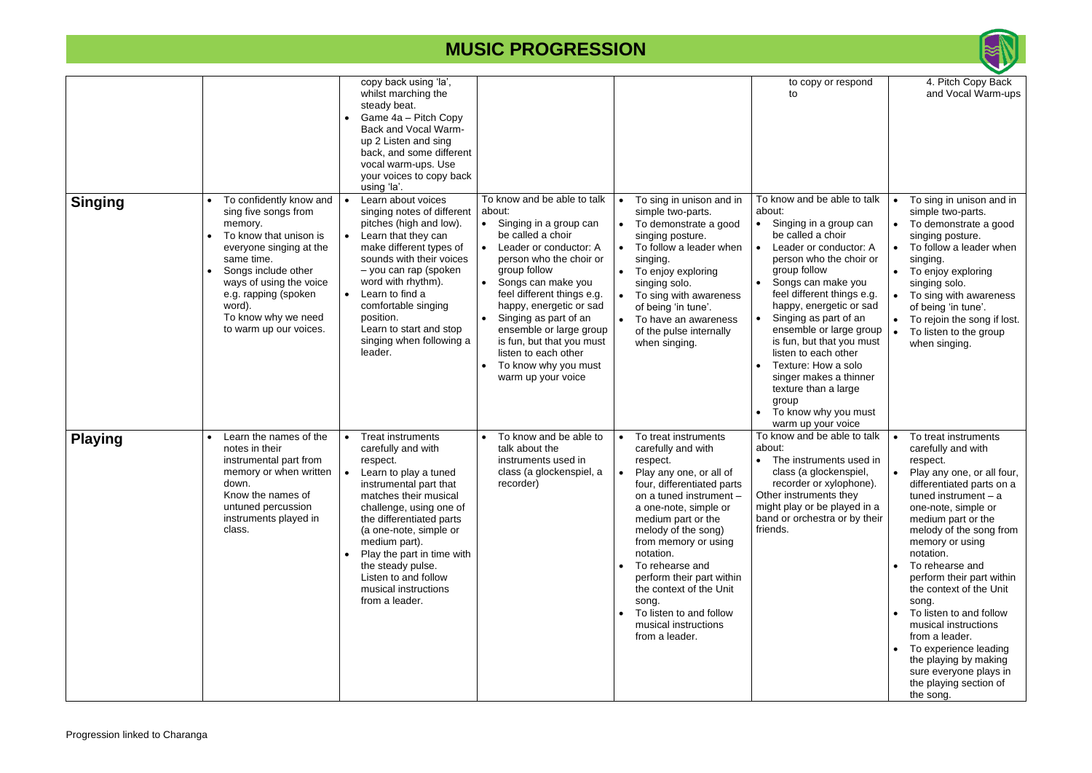|                |                                                                                                                                                                                                                                                                    | copy back using 'la',<br>whilst marching the<br>steady beat.<br>Game 4a – Pitch Copy<br>Back and Vocal Warm-<br>up 2 Listen and sing<br>back, and some different<br>vocal warm-ups. Use<br>your voices to copy back<br>using 'la'.                                                                                                                            |                                                                                                                                                                                                                                                                                                                                                                                                 |                                                                                                                                                                                                                                                                                                                                                                                                                | to copy or respond<br>to                                                                                                                                                                                                                                                                                                                                                                                                                                                                       | 4. Pitch Copy Back<br>and Vocal Warm-ups                                                                                                                                                                                                                                                                                                                                                                                                                                                                                        |
|----------------|--------------------------------------------------------------------------------------------------------------------------------------------------------------------------------------------------------------------------------------------------------------------|---------------------------------------------------------------------------------------------------------------------------------------------------------------------------------------------------------------------------------------------------------------------------------------------------------------------------------------------------------------|-------------------------------------------------------------------------------------------------------------------------------------------------------------------------------------------------------------------------------------------------------------------------------------------------------------------------------------------------------------------------------------------------|----------------------------------------------------------------------------------------------------------------------------------------------------------------------------------------------------------------------------------------------------------------------------------------------------------------------------------------------------------------------------------------------------------------|------------------------------------------------------------------------------------------------------------------------------------------------------------------------------------------------------------------------------------------------------------------------------------------------------------------------------------------------------------------------------------------------------------------------------------------------------------------------------------------------|---------------------------------------------------------------------------------------------------------------------------------------------------------------------------------------------------------------------------------------------------------------------------------------------------------------------------------------------------------------------------------------------------------------------------------------------------------------------------------------------------------------------------------|
| <b>Singing</b> | To confidently know and<br>sing five songs from<br>memory.<br>To know that unison is<br>everyone singing at the<br>same time.<br>Songs include other<br>ways of using the voice<br>e.g. rapping (spoken<br>word).<br>To know why we need<br>to warm up our voices. | Learn about voices<br>singing notes of different<br>pitches (high and low).<br>Learn that they can<br>$\bullet$<br>make different types of<br>sounds with their voices<br>- you can rap (spoken<br>word with rhythm).<br>Learn to find a<br>comfortable singing<br>position.<br>Learn to start and stop<br>singing when following a<br>leader.                | To know and be able to talk<br>about:<br>Singing in a group can<br>be called a choir<br>Leader or conductor: A<br>person who the choir or<br>group follow<br>Songs can make you<br>feel different things e.g.<br>happy, energetic or sad<br>Singing as part of an<br>ensemble or large group<br>is fun, but that you must<br>listen to each other<br>To know why you must<br>warm up your voice | To sing in unison and in<br>simple two-parts.<br>To demonstrate a good<br>singing posture.<br>To follow a leader when<br>singing.<br>To enjoy exploring<br>singing solo.<br>To sing with awareness<br>of being 'in tune'.<br>To have an awareness<br>of the pulse internally<br>when singing.                                                                                                                  | To know and be able to talk<br>about:<br>Singing in a group can<br>be called a choir<br>Leader or conductor: A<br>$\bullet$<br>person who the choir or<br>group follow<br>Songs can make you<br>feel different things e.g.<br>happy, energetic or sad<br>Singing as part of an<br>ensemble or large group<br>is fun, but that you must<br>listen to each other<br>Texture: How a solo<br>singer makes a thinner<br>texture than a large<br>group<br>To know why you must<br>warm up your voice | To sing in unison and in<br>simple two-parts.<br>To demonstrate a good<br>singing posture.<br>To follow a leader when<br>singing.<br>To enjoy exploring<br>singing solo.<br>To sing with awareness<br>of being 'in tune'.<br>To rejoin the song if lost.<br>To listen to the group<br>when singing.                                                                                                                                                                                                                             |
| <b>Playing</b> | Learn the names of the<br>notes in their<br>instrumental part from<br>memory or when written<br>down.<br>Know the names of<br>untuned percussion<br>instruments played in<br>class.                                                                                | <b>Treat instruments</b><br>carefully and with<br>respect.<br>Learn to play a tuned<br>instrumental part that<br>matches their musical<br>challenge, using one of<br>the differentiated parts<br>(a one-note, simple or<br>medium part).<br>Play the part in time with<br>the steady pulse.<br>Listen to and follow<br>musical instructions<br>from a leader. | To know and be able to<br>talk about the<br>instruments used in<br>class (a glockenspiel, a<br>recorder)                                                                                                                                                                                                                                                                                        | To treat instruments<br>carefully and with<br>respect.<br>Play any one, or all of<br>four, differentiated parts<br>on a tuned instrument -<br>a one-note, simple or<br>medium part or the<br>melody of the song)<br>from memory or using<br>notation.<br>To rehearse and<br>perform their part within<br>the context of the Unit<br>song.<br>To listen to and follow<br>musical instructions<br>from a leader. | To know and be able to talk<br>about:<br>The instruments used in<br>class (a glockenspiel,<br>recorder or xylophone).<br>Other instruments they<br>might play or be played in a<br>band or orchestra or by their<br>friends.                                                                                                                                                                                                                                                                   | To treat instruments<br>carefully and with<br>respect.<br>Play any one, or all four,<br>differentiated parts on a<br>tuned instrument $-$ a<br>one-note, simple or<br>medium part or the<br>melody of the song from<br>memory or using<br>notation.<br>To rehearse and<br>perform their part within<br>the context of the Unit<br>song.<br>To listen to and follow<br>musical instructions<br>from a leader.<br>To experience leading<br>the playing by making<br>sure everyone plays in<br>the playing section of<br>the song. |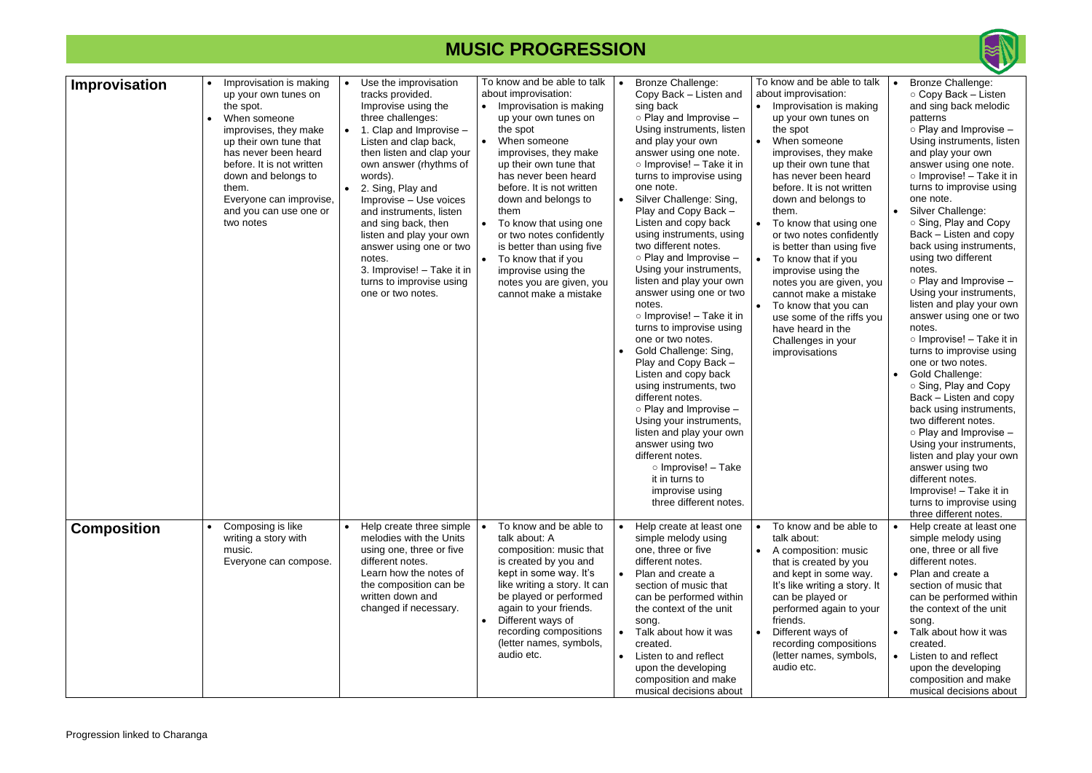

| <b>Improvisation</b> | Improvisation is making<br>up your own tunes on<br>the spot.<br>When someone<br>improvises, they make<br>up their own tune that<br>has never been heard<br>before. It is not written<br>down and belongs to<br>them.<br>Everyone can improvise,<br>and you can use one or<br>two notes | Use the improvisation<br>tracks provided.<br>Improvise using the<br>three challenges:<br>1. Clap and Improvise $-$<br>Listen and clap back,<br>then listen and clap your<br>own answer (rhythms of<br>words).<br>2. Sing, Play and<br>Improvise - Use voices<br>and instruments, listen<br>and sing back, then<br>listen and play your own<br>answer using one or two<br>notes.<br>3. Improvise! - Take it in<br>turns to improvise using<br>one or two notes. | To know and be able to talk<br>about improvisation:<br>• Improvisation is making<br>up your own tunes on<br>the spot<br>When someone<br>improvises, they make<br>up their own tune that<br>has never been heard<br>before. It is not written<br>down and belongs to<br>them<br>To know that using one<br>or two notes confidently<br>is better than using five<br>To know that if you<br>$\bullet$<br>improvise using the<br>notes you are given, you<br>cannot make a mistake | <b>Bronze Challenge:</b><br>Copy Back - Listen and<br>sing back<br>$\circ$ Play and Improvise $-$<br>Using instruments, listen<br>and play your own<br>answer using one note.<br>$\circ$ Improvise! - Take it in<br>turns to improvise using<br>one note.<br>Silver Challenge: Sing,<br>Play and Copy Back -<br>Listen and copy back<br>using instruments, using<br>two different notes.<br>$\circ$ Play and Improvise $-$<br>Using your instruments,<br>listen and play your own<br>answer using one or two<br>notes.<br>$\circ$ Improvise! – Take it in<br>turns to improvise using<br>one or two notes.<br>Gold Challenge: Sing,<br>Play and Copy Back -<br>Listen and copy back<br>using instruments, two<br>different notes.<br>$\circ$ Play and Improvise $-$<br>Using your instruments,<br>listen and play your own<br>answer using two<br>different notes.<br>$\circ$ Improvise! – Take<br>it in turns to<br>improvise using<br>three different notes. | To know and be able to talk<br>about improvisation:<br>• Improvisation is making<br>up your own tunes on<br>the spot<br>When someone<br>$\bullet$<br>improvises, they make<br>up their own tune that<br>has never been heard<br>before. It is not written<br>down and belongs to<br>them.<br>• To know that using one<br>or two notes confidently<br>is better than using five<br>To know that if you<br>$\bullet$<br>improvise using the<br>notes you are given, you<br>cannot make a mistake<br>To know that you can<br>use some of the riffs you<br>have heard in the<br>Challenges in your<br>improvisations | <b>Bronze Challenge:</b><br>$\circ$ Copy Back – Listen<br>and sing back melodic<br>patterns<br>$\circ$ Play and Improvise $-$<br>Using instruments, listen<br>and play your own<br>answer using one note.<br>$\circ$ Improvise! - Take it in<br>turns to improvise using<br>one note.<br>Silver Challenge:<br>○ Sing, Play and Copy<br>Back - Listen and copy<br>back using instruments,<br>using two different<br>notes.<br>$\circ$ Play and Improvise $-$<br>Using your instruments,<br>listen and play your own<br>answer using one or two<br>notes.<br>$\circ$ Improvise! – Take it in<br>turns to improvise using<br>one or two notes.<br><b>Gold Challenge:</b><br>○ Sing, Play and Copy<br>Back – Listen and copy<br>back using instruments,<br>two different notes.<br>$\circ$ Play and Improvise $-$<br>Using your instruments,<br>listen and play your own<br>answer using two<br>different notes.<br>Improvise! - Take it in<br>turns to improvise using<br>three different notes. |
|----------------------|----------------------------------------------------------------------------------------------------------------------------------------------------------------------------------------------------------------------------------------------------------------------------------------|----------------------------------------------------------------------------------------------------------------------------------------------------------------------------------------------------------------------------------------------------------------------------------------------------------------------------------------------------------------------------------------------------------------------------------------------------------------|--------------------------------------------------------------------------------------------------------------------------------------------------------------------------------------------------------------------------------------------------------------------------------------------------------------------------------------------------------------------------------------------------------------------------------------------------------------------------------|----------------------------------------------------------------------------------------------------------------------------------------------------------------------------------------------------------------------------------------------------------------------------------------------------------------------------------------------------------------------------------------------------------------------------------------------------------------------------------------------------------------------------------------------------------------------------------------------------------------------------------------------------------------------------------------------------------------------------------------------------------------------------------------------------------------------------------------------------------------------------------------------------------------------------------------------------------------|------------------------------------------------------------------------------------------------------------------------------------------------------------------------------------------------------------------------------------------------------------------------------------------------------------------------------------------------------------------------------------------------------------------------------------------------------------------------------------------------------------------------------------------------------------------------------------------------------------------|-----------------------------------------------------------------------------------------------------------------------------------------------------------------------------------------------------------------------------------------------------------------------------------------------------------------------------------------------------------------------------------------------------------------------------------------------------------------------------------------------------------------------------------------------------------------------------------------------------------------------------------------------------------------------------------------------------------------------------------------------------------------------------------------------------------------------------------------------------------------------------------------------------------------------------------------------------------------------------------------------|
| <b>Composition</b>   | Composing is like<br>writing a story with<br>music.<br>Everyone can compose.                                                                                                                                                                                                           | Help create three simple<br>melodies with the Units<br>using one, three or five<br>different notes.<br>Learn how the notes of<br>the composition can be<br>written down and<br>changed if necessary.                                                                                                                                                                                                                                                           | To know and be able to<br>talk about: A<br>composition: music that<br>is created by you and<br>kept in some way. It's<br>like writing a story. It can<br>be played or performed<br>again to your friends.<br>Different ways of<br>recording compositions<br>(letter names, symbols,<br>audio etc.                                                                                                                                                                              | Help create at least one<br>simple melody using<br>one, three or five<br>different notes.<br>Plan and create a<br>section of music that<br>can be performed within<br>the context of the unit<br>song.<br>Talk about how it was<br>created.<br>Listen to and reflect<br>upon the developing<br>composition and make<br>musical decisions about                                                                                                                                                                                                                                                                                                                                                                                                                                                                                                                                                                                                                 | To know and be able to<br>talk about:<br>A composition: music<br>$\bullet$<br>that is created by you<br>and kept in some way.<br>It's like writing a story. It<br>can be played or<br>performed again to your<br>friends.<br>Different ways of<br>$\bullet$<br>recording compositions<br>(letter names, symbols,<br>audio etc.                                                                                                                                                                                                                                                                                   | Help create at least one<br>simple melody using<br>one, three or all five<br>different notes.<br>Plan and create a<br>section of music that<br>can be performed within<br>the context of the unit<br>song.<br>Talk about how it was<br>created.<br>Listen to and reflect<br>upon the developing<br>composition and make<br>musical decisions about                                                                                                                                                                                                                                                                                                                                                                                                                                                                                                                                                                                                                                            |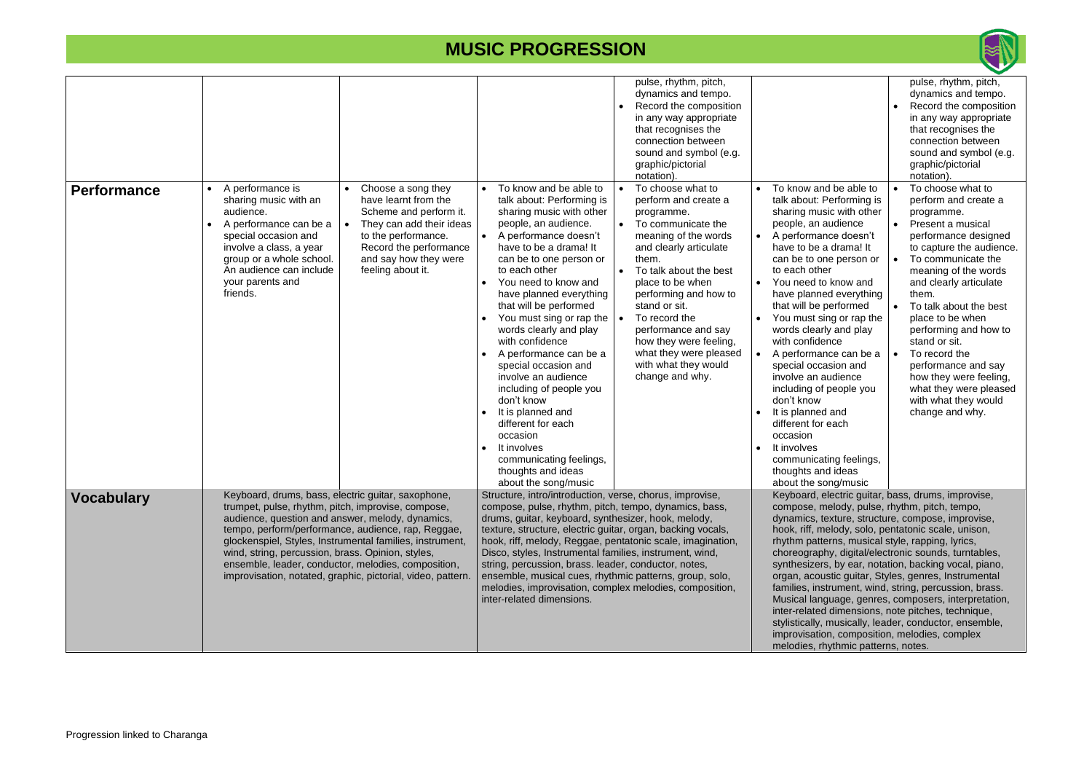| <b>Performance</b> | A performance is<br>$\bullet$<br>sharing music with an<br>audience.<br>A performance can be a<br>$\bullet$<br>special occasion and<br>involve a class, a year<br>group or a whole school.<br>An audience can include<br>your parents and<br>friends.                                                                                                                                                                                                      | • Choose a song they<br>have learnt from the<br>Scheme and perform it.<br>They can add their ideas<br>to the performance.<br>Record the performance<br>and say how they were<br>feeling about it. | pulse, rhythm, pitch,<br>dynamics and tempo.<br>Record the composition<br>in any way appropriate<br>that recognises the<br>connection between<br>sound and symbol (e.g.<br>graphic/pictorial<br>notation)<br>To know and be able to<br>To choose what to<br>talk about: Performing is<br>perform and create a<br>sharing music with other<br>programme.<br>people, an audience.<br>To communicate the<br>A performance doesn't<br>meaning of the words<br>have to be a drama! It<br>and clearly articulate<br>them.<br>can be to one person or<br>to each other<br>To talk about the best<br>You need to know and<br>place to be when<br>have planned everything<br>performing and how to<br>that will be performed<br>stand or sit.<br>You must sing or rap the<br>To record the<br>words clearly and play<br>performance and say<br>with confidence<br>how they were feeling,<br>what they were pleased<br>A performance can be a<br>with what they would<br>special occasion and<br>change and why.<br>involve an audience<br>including of people you<br>don't know<br>It is planned and<br>different for each<br>occasion<br>It involves<br>communicating feelings,<br>thoughts and ideas<br>about the song/music | pulse, rhythm, pitch,<br>dynamics and tempo.<br>Record the composition<br>in any way appropriate<br>that recognises the<br>connection between<br>sound and symbol (e.g.<br>graphic/pictorial<br>notation)<br>To know and be able to<br>To choose what to<br>talk about: Performing is<br>perform and create a<br>sharing music with other<br>programme.<br>people, an audience<br>Present a musical<br>• A performance doesn't<br>performance designed<br>have to be a drama! It<br>to capture the audience.<br>can be to one person or<br>To communicate the<br>to each other<br>meaning of the words<br>You need to know and<br>and clearly articulate<br>$\bullet$<br>have planned everything<br>them.<br>that will be performed<br>To talk about the best<br>You must sing or rap the<br>place to be when<br>words clearly and play<br>performing and how to<br>with confidence<br>stand or sit.<br>A performance can be a<br>To record the<br>special occasion and<br>performance and say<br>involve an audience<br>how they were feeling,<br>what they were pleased<br>including of people you<br>don't know<br>with what they would<br>change and why.<br>It is planned and<br>different for each<br>occasion<br>It involves<br>communicating feelings,<br>thoughts and ideas<br>about the song/music |
|--------------------|-----------------------------------------------------------------------------------------------------------------------------------------------------------------------------------------------------------------------------------------------------------------------------------------------------------------------------------------------------------------------------------------------------------------------------------------------------------|---------------------------------------------------------------------------------------------------------------------------------------------------------------------------------------------------|-----------------------------------------------------------------------------------------------------------------------------------------------------------------------------------------------------------------------------------------------------------------------------------------------------------------------------------------------------------------------------------------------------------------------------------------------------------------------------------------------------------------------------------------------------------------------------------------------------------------------------------------------------------------------------------------------------------------------------------------------------------------------------------------------------------------------------------------------------------------------------------------------------------------------------------------------------------------------------------------------------------------------------------------------------------------------------------------------------------------------------------------------------------------------------------------------------------------------|--------------------------------------------------------------------------------------------------------------------------------------------------------------------------------------------------------------------------------------------------------------------------------------------------------------------------------------------------------------------------------------------------------------------------------------------------------------------------------------------------------------------------------------------------------------------------------------------------------------------------------------------------------------------------------------------------------------------------------------------------------------------------------------------------------------------------------------------------------------------------------------------------------------------------------------------------------------------------------------------------------------------------------------------------------------------------------------------------------------------------------------------------------------------------------------------------------------------------------------------------------------------------------------------------------------|
| <b>Vocabulary</b>  | Keyboard, drums, bass, electric guitar, saxophone,<br>trumpet, pulse, rhythm, pitch, improvise, compose,<br>audience, question and answer, melody, dynamics,<br>tempo, perform/performance, audience, rap, Reggae,<br>glockenspiel, Styles, Instrumental families, instrument,<br>wind, string, percussion, brass. Opinion, styles,<br>ensemble, leader, conductor, melodies, composition,<br>improvisation, notated, graphic, pictorial, video, pattern. |                                                                                                                                                                                                   | Structure, intro/introduction, verse, chorus, improvise,<br>compose, pulse, rhythm, pitch, tempo, dynamics, bass,<br>drums, guitar, keyboard, synthesizer, hook, melody,<br>texture, structure, electric guitar, organ, backing vocals,<br>hook, riff, melody, Reggae, pentatonic scale, imagination,<br>Disco, styles, Instrumental families, instrument, wind,<br>string, percussion, brass. leader, conductor, notes,<br>ensemble, musical cues, rhythmic patterns, group, solo,<br>melodies, improvisation, complex melodies, composition,<br>inter-related dimensions.                                                                                                                                                                                                                                                                                                                                                                                                                                                                                                                                                                                                                                           | Keyboard, electric guitar, bass, drums, improvise,<br>compose, melody, pulse, rhythm, pitch, tempo,<br>dynamics, texture, structure, compose, improvise,<br>hook, riff, melody, solo, pentatonic scale, unison,<br>rhythm patterns, musical style, rapping, lyrics,<br>choreography, digital/electronic sounds, turntables,<br>synthesizers, by ear, notation, backing vocal, piano,<br>organ, acoustic guitar, Styles, genres, Instrumental<br>families, instrument, wind, string, percussion, brass.<br>Musical language, genres, composers, interpretation,<br>inter-related dimensions, note pitches, technique,<br>stylistically, musically, leader, conductor, ensemble,<br>improvisation, composition, melodies, complex<br>melodies, rhythmic patterns, notes.                                                                                                                                                                                                                                                                                                                                                                                                                                                                                                                                       |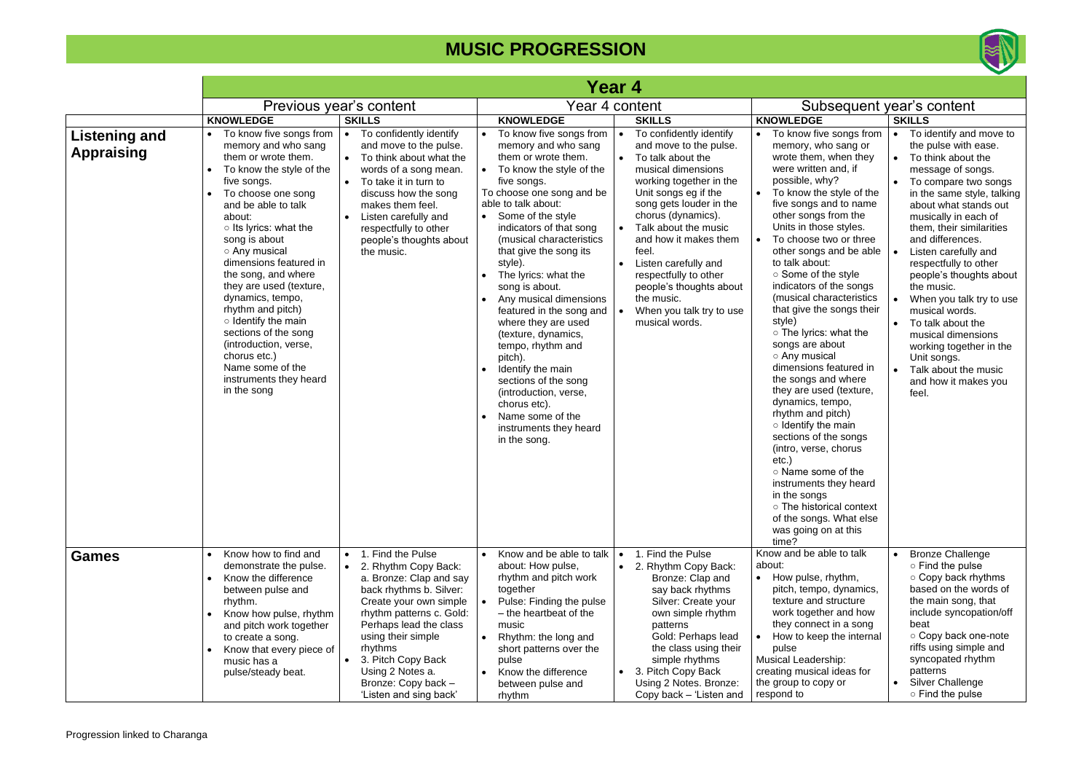

|                                           | Year 4                                                                                                                                                                                                                                                                                                                                                                                                                                                                                                              |                                                                                                                                                                                                                                                                                                    |                                                                                                                                                                                                                                                                                                                                                                                                                                                                                                                                                                                                                         |                                                                                                                                                                                                                                                                                                                                                                                                    |                                                                                                                                                                                                                                                                                                                                                                                                                                                                                                                                                                                                                                                                                                                                                                                                                                                                            |                                                                                                                                                                                                                                                                                                                                                                                                                                                                                                                                             |
|-------------------------------------------|---------------------------------------------------------------------------------------------------------------------------------------------------------------------------------------------------------------------------------------------------------------------------------------------------------------------------------------------------------------------------------------------------------------------------------------------------------------------------------------------------------------------|----------------------------------------------------------------------------------------------------------------------------------------------------------------------------------------------------------------------------------------------------------------------------------------------------|-------------------------------------------------------------------------------------------------------------------------------------------------------------------------------------------------------------------------------------------------------------------------------------------------------------------------------------------------------------------------------------------------------------------------------------------------------------------------------------------------------------------------------------------------------------------------------------------------------------------------|----------------------------------------------------------------------------------------------------------------------------------------------------------------------------------------------------------------------------------------------------------------------------------------------------------------------------------------------------------------------------------------------------|----------------------------------------------------------------------------------------------------------------------------------------------------------------------------------------------------------------------------------------------------------------------------------------------------------------------------------------------------------------------------------------------------------------------------------------------------------------------------------------------------------------------------------------------------------------------------------------------------------------------------------------------------------------------------------------------------------------------------------------------------------------------------------------------------------------------------------------------------------------------------|---------------------------------------------------------------------------------------------------------------------------------------------------------------------------------------------------------------------------------------------------------------------------------------------------------------------------------------------------------------------------------------------------------------------------------------------------------------------------------------------------------------------------------------------|
|                                           |                                                                                                                                                                                                                                                                                                                                                                                                                                                                                                                     | Previous year's content                                                                                                                                                                                                                                                                            |                                                                                                                                                                                                                                                                                                                                                                                                                                                                                                                                                                                                                         | Year 4 content                                                                                                                                                                                                                                                                                                                                                                                     |                                                                                                                                                                                                                                                                                                                                                                                                                                                                                                                                                                                                                                                                                                                                                                                                                                                                            | Subsequent year's content                                                                                                                                                                                                                                                                                                                                                                                                                                                                                                                   |
|                                           | <b>KNOWLEDGE</b>                                                                                                                                                                                                                                                                                                                                                                                                                                                                                                    | <b>SKILLS</b>                                                                                                                                                                                                                                                                                      | <b>KNOWLEDGE</b>                                                                                                                                                                                                                                                                                                                                                                                                                                                                                                                                                                                                        | <b>SKILLS</b>                                                                                                                                                                                                                                                                                                                                                                                      | <b>KNOWLEDGE</b>                                                                                                                                                                                                                                                                                                                                                                                                                                                                                                                                                                                                                                                                                                                                                                                                                                                           | <b>SKILLS</b>                                                                                                                                                                                                                                                                                                                                                                                                                                                                                                                               |
| <b>Listening and</b><br><b>Appraising</b> | To know five songs from<br>memory and who sang<br>them or wrote them.<br>To know the style of the<br>five songs.<br>To choose one song<br>and be able to talk<br>about:<br>o Its lyrics: what the<br>song is about<br>○ Any musical<br>dimensions featured in<br>the song, and where<br>they are used (texture,<br>dynamics, tempo,<br>rhythm and pitch)<br>$\circ$ Identify the main<br>sections of the song<br>(introduction, verse,<br>chorus etc.)<br>Name some of the<br>instruments they heard<br>in the song | To confidently identify<br>$\bullet$<br>and move to the pulse.<br>• To think about what the<br>words of a song mean.<br>• To take it in turn to<br>discuss how the song<br>makes them feel.<br>Listen carefully and<br>$\bullet$<br>respectfully to other<br>people's thoughts about<br>the music. | To know five songs from<br>memory and who sang<br>them or wrote them.<br>To know the style of the<br>five songs.<br>To choose one song and be<br>able to talk about:<br>Some of the style<br>indicators of that song<br>(musical characteristics<br>that give the song its<br>style).<br>The lyrics: what the<br>song is about.<br>Any musical dimensions<br>featured in the song and<br>where they are used<br>(texture, dynamics,<br>tempo, rhythm and<br>pitch).<br>Identify the main<br>sections of the song<br>(introduction, verse,<br>chorus etc).<br>Name some of the<br>instruments they heard<br>in the song. | To confidently identify<br>and move to the pulse.<br>To talk about the<br>musical dimensions<br>working together in the<br>Unit songs eg if the<br>song gets louder in the<br>chorus (dynamics).<br>Talk about the music<br>and how it makes them<br>feel.<br>Listen carefully and<br>respectfully to other<br>people's thoughts about<br>the music.<br>When you talk try to use<br>musical words. | To know five songs from<br>memory, who sang or<br>wrote them, when they<br>were written and, if<br>possible, why?<br>• To know the style of the<br>five songs and to name<br>other songs from the<br>Units in those styles.<br>To choose two or three<br>$\bullet$<br>other songs and be able<br>to talk about:<br>○ Some of the style<br>indicators of the songs<br>(musical characteristics<br>that give the songs their<br>style)<br>○ The lyrics: what the<br>songs are about<br>○ Any musical<br>dimensions featured in<br>the songs and where<br>they are used (texture,<br>dynamics, tempo,<br>rhythm and pitch)<br>$\circ$ Identify the main<br>sections of the songs<br>(intro, verse, chorus<br>$etc.$ )<br>○ Name some of the<br>instruments they heard<br>in the songs<br>o The historical context<br>of the songs. What else<br>was going on at this<br>time? | To identify and move to<br>the pulse with ease.<br>• To think about the<br>message of songs.<br>• To compare two songs<br>in the same style, talking<br>about what stands out<br>musically in each of<br>them, their similarities<br>and differences.<br>Listen carefully and<br>respectfully to other<br>people's thoughts about<br>the music.<br>When you talk try to use<br>musical words.<br>To talk about the<br>musical dimensions<br>working together in the<br>Unit songs.<br>Talk about the music<br>and how it makes you<br>feel. |
| <b>Games</b>                              | Know how to find and<br>demonstrate the pulse.<br>Know the difference                                                                                                                                                                                                                                                                                                                                                                                                                                               | 1. Find the Pulse<br>• 2. Rhythm Copy Back:<br>a. Bronze: Clap and say                                                                                                                                                                                                                             | Know and be able to talk<br>about: How pulse,<br>rhythm and pitch work                                                                                                                                                                                                                                                                                                                                                                                                                                                                                                                                                  | 1. Find the Pulse<br>2. Rhythm Copy Back:<br>Bronze: Clap and                                                                                                                                                                                                                                                                                                                                      | Know and be able to talk<br>about:<br>• How pulse, rhythm,                                                                                                                                                                                                                                                                                                                                                                                                                                                                                                                                                                                                                                                                                                                                                                                                                 | <b>Bronze Challenge</b><br>○ Find the pulse<br>○ Copy back rhythms                                                                                                                                                                                                                                                                                                                                                                                                                                                                          |
|                                           | between pulse and<br>rhythm.<br>Know how pulse, rhythm<br>and pitch work together<br>to create a song.<br>Know that every piece of<br>music has a<br>pulse/steady beat.                                                                                                                                                                                                                                                                                                                                             | back rhythms b. Silver:<br>Create your own simple<br>rhythm patterns c. Gold:<br>Perhaps lead the class<br>using their simple<br>rhythms<br>3. Pitch Copy Back<br>Using 2 Notes a.<br>Bronze: Copy back -<br>'Listen and sing back'                                                                | together<br>Pulse: Finding the pulse<br>- the heartbeat of the<br>music<br>Rhythm: the long and<br>short patterns over the<br>pulse<br>Know the difference<br>between pulse and<br>rhythm                                                                                                                                                                                                                                                                                                                                                                                                                               | say back rhythms<br>Silver: Create your<br>own simple rhythm<br>patterns<br>Gold: Perhaps lead<br>the class using their<br>simple rhythms<br>3. Pitch Copy Back<br>Using 2 Notes. Bronze:<br>Copy back - 'Listen and                                                                                                                                                                               | pitch, tempo, dynamics,<br>texture and structure<br>work together and how<br>they connect in a song<br>• How to keep the internal<br>pulse<br><b>Musical Leadership:</b><br>creating musical ideas for<br>the group to copy or<br>respond to                                                                                                                                                                                                                                                                                                                                                                                                                                                                                                                                                                                                                               | based on the words of<br>the main song, that<br>include syncopation/off<br>beat<br>○ Copy back one-note<br>riffs using simple and<br>syncopated rhythm<br>patterns<br><b>Silver Challenge</b><br>$\circ$ Find the pulse                                                                                                                                                                                                                                                                                                                     |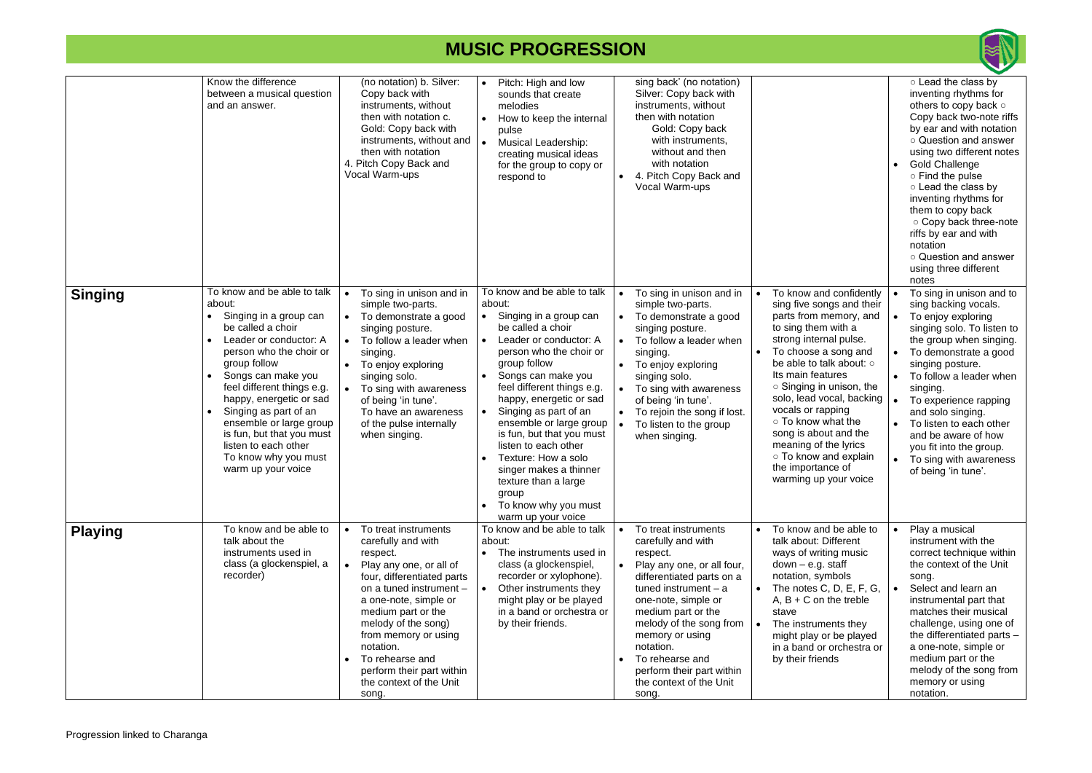|                | Know the difference<br>between a musical question<br>and an answer.                                                                                                                                                                                                                                                                                                                                          | (no notation) b. Silver:<br>Copy back with<br>instruments, without<br>then with notation c.<br>Gold: Copy back with<br>instruments, without and<br>then with notation<br>4. Pitch Copy Back and<br>Vocal Warm-ups                                                                                                                         | Pitch: High and low<br>$\bullet$<br>sounds that create<br>melodies<br>How to keep the internal<br>pulse<br><b>Musical Leadership:</b><br>creating musical ideas<br>for the group to copy or<br>respond to                                                                                                                                                                                                                                                                         | sing back' (no notation)<br>Silver: Copy back with<br>instruments, without<br>then with notation<br>Gold: Copy back<br>with instruments,<br>without and then<br>with notation<br>4. Pitch Copy Back and<br>Vocal Warm-ups                                                                                                                                                                                                                                                                                                                                                                                                                                                                                                                                                    | o Lead the class by<br>inventing rhythms for<br>others to copy back $\circ$<br>Copy back two-note riffs<br>by ear and with notation<br>o Question and answer<br>using two different notes<br><b>Gold Challenge</b><br>○ Find the pulse<br>o Lead the class by<br>inventing rhythms for<br>them to copy back<br>○ Copy back three-note<br>riffs by ear and with<br>notation<br>○ Question and answer<br>using three different<br>notes |
|----------------|--------------------------------------------------------------------------------------------------------------------------------------------------------------------------------------------------------------------------------------------------------------------------------------------------------------------------------------------------------------------------------------------------------------|-------------------------------------------------------------------------------------------------------------------------------------------------------------------------------------------------------------------------------------------------------------------------------------------------------------------------------------------|-----------------------------------------------------------------------------------------------------------------------------------------------------------------------------------------------------------------------------------------------------------------------------------------------------------------------------------------------------------------------------------------------------------------------------------------------------------------------------------|------------------------------------------------------------------------------------------------------------------------------------------------------------------------------------------------------------------------------------------------------------------------------------------------------------------------------------------------------------------------------------------------------------------------------------------------------------------------------------------------------------------------------------------------------------------------------------------------------------------------------------------------------------------------------------------------------------------------------------------------------------------------------|---------------------------------------------------------------------------------------------------------------------------------------------------------------------------------------------------------------------------------------------------------------------------------------------------------------------------------------------------------------------------------------------------------------------------------------|
| <b>Singing</b> | To know and be able to talk<br>about:<br>Singing in a group can<br>$\bullet$<br>be called a choir<br>Leader or conductor: A<br>person who the choir or<br>group follow<br>Songs can make you<br>feel different things e.g.<br>happy, energetic or sad<br>Singing as part of an<br>ensemble or large group<br>is fun, but that you must<br>listen to each other<br>To know why you must<br>warm up your voice | To sing in unison and in<br>simple two-parts.<br>To demonstrate a good<br>singing posture.<br>To follow a leader when<br>singing.<br>• To enjoy exploring<br>singing solo.<br>• To sing with awareness<br>of being 'in tune'.<br>To have an awareness<br>of the pulse internally<br>when singing.                                         | To know and be able to talk<br>about:<br>Singing in a group can<br>be called a choir<br>Leader or conductor: A<br>person who the choir or<br>group follow<br>Songs can make you<br>feel different things e.g.<br>happy, energetic or sad<br>Singing as part of an<br>ensemble or large group<br>is fun, but that you must<br>listen to each other<br>Texture: How a solo<br>singer makes a thinner<br>texture than a large<br>group<br>To know why you must<br>warm up your voice | To know and confidently<br>To sing in unison and in<br>simple two-parts.<br>sing five songs and their<br>parts from memory, and<br>To demonstrate a good<br>to sing them with a<br>singing posture.<br>strong internal pulse.<br>To follow a leader when<br>To choose a song and<br>$\bullet$<br>singing.<br>be able to talk about: o<br>To enjoy exploring<br>$\bullet$<br>Its main features<br>singing solo.<br>$\circ$ Singing in unison, the<br>To sing with awareness<br>solo, lead vocal, backing<br>of being 'in tune'.<br>vocals or rapping<br>To rejoin the song if lost.<br>○ To know what the<br>To listen to the group<br>song is about and the<br>when singing.<br>meaning of the lyrics<br>○ To know and explain<br>the importance of<br>warming up your voice | To sing in unison and to<br>sing backing vocals.<br>To enjoy exploring<br>singing solo. To listen to<br>the group when singing.<br>To demonstrate a good<br>singing posture.<br>To follow a leader when<br>singing.<br>To experience rapping<br>and solo singing.<br>To listen to each other<br>and be aware of how<br>you fit into the group.<br>To sing with awareness<br>of being 'in tune'.                                       |
| <b>Playing</b> | To know and be able to<br>talk about the<br>instruments used in<br>class (a glockenspiel, a<br>recorder)                                                                                                                                                                                                                                                                                                     | To treat instruments<br>carefully and with<br>respect.<br>Play any one, or all of<br>four, differentiated parts<br>on a tuned instrument -<br>a one-note, simple or<br>medium part or the<br>melody of the song)<br>from memory or using<br>notation.<br>To rehearse and<br>perform their part within<br>the context of the Unit<br>song. | To know and be able to talk<br>about:<br>The instruments used in<br>$\bullet$<br>class (a glockenspiel,<br>recorder or xylophone).<br>Other instruments they<br>$\bullet$<br>might play or be played<br>in a band or orchestra or<br>by their friends.                                                                                                                                                                                                                            | To treat instruments<br>To know and be able to<br>talk about: Different<br>carefully and with<br>ways of writing music<br>respect.<br>$down - e.g.$ staff<br>Play any one, or all four,<br>notation, symbols<br>differentiated parts on a<br>• The notes C, D, E, F, G,<br>tuned instrument $-$ a<br>one-note, simple or<br>A, $B + C$ on the treble<br>medium part or the<br>stave<br>melody of the song from<br>The instruments they<br>$\bullet$<br>memory or using<br>might play or be played<br>notation.<br>in a band or orchestra or<br>To rehearse and<br>by their friends<br>perform their part within<br>the context of the Unit<br>song.                                                                                                                          | Play a musical<br>instrument with the<br>correct technique within<br>the context of the Unit<br>song.<br>Select and learn an<br>instrumental part that<br>matches their musical<br>challenge, using one of<br>the differentiated parts -<br>a one-note, simple or<br>medium part or the<br>melody of the song from<br>memory or using<br>notation.                                                                                    |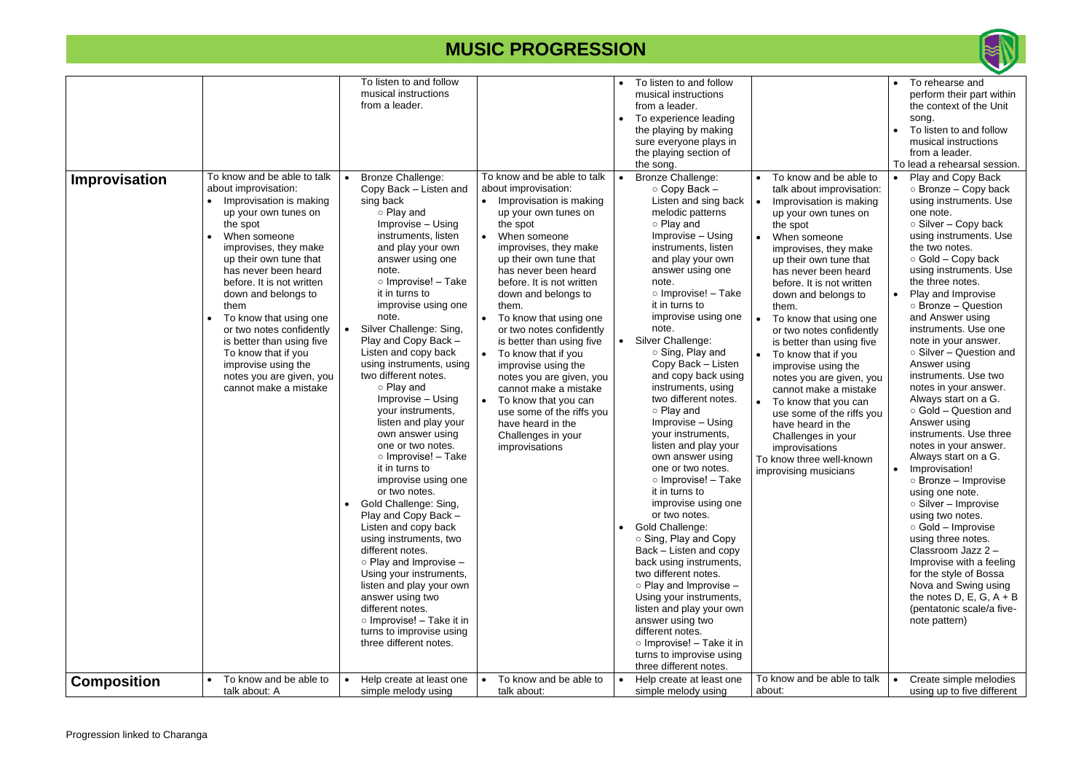

| <b>Composition</b>   | To know and be able to                                                                                                                                                                                                                                                                                                                                                                                                                                          | $\circ$ Improvise! – Take it in<br>turns to improvise using<br>three different notes.<br>Help create at least one                                                                                                                                                                                                                                                                                                                                                                                                                                                                                                                                                                                                                                                                                                                                                                     | To know and be able to                                                                                                                                                                                                                                                                                                                                                                                                                                                                                                                                                             | answer using two<br>different notes.<br>$\circ$ Improvise! – Take it in<br>turns to improvise using<br>three different notes.<br>To know and be able to talk<br>Help create at least one                                                                                                                                                                                                                                                                                                                                                                                                                                                                                                                                                                                                                                                                                                                                                                                                                                                                                                                                                                                                                                                                                                                                                                                                                                                                                                                                                                                                                                                                                                | note pattern)<br>Create simple melodies                                                                                                                                                                                                                                                                                                                                                                                                                                                                                                                                                                                                                                                                                                                                                                                                                                                                                                                                                                                                                                                  |
|----------------------|-----------------------------------------------------------------------------------------------------------------------------------------------------------------------------------------------------------------------------------------------------------------------------------------------------------------------------------------------------------------------------------------------------------------------------------------------------------------|---------------------------------------------------------------------------------------------------------------------------------------------------------------------------------------------------------------------------------------------------------------------------------------------------------------------------------------------------------------------------------------------------------------------------------------------------------------------------------------------------------------------------------------------------------------------------------------------------------------------------------------------------------------------------------------------------------------------------------------------------------------------------------------------------------------------------------------------------------------------------------------|------------------------------------------------------------------------------------------------------------------------------------------------------------------------------------------------------------------------------------------------------------------------------------------------------------------------------------------------------------------------------------------------------------------------------------------------------------------------------------------------------------------------------------------------------------------------------------|-----------------------------------------------------------------------------------------------------------------------------------------------------------------------------------------------------------------------------------------------------------------------------------------------------------------------------------------------------------------------------------------------------------------------------------------------------------------------------------------------------------------------------------------------------------------------------------------------------------------------------------------------------------------------------------------------------------------------------------------------------------------------------------------------------------------------------------------------------------------------------------------------------------------------------------------------------------------------------------------------------------------------------------------------------------------------------------------------------------------------------------------------------------------------------------------------------------------------------------------------------------------------------------------------------------------------------------------------------------------------------------------------------------------------------------------------------------------------------------------------------------------------------------------------------------------------------------------------------------------------------------------------------------------------------------------|------------------------------------------------------------------------------------------------------------------------------------------------------------------------------------------------------------------------------------------------------------------------------------------------------------------------------------------------------------------------------------------------------------------------------------------------------------------------------------------------------------------------------------------------------------------------------------------------------------------------------------------------------------------------------------------------------------------------------------------------------------------------------------------------------------------------------------------------------------------------------------------------------------------------------------------------------------------------------------------------------------------------------------------------------------------------------------------|
| <b>Improvisation</b> | To know and be able to talk<br>about improvisation:<br>Improvisation is making<br>up your own tunes on<br>the spot<br>When someone<br>improvises, they make<br>up their own tune that<br>has never been heard<br>before. It is not written<br>down and belongs to<br>them<br>To know that using one<br>or two notes confidently<br>is better than using five<br>To know that if you<br>improvise using the<br>notes you are given, you<br>cannot make a mistake | from a leader.<br><b>Bronze Challenge:</b><br>Copy Back - Listen and<br>sing back<br>o Play and<br>Improvise – Using<br>instruments, listen<br>and play your own<br>answer using one<br>note.<br>$\circ$ Improvise! - Take<br>it in turns to<br>improvise using one<br>note.<br>Silver Challenge: Sing,<br>Play and Copy Back -<br>Listen and copy back<br>using instruments, using<br>two different notes.<br>○ Play and<br>Improvise - Using<br>your instruments,<br>listen and play your<br>own answer using<br>one or two notes.<br>$\circ$ Improvise! – Take<br>it in turns to<br>improvise using one<br>or two notes.<br>• Gold Challenge: Sing,<br>Play and Copy Back -<br>Listen and copy back<br>using instruments, two<br>different notes.<br>$\circ$ Play and Improvise $-$<br>Using your instruments,<br>listen and play your own<br>answer using two<br>different notes. | To know and be able to talk<br>about improvisation:<br>Improvisation is making<br>up your own tunes on<br>the spot<br>When someone<br>improvises, they make<br>up their own tune that<br>has never been heard<br>before. It is not written<br>down and belongs to<br>them.<br>To know that using one<br>or two notes confidently<br>is better than using five<br>To know that if you<br>improvise using the<br>notes you are given, you<br>cannot make a mistake<br>To know that you can<br>use some of the riffs you<br>have heard in the<br>Challenges in your<br>improvisations | from a leader.<br>To experience leading<br>the playing by making<br>sure everyone plays in<br>the playing section of<br>the song.<br><b>Bronze Challenge:</b><br>To know and be able to<br>$\circ$ Copy Back $-$<br>talk about improvisation:<br>Listen and sing back<br>Improvisation is making<br>$\bullet$<br>melodic patterns<br>up your own tunes on<br>○ Play and<br>the spot<br>Improvise - Using<br>When someone<br>instruments, listen<br>improvises, they make<br>and play your own<br>up their own tune that<br>answer using one<br>has never been heard<br>note.<br>before. It is not written<br>$\circ$ Improvise! – Take<br>down and belongs to<br>it in turns to<br>them.<br>improvise using one<br>To know that using one<br>note.<br>or two notes confidently<br>Silver Challenge:<br>is better than using five<br>$\circ$ Sing, Play and<br>• To know that if you<br>Copy Back - Listen<br>improvise using the<br>and copy back using<br>notes you are given, you<br>instruments, using<br>cannot make a mistake<br>two different notes.<br>To know that you can<br>$\bullet$<br>○ Play and<br>use some of the riffs you<br>Improvise - Using<br>have heard in the<br>your instruments,<br>Challenges in your<br>listen and play your<br>improvisations<br>own answer using<br>To know three well-known<br>one or two notes.<br>improvising musicians<br>$\circ$ Improvise! - Take<br>it in turns to<br>improvise using one<br>or two notes.<br><b>Gold Challenge:</b><br>○ Sing, Play and Copy<br>Back - Listen and copy<br>back using instruments,<br>two different notes.<br>$\circ$ Play and Improvise $-$<br>Using your instruments,<br>listen and play your own | the context of the Unit<br>song.<br>To listen to and follow<br>musical instructions<br>from a leader.<br>To lead a rehearsal session.<br>Play and Copy Back<br>○ Bronze – Copy back<br>using instruments. Use<br>one note.<br>$\circ$ Silver – Copy back<br>using instruments. Use<br>the two notes.<br>$\circ$ Gold – Copy back<br>using instruments. Use<br>the three notes.<br>Play and Improvise<br>$\circ$ Bronze – Question<br>and Answer using<br>instruments. Use one<br>note in your answer.<br>○ Silver – Question and<br>Answer using<br>instruments. Use two<br>notes in your answer.<br>Always start on a G.<br>$\circ$ Gold – Question and<br>Answer using<br>instruments. Use three<br>notes in your answer.<br>Always start on a G.<br>Improvisation!<br>$\circ$ Bronze – Improvise<br>using one note.<br>$\circ$ Silver – Improvise<br>using two notes.<br>$\circ$ Gold – Improvise<br>using three notes.<br>Classroom Jazz 2-<br>Improvise with a feeling<br>for the style of Bossa<br>Nova and Swing using<br>the notes $D, E, G, A + B$<br>(pentatonic scale/a five- |
|                      |                                                                                                                                                                                                                                                                                                                                                                                                                                                                 | To listen to and follow<br>musical instructions                                                                                                                                                                                                                                                                                                                                                                                                                                                                                                                                                                                                                                                                                                                                                                                                                                       |                                                                                                                                                                                                                                                                                                                                                                                                                                                                                                                                                                                    | To listen to and follow<br>musical instructions                                                                                                                                                                                                                                                                                                                                                                                                                                                                                                                                                                                                                                                                                                                                                                                                                                                                                                                                                                                                                                                                                                                                                                                                                                                                                                                                                                                                                                                                                                                                                                                                                                         | To rehearse and<br>perform their part within                                                                                                                                                                                                                                                                                                                                                                                                                                                                                                                                                                                                                                                                                                                                                                                                                                                                                                                                                                                                                                             |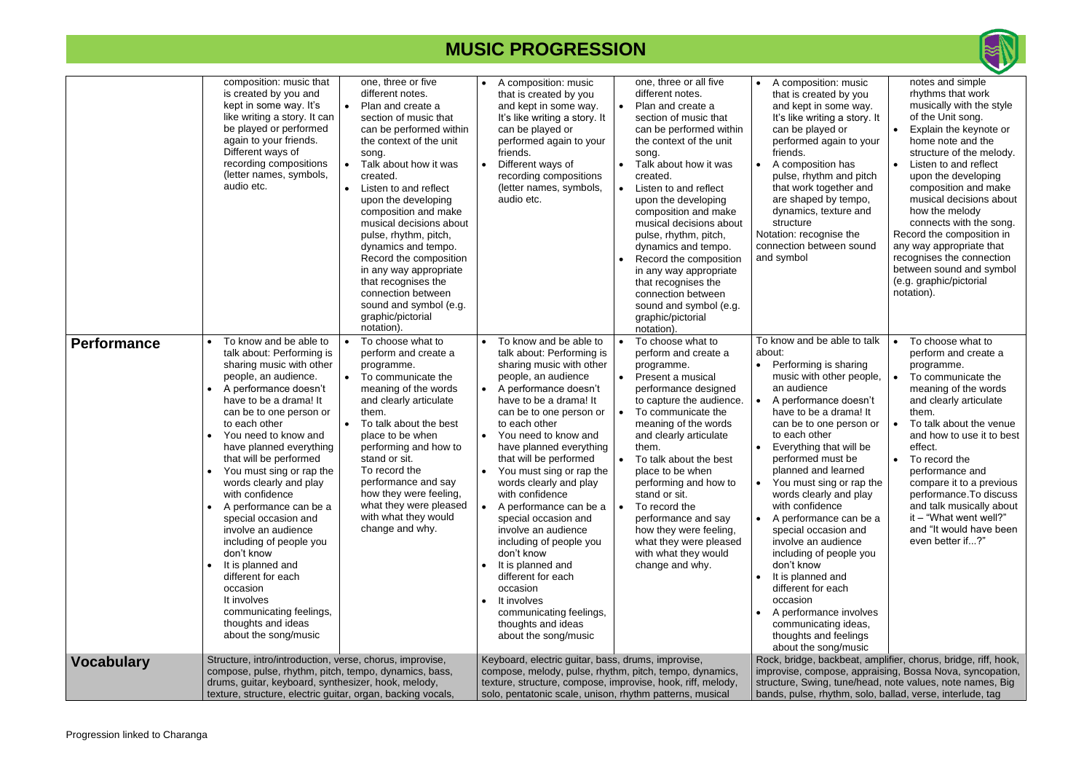

|                    |                                                                                                                                                                                                                                                                                                                                                                                                                                                                                                                                                                                                                                                                                                                                                                                                                                                                                                                                                                                                                                                              |                                                                                                                                                                                                                                                                                                                                                                                                                                                                                                                                                                                                                                                                                                                                                                                                                                                                                                                                                                                                                                                                                  | $\sim$                                                                                                                                                                                                                                                                                                                                                                                                                                                                                                                                                                                                                                                                                                                                                                                                                                                                                                                                                                                                                                                                          |
|--------------------|--------------------------------------------------------------------------------------------------------------------------------------------------------------------------------------------------------------------------------------------------------------------------------------------------------------------------------------------------------------------------------------------------------------------------------------------------------------------------------------------------------------------------------------------------------------------------------------------------------------------------------------------------------------------------------------------------------------------------------------------------------------------------------------------------------------------------------------------------------------------------------------------------------------------------------------------------------------------------------------------------------------------------------------------------------------|----------------------------------------------------------------------------------------------------------------------------------------------------------------------------------------------------------------------------------------------------------------------------------------------------------------------------------------------------------------------------------------------------------------------------------------------------------------------------------------------------------------------------------------------------------------------------------------------------------------------------------------------------------------------------------------------------------------------------------------------------------------------------------------------------------------------------------------------------------------------------------------------------------------------------------------------------------------------------------------------------------------------------------------------------------------------------------|---------------------------------------------------------------------------------------------------------------------------------------------------------------------------------------------------------------------------------------------------------------------------------------------------------------------------------------------------------------------------------------------------------------------------------------------------------------------------------------------------------------------------------------------------------------------------------------------------------------------------------------------------------------------------------------------------------------------------------------------------------------------------------------------------------------------------------------------------------------------------------------------------------------------------------------------------------------------------------------------------------------------------------------------------------------------------------|
|                    | composition: music that<br>one, three or five<br>is created by you and<br>different notes.<br>kept in some way. It's<br>Plan and create a<br>like writing a story. It can<br>section of music that<br>be played or performed<br>can be performed within<br>again to your friends.<br>the context of the unit<br>Different ways of<br>song.<br>recording compositions<br>Talk about how it was<br>(letter names, symbols,<br>created.<br>audio etc.<br>Listen to and reflect<br>upon the developing<br>composition and make<br>musical decisions about<br>pulse, rhythm, pitch,<br>dynamics and tempo.<br>Record the composition<br>in any way appropriate<br>that recognises the<br>connection between<br>sound and symbol (e.g.<br>graphic/pictorial<br>notation).                                                                                                                                                                                                                                                                                          | one, three or all five<br>A composition: music<br>different notes.<br>that is created by you<br>and kept in some way.<br>Plan and create a<br>It's like writing a story. It<br>section of music that<br>can be played or<br>can be performed within<br>performed again to your<br>the context of the unit<br>friends.<br>song.<br>Different ways of<br>Talk about how it was<br>recording compositions<br>created.<br>(letter names, symbols,<br>Listen to and reflect<br>audio etc.<br>upon the developing<br>composition and make<br>musical decisions about<br>pulse, rhythm, pitch,<br>dynamics and tempo.<br>Record the composition<br>in any way appropriate<br>that recognises the<br>connection between<br>sound and symbol (e.g.<br>graphic/pictorial<br>notation).                                                                                                                                                                                                                                                                                                     | notes and simple<br>A composition: music<br>rhythms that work<br>that is created by you<br>musically with the style<br>and kept in some way.<br>of the Unit song.<br>It's like writing a story. It<br>can be played or<br>Explain the keynote or<br>performed again to your<br>home note and the<br>structure of the melody.<br>friends.<br>A composition has<br>Listen to and reflect<br>$\bullet$<br>pulse, rhythm and pitch<br>upon the developing<br>that work together and<br>composition and make<br>musical decisions about<br>are shaped by tempo,<br>dynamics, texture and<br>how the melody<br>connects with the song.<br>structure<br>Record the composition in<br>Notation: recognise the<br>connection between sound<br>any way appropriate that<br>and symbol<br>recognises the connection<br>between sound and symbol<br>(e.g. graphic/pictorial<br>notation).                                                                                                                                                                                                   |
| <b>Performance</b> | To know and be able to<br>To choose what to<br>$\bullet$<br>talk about: Performing is<br>perform and create a<br>sharing music with other<br>programme.<br>people, an audience.<br>To communicate the<br>A performance doesn't<br>meaning of the words<br>$\bullet$<br>have to be a drama! It<br>and clearly articulate<br>them.<br>can be to one person or<br>to each other<br>To talk about the best<br>You need to know and<br>place to be when<br>have planned everything<br>performing and how to<br>that will be performed<br>stand or sit.<br>To record the<br>You must sing or rap the<br>$\bullet$<br>words clearly and play<br>performance and say<br>how they were feeling,<br>with confidence<br>what they were pleased<br>A performance can be a<br>with what they would<br>special occasion and<br>change and why.<br>involve an audience<br>including of people you<br>don't know<br>It is planned and<br>$\bullet$<br>different for each<br>occasion<br>It involves<br>communicating feelings,<br>thoughts and ideas<br>about the song/music | To know and be able to<br>To choose what to<br>talk about: Performing is<br>perform and create a<br>sharing music with other<br>programme.<br>people, an audience<br>Present a musical<br>A performance doesn't<br>performance designed<br>have to be a drama! It<br>to capture the audience.<br>can be to one person or<br>To communicate the<br>to each other<br>meaning of the words<br>You need to know and<br>and clearly articulate<br>have planned everything<br>them.<br>that will be performed<br>To talk about the best<br>You must sing or rap the<br>place to be when<br>performing and how to<br>words clearly and play<br>with confidence<br>stand or sit.<br>A performance can be a<br>To record the<br>special occasion and<br>performance and say<br>involve an audience<br>how they were feeling,<br>including of people you<br>what they were pleased<br>don't know<br>with what they would<br>change and why.<br>It is planned and<br>different for each<br>occasion<br>It involves<br>communicating feelings,<br>thoughts and ideas<br>about the song/music | To know and be able to talk<br>To choose what to<br>about:<br>perform and create a<br>Performing is sharing<br>programme.<br>$\bullet$<br>music with other people,<br>To communicate the<br>an audience<br>meaning of the words<br>A performance doesn't<br>and clearly articulate<br>have to be a drama! It<br>them.<br>can be to one person or<br>To talk about the venue<br>to each other<br>and how to use it to best<br>effect.<br>Everything that will be<br>performed must be<br>To record the<br>planned and learned<br>performance and<br>You must sing or rap the<br>compare it to a previous<br>$\bullet$<br>words clearly and play<br>performance. To discuss<br>with confidence<br>and talk musically about<br>it $-$ "What went well?"<br>A performance can be a<br>and "It would have been<br>special occasion and<br>even better if?"<br>involve an audience<br>including of people you<br>don't know<br>It is planned and<br>different for each<br>occasion<br>A performance involves<br>communicating ideas,<br>thoughts and feelings<br>about the song/music |
| <b>Vocabulary</b>  | Structure, intro/introduction, verse, chorus, improvise,<br>compose, pulse, rhythm, pitch, tempo, dynamics, bass,<br>drums, guitar, keyboard, synthesizer, hook, melody,<br>texture, structure, electric guitar, organ, backing vocals,                                                                                                                                                                                                                                                                                                                                                                                                                                                                                                                                                                                                                                                                                                                                                                                                                      | Keyboard, electric guitar, bass, drums, improvise,<br>compose, melody, pulse, rhythm, pitch, tempo, dynamics,<br>texture, structure, compose, improvise, hook, riff, melody,<br>solo, pentatonic scale, unison, rhythm patterns, musical                                                                                                                                                                                                                                                                                                                                                                                                                                                                                                                                                                                                                                                                                                                                                                                                                                         | Rock, bridge, backbeat, amplifier, chorus, bridge, riff, hook,<br>improvise, compose, appraising, Bossa Nova, syncopation,<br>structure, Swing, tune/head, note values, note names, Big<br>bands, pulse, rhythm, solo, ballad, verse, interlude, tag                                                                                                                                                                                                                                                                                                                                                                                                                                                                                                                                                                                                                                                                                                                                                                                                                            |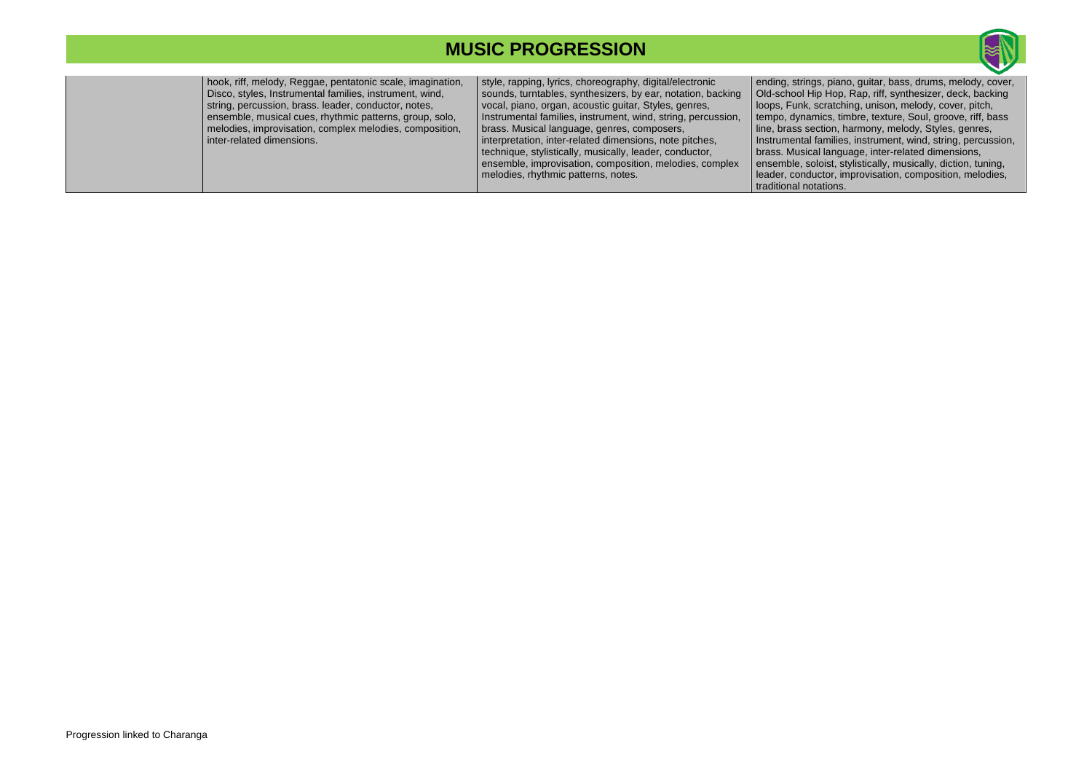

ending, strings, piano, guitar, bass, drums, melody, cover, Old-school Hip Hop, Rap, riff, synthesizer, deck, backing ratching, unison, melody, cover, pitch, tempo, dynamics, timbre, texture, Soul, groove, riff, bass line, brass section, harmony, melody, Styles, genres, Instrumental families, instrument, wind, string, percussion, brass. Musical language, inter-related dimensions, ensemble, soloist, stylistically, musically, diction, tuning, leader, conductor, improvisation, composition, melodies,  $ions.$ 

| hook, riff, melody, Reggae, pentatonic scale, imagination,<br>Disco, styles, Instrumental families, instrument, wind,<br>string, percussion, brass. leader, conductor, notes,<br>ensemble, musical cues, rhythmic patterns, group, solo,<br>melodies, improvisation, complex melodies, composition,<br>inter-related dimensions. | style, rapping, lyrics, choreography, digital/electronic<br>sounds, turntables, synthesizers, by ear, notation, backing<br>vocal, piano, organ, acoustic guitar, Styles, genres,<br>Instrumental families, instrument, wind, string, percussion,<br>brass. Musical language, genres, composers,<br>interpretation, inter-related dimensions, note pitches,<br>technique, stylistically, musically, leader, conductor, | ending, strings,<br>Old-school Hip I<br>loops, Funk, scr.<br>tempo, dynamic<br>line, brass section<br>Instrumental fan |
|----------------------------------------------------------------------------------------------------------------------------------------------------------------------------------------------------------------------------------------------------------------------------------------------------------------------------------|-----------------------------------------------------------------------------------------------------------------------------------------------------------------------------------------------------------------------------------------------------------------------------------------------------------------------------------------------------------------------------------------------------------------------|------------------------------------------------------------------------------------------------------------------------|
|                                                                                                                                                                                                                                                                                                                                  | ensemble, improvisation, composition, melodies, complex<br>melodies, rhythmic patterns, notes.                                                                                                                                                                                                                                                                                                                        | brass. Musical la<br>ensemble, solois<br>leader, conducto<br>traditional notati                                        |
|                                                                                                                                                                                                                                                                                                                                  |                                                                                                                                                                                                                                                                                                                                                                                                                       |                                                                                                                        |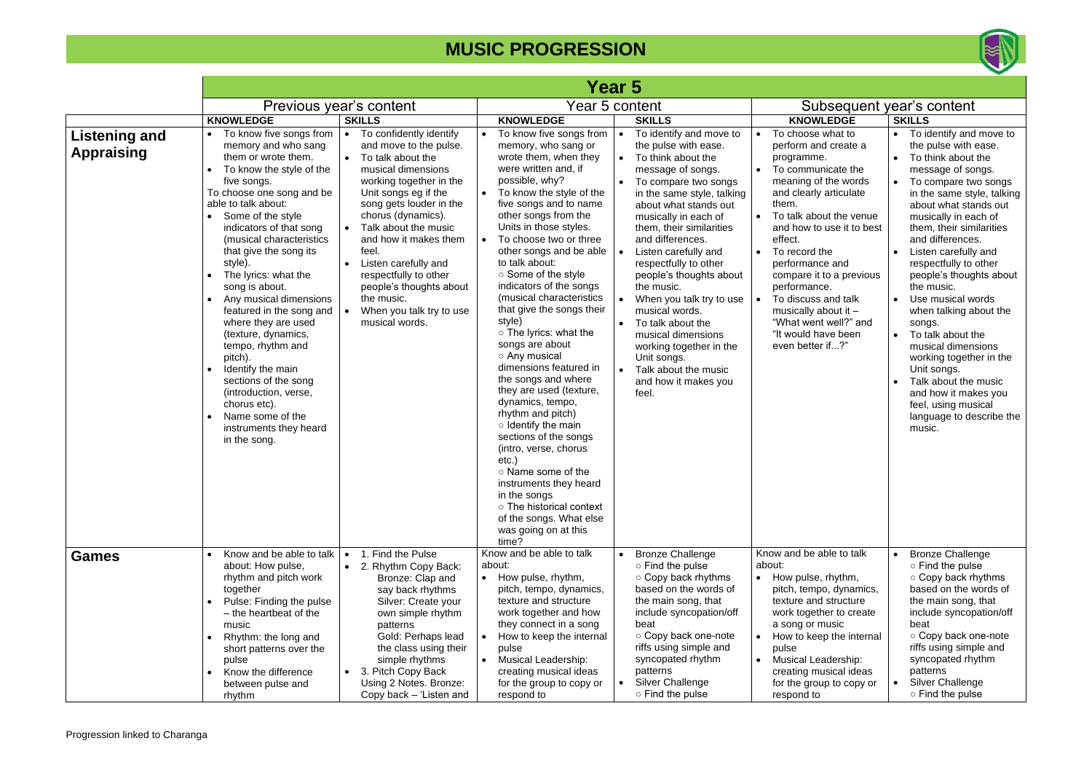

|                                           | Year 5                                                                                                                                                                                                                                                                                                                                                                                                                                                                                                                                                                                                                                            |                                                                                                                                                                                                                                                                                                                                                                                                                               |                                                                                                                                                                                                                                                                                                                                                                                                                                                                                                                                                                                                                                                                                                                                                                                                                                                                                       |                                                                                                                                                                                                                                                                                                                                                                                                                                                                                                                                         |                                                                                                                                                                                                                                                                                                                                                                                                                               |                                                                                                                                                                                                                                                                                                                                                                                                                                                                                                                                                                                                            |
|-------------------------------------------|---------------------------------------------------------------------------------------------------------------------------------------------------------------------------------------------------------------------------------------------------------------------------------------------------------------------------------------------------------------------------------------------------------------------------------------------------------------------------------------------------------------------------------------------------------------------------------------------------------------------------------------------------|-------------------------------------------------------------------------------------------------------------------------------------------------------------------------------------------------------------------------------------------------------------------------------------------------------------------------------------------------------------------------------------------------------------------------------|---------------------------------------------------------------------------------------------------------------------------------------------------------------------------------------------------------------------------------------------------------------------------------------------------------------------------------------------------------------------------------------------------------------------------------------------------------------------------------------------------------------------------------------------------------------------------------------------------------------------------------------------------------------------------------------------------------------------------------------------------------------------------------------------------------------------------------------------------------------------------------------|-----------------------------------------------------------------------------------------------------------------------------------------------------------------------------------------------------------------------------------------------------------------------------------------------------------------------------------------------------------------------------------------------------------------------------------------------------------------------------------------------------------------------------------------|-------------------------------------------------------------------------------------------------------------------------------------------------------------------------------------------------------------------------------------------------------------------------------------------------------------------------------------------------------------------------------------------------------------------------------|------------------------------------------------------------------------------------------------------------------------------------------------------------------------------------------------------------------------------------------------------------------------------------------------------------------------------------------------------------------------------------------------------------------------------------------------------------------------------------------------------------------------------------------------------------------------------------------------------------|
|                                           | <b>KNOWLEDGE</b>                                                                                                                                                                                                                                                                                                                                                                                                                                                                                                                                                                                                                                  | Previous year's content<br><b>SKILLS</b>                                                                                                                                                                                                                                                                                                                                                                                      | Year 5 content<br><b>KNOWLEDGE</b>                                                                                                                                                                                                                                                                                                                                                                                                                                                                                                                                                                                                                                                                                                                                                                                                                                                    | <b>SKILLS</b>                                                                                                                                                                                                                                                                                                                                                                                                                                                                                                                           | Subsequent year's content<br><b>KNOWLEDGE</b>                                                                                                                                                                                                                                                                                                                                                                                 | <b>SKILLS</b>                                                                                                                                                                                                                                                                                                                                                                                                                                                                                                                                                                                              |
| <b>Listening and</b><br><b>Appraising</b> | To know five songs from<br>$\bullet$<br>memory and who sang<br>them or wrote them.<br>To know the style of the<br>five songs.<br>To choose one song and be<br>able to talk about:<br>Some of the style<br>indicators of that song<br>(musical characteristics<br>that give the song its<br>style).<br>The lyrics: what the<br>song is about.<br>Any musical dimensions<br>$\bullet$<br>featured in the song and<br>where they are used<br>(texture, dynamics,<br>tempo, rhythm and<br>pitch).<br>Identify the main<br>sections of the song<br>(introduction, verse,<br>chorus etc).<br>Name some of the<br>instruments they heard<br>in the song. | To confidently identify<br>and move to the pulse.<br>• To talk about the<br>musical dimensions<br>working together in the<br>Unit songs eg if the<br>song gets louder in the<br>chorus (dynamics).<br>Talk about the music<br>$\bullet$<br>and how it makes them<br>feel<br>Listen carefully and<br>$\bullet$<br>respectfully to other<br>people's thoughts about<br>the music.<br>When you talk try to use<br>musical words. | To know five songs from<br>memory, who sang or<br>wrote them, when they<br>$\bullet$<br>were written and, if<br>possible, why?<br>To know the style of the<br>$\bullet$<br>five songs and to name<br>other songs from the<br>Units in those styles.<br>To choose two or three<br>other songs and be able<br>to talk about:<br>○ Some of the style<br>indicators of the songs<br>(musical characteristics<br>that give the songs their<br>style)<br>o The lyrics: what the<br>songs are about<br>○ Any musical<br>dimensions featured in<br>the songs and where<br>they are used (texture,<br>dynamics, tempo,<br>rhythm and pitch)<br>$\circ$ Identify the main<br>sections of the songs<br>(intro, verse, chorus<br>$etc.$ )<br>○ Name some of the<br>instruments they heard<br>in the songs<br>o The historical context<br>of the songs. What else<br>was going on at this<br>time? | To identify and move to<br>the pulse with ease.<br>To think about the<br>message of songs.<br>To compare two songs<br>in the same style, talking<br>about what stands out<br>musically in each of<br>them, their similarities<br>and differences.<br>Listen carefully and<br>respectfully to other<br>people's thoughts about<br>the music.<br>When you talk try to use<br>musical words.<br>To talk about the<br>musical dimensions<br>working together in the<br>Unit songs.<br>Talk about the music<br>and how it makes you<br>feel. | To choose what to<br>perform and create a<br>programme.<br>To communicate the<br>meaning of the words<br>and clearly articulate<br>them.<br>To talk about the venue<br>and how to use it to best<br>effect.<br>To record the<br>$\bullet$<br>performance and<br>compare it to a previous<br>performance.<br>To discuss and talk<br>musically about it $-$<br>"What went well?" and<br>"It would have been<br>even better if?" | • To identify and move to<br>the pulse with ease.<br>• To think about the<br>message of songs.<br>To compare two songs<br>in the same style, talking<br>about what stands out<br>musically in each of<br>them, their similarities<br>and differences.<br>Listen carefully and<br>respectfully to other<br>people's thoughts about<br>the music.<br>Use musical words<br>when talking about the<br>songs.<br>To talk about the<br>musical dimensions<br>working together in the<br>Unit songs.<br>Talk about the music<br>and how it makes you<br>feel, using musical<br>language to describe the<br>music. |
| <b>Games</b>                              | Know and be able to talk<br>about: How pulse,<br>rhythm and pitch work<br>together<br>Pulse: Finding the pulse<br>$\bullet$<br>- the heartbeat of the<br>music<br>Rhythm: the long and<br>short patterns over the<br>pulse<br>Know the difference<br>$\bullet$<br>between pulse and<br>rhythm                                                                                                                                                                                                                                                                                                                                                     | 1. Find the Pulse<br>• 2. Rhythm Copy Back:<br>Bronze: Clap and<br>say back rhythms<br>Silver: Create your<br>own simple rhythm<br>patterns<br>Gold: Perhaps lead<br>the class using their<br>simple rhythms<br>3. Pitch Copy Back<br>Using 2 Notes. Bronze:<br>Copy back - 'Listen and                                                                                                                                       | Know and be able to talk<br>about:<br>• How pulse, rhythm,<br>pitch, tempo, dynamics,<br>texture and structure<br>work together and how<br>they connect in a song<br>How to keep the internal<br>pulse<br><b>Musical Leadership:</b><br>$\bullet$<br>creating musical ideas<br>for the group to copy or<br>respond to                                                                                                                                                                                                                                                                                                                                                                                                                                                                                                                                                                 | <b>Bronze Challenge</b><br>$\circ$ Find the pulse<br>○ Copy back rhythms<br>based on the words of<br>the main song, that<br>include syncopation/off<br>beat<br>○ Copy back one-note<br>riffs using simple and<br>syncopated rhythm<br>patterns<br><b>Silver Challenge</b><br>$\circ$ Find the pulse                                                                                                                                                                                                                                     | Know and be able to talk<br>about:<br>• How pulse, rhythm,<br>pitch, tempo, dynamics,<br>texture and structure<br>work together to create<br>a song or music<br>How to keep the internal<br>pulse<br><b>Musical Leadership:</b><br>$\bullet$<br>creating musical ideas<br>for the group to copy or<br>respond to                                                                                                              | <b>Bronze Challenge</b><br>$\circ$ Find the pulse<br>○ Copy back rhythms<br>based on the words of<br>the main song, that<br>include syncopation/off<br>beat<br>○ Copy back one-note<br>riffs using simple and<br>syncopated rhythm<br>patterns<br><b>Silver Challenge</b><br>○ Find the pulse                                                                                                                                                                                                                                                                                                              |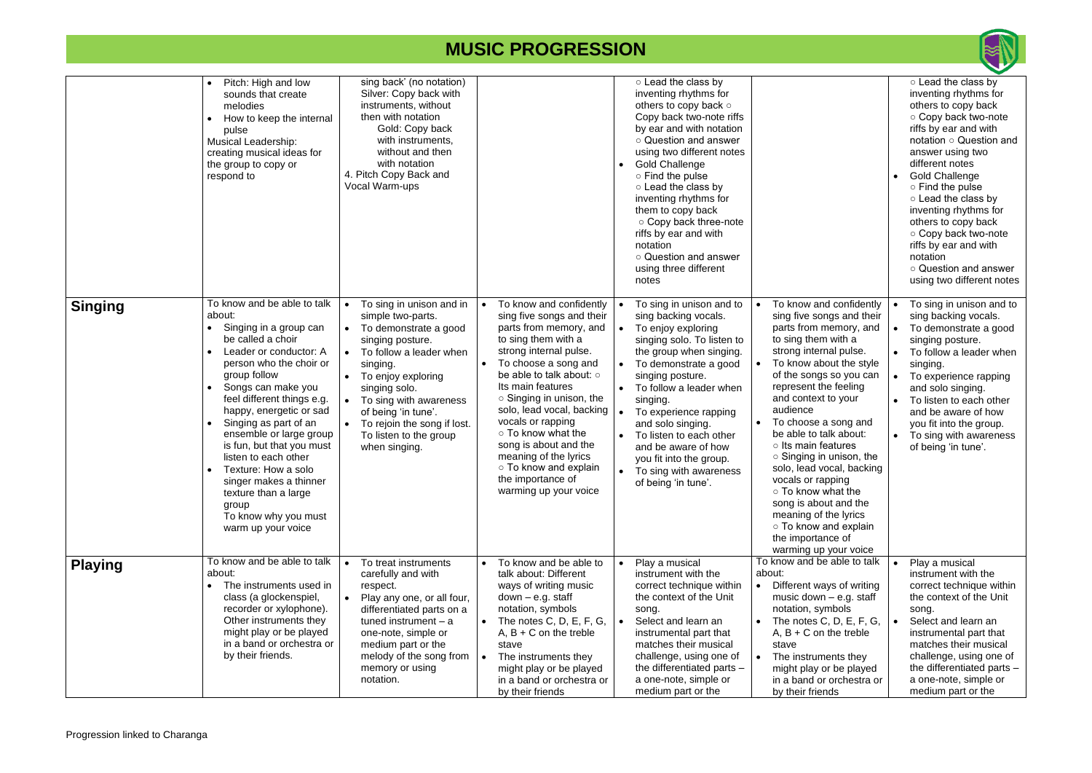

|                | Pitch: High and low<br>sounds that create<br>melodies<br>How to keep the internal<br>pulse<br><b>Musical Leadership:</b><br>creating musical ideas for<br>the group to copy or<br>respond to                                                                                                                                                                                                                                                                                      | sing back' (no notation)<br>Silver: Copy back with<br>instruments, without<br>then with notation<br>Gold: Copy back<br>with instruments,<br>without and then<br>with notation<br>4. Pitch Copy Back and<br>Vocal Warm-ups                                                                               |                                                                                                                                                                                                                                                                                                                                                                                                                                             | $\circ$ Lead the class by<br>inventing rhythms for<br>others to copy back $\circ$<br>Copy back two-note riffs<br>by ear and with notation<br>○ Question and answer<br>using two different notes<br><b>Gold Challenge</b><br>o Find the pulse<br>○ Lead the class by<br>inventing rhythms for<br>them to copy back<br>○ Copy back three-note<br>riffs by ear and with<br>notation<br>○ Question and answer<br>using three different<br>notes |                                                                                                                                                                                                                                                                                                                                                                                                                                                                                                                                                               | ○ Lead the class by<br>inventing rhythms for<br>others to copy back<br>○ Copy back two-note<br>riffs by ear and with<br>notation o Question and<br>answer using two<br>different notes<br><b>Gold Challenge</b><br>$\circ$ Find the pulse<br>○ Lead the class by<br>inventing rhythms for<br>others to copy back<br>○ Copy back two-note<br>riffs by ear and with<br>notation<br>o Question and answer<br>using two different notes |
|----------------|-----------------------------------------------------------------------------------------------------------------------------------------------------------------------------------------------------------------------------------------------------------------------------------------------------------------------------------------------------------------------------------------------------------------------------------------------------------------------------------|---------------------------------------------------------------------------------------------------------------------------------------------------------------------------------------------------------------------------------------------------------------------------------------------------------|---------------------------------------------------------------------------------------------------------------------------------------------------------------------------------------------------------------------------------------------------------------------------------------------------------------------------------------------------------------------------------------------------------------------------------------------|---------------------------------------------------------------------------------------------------------------------------------------------------------------------------------------------------------------------------------------------------------------------------------------------------------------------------------------------------------------------------------------------------------------------------------------------|---------------------------------------------------------------------------------------------------------------------------------------------------------------------------------------------------------------------------------------------------------------------------------------------------------------------------------------------------------------------------------------------------------------------------------------------------------------------------------------------------------------------------------------------------------------|-------------------------------------------------------------------------------------------------------------------------------------------------------------------------------------------------------------------------------------------------------------------------------------------------------------------------------------------------------------------------------------------------------------------------------------|
| <b>Singing</b> | To know and be able to talk<br>about:<br>Singing in a group can<br>be called a choir<br>Leader or conductor: A<br>person who the choir or<br>group follow<br>Songs can make you<br>feel different things e.g.<br>happy, energetic or sad<br>Singing as part of an<br>ensemble or large group<br>is fun, but that you must<br>listen to each other<br>Texture: How a solo<br>singer makes a thinner<br>texture than a large<br>group<br>To know why you must<br>warm up your voice | To sing in unison and in<br>simple two-parts.<br>To demonstrate a good<br>singing posture.<br>To follow a leader when<br>singing.<br>• To enjoy exploring<br>singing solo.<br>• To sing with awareness<br>of being 'in tune'.<br>To rejoin the song if lost.<br>To listen to the group<br>when singing. | To know and confidently<br>sing five songs and their<br>parts from memory, and<br>to sing them with a<br>strong internal pulse.<br>To choose a song and<br>be able to talk about: o<br>Its main features<br>$\circ$ Singing in unison, the<br>solo, lead vocal, backing<br>vocals or rapping<br>○ To know what the<br>song is about and the<br>meaning of the lyrics<br>○ To know and explain<br>the importance of<br>warming up your voice | To sing in unison and to<br>sing backing vocals.<br>To enjoy exploring<br>singing solo. To listen to<br>the group when singing.<br>To demonstrate a good<br>singing posture.<br>To follow a leader when<br>singing.<br>To experience rapping<br>and solo singing.<br>To listen to each other<br>and be aware of how<br>you fit into the group.<br>To sing with awareness<br>of being 'in tune'.                                             | To know and confidently<br>sing five songs and their<br>parts from memory, and<br>to sing them with a<br>strong internal pulse.<br>To know about the style<br>of the songs so you can<br>represent the feeling<br>and context to your<br>audience<br>To choose a song and<br>be able to talk about:<br>○ Its main features<br>$\circ$ Singing in unison, the<br>solo, lead vocal, backing<br>vocals or rapping<br>○ To know what the<br>song is about and the<br>meaning of the lyrics<br>○ To know and explain<br>the importance of<br>warming up your voice | To sing in unison and to<br>sing backing vocals.<br>To demonstrate a good<br>singing posture.<br>To follow a leader when<br>singing.<br>To experience rapping<br>and solo singing.<br>To listen to each other<br>and be aware of how<br>you fit into the group.<br>• To sing with awareness<br>of being 'in tune'.                                                                                                                  |
| <b>Playing</b> | To know and be able to talk<br>about:<br>The instruments used in<br>class (a glockenspiel,<br>recorder or xylophone).<br>Other instruments they<br>might play or be played<br>in a band or orchestra or<br>by their friends.                                                                                                                                                                                                                                                      | To treat instruments<br>carefully and with<br>respect.<br>Play any one, or all four,<br>differentiated parts on a<br>tuned instrument $-$ a<br>one-note, simple or<br>medium part or the<br>melody of the song from<br>memory or using<br>notation.                                                     | To know and be able to<br>talk about: Different<br>ways of writing music<br>$down - e.g.$ staff<br>notation, symbols<br>The notes $C, D, E, F, G$ ,<br>$A, B + C$ on the treble<br>stave<br>The instruments they<br>might play or be played<br>in a band or orchestra or<br>by their friends                                                                                                                                                | Play a musical<br>instrument with the<br>correct technique within<br>the context of the Unit<br>song.<br>Select and learn an<br>instrumental part that<br>matches their musical<br>challenge, using one of<br>the differentiated parts -<br>a one-note, simple or<br>medium part or the                                                                                                                                                     | To know and be able to talk<br>about:<br>• Different ways of writing<br>music down $-$ e.g. staff<br>notation, symbols<br>• The notes C, D, E, F, G,<br>$A, B + C$ on the treble<br>stave<br>The instruments they<br>$\bullet$<br>might play or be played<br>in a band or orchestra or<br>by their friends                                                                                                                                                                                                                                                    | Play a musical<br>instrument with the<br>correct technique within<br>the context of the Unit<br>song.<br>Select and learn an<br>instrumental part that<br>matches their musical<br>challenge, using one of<br>the differentiated parts -<br>a one-note, simple or<br>medium part or the                                                                                                                                             |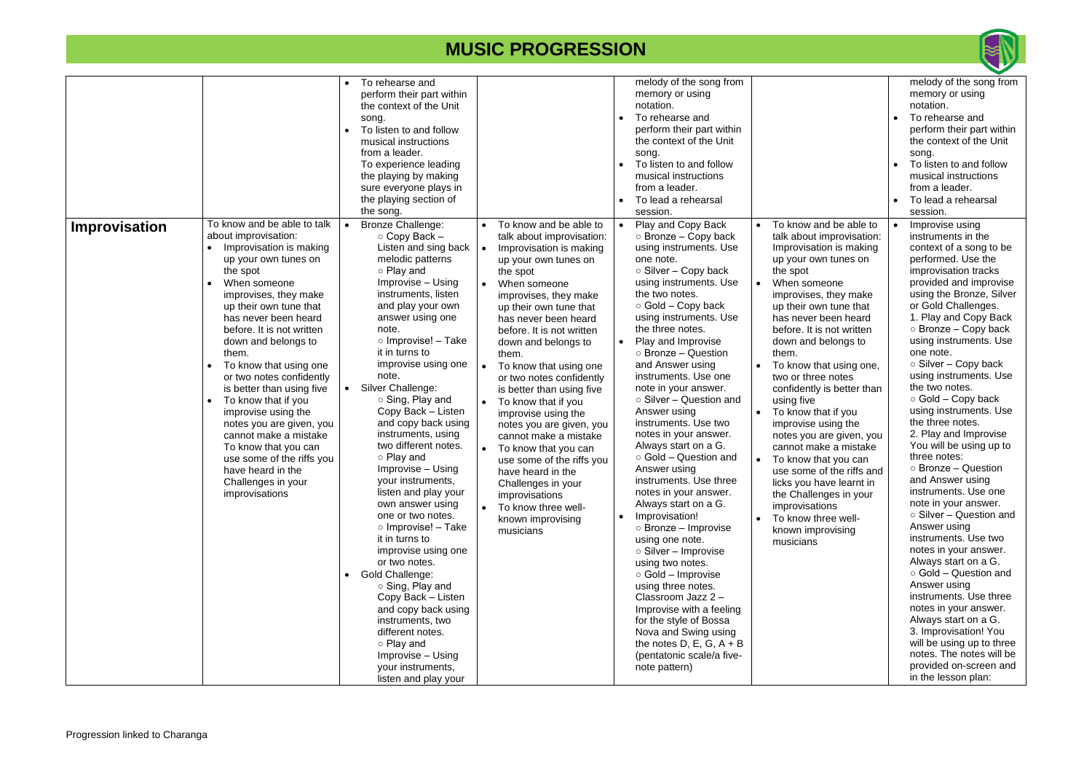|                      |                                                                                                                                                                                                                                                                                                                                                                                                                                                                                                                                                                  |                                                                                                                                                                                                                                                                                                                                                                                                                                                                                                                                                                                                                                                                                                                                                                                                                                           | <b>MUSIC PROGRESSION</b>                                                                                                                                                                                                                                                                                                                                                                                                                                                                                                                                                                                                                                 |                                                                                                                                                                                                                                                                                                                                                                                                                                                                                                                                                                                                                                                                                                                                                                                                                                                                                                                                                  |                                                                                                                                                                                                                                                                                                                                                                                                                                                                                                                                                                                                                                          |                                                                                                                                                                                                                                                                                                                                                                                                                                                                                                                                                                                                                                                                                                                                                                                                                                                                                                                                                                                  |
|----------------------|------------------------------------------------------------------------------------------------------------------------------------------------------------------------------------------------------------------------------------------------------------------------------------------------------------------------------------------------------------------------------------------------------------------------------------------------------------------------------------------------------------------------------------------------------------------|-------------------------------------------------------------------------------------------------------------------------------------------------------------------------------------------------------------------------------------------------------------------------------------------------------------------------------------------------------------------------------------------------------------------------------------------------------------------------------------------------------------------------------------------------------------------------------------------------------------------------------------------------------------------------------------------------------------------------------------------------------------------------------------------------------------------------------------------|----------------------------------------------------------------------------------------------------------------------------------------------------------------------------------------------------------------------------------------------------------------------------------------------------------------------------------------------------------------------------------------------------------------------------------------------------------------------------------------------------------------------------------------------------------------------------------------------------------------------------------------------------------|--------------------------------------------------------------------------------------------------------------------------------------------------------------------------------------------------------------------------------------------------------------------------------------------------------------------------------------------------------------------------------------------------------------------------------------------------------------------------------------------------------------------------------------------------------------------------------------------------------------------------------------------------------------------------------------------------------------------------------------------------------------------------------------------------------------------------------------------------------------------------------------------------------------------------------------------------|------------------------------------------------------------------------------------------------------------------------------------------------------------------------------------------------------------------------------------------------------------------------------------------------------------------------------------------------------------------------------------------------------------------------------------------------------------------------------------------------------------------------------------------------------------------------------------------------------------------------------------------|----------------------------------------------------------------------------------------------------------------------------------------------------------------------------------------------------------------------------------------------------------------------------------------------------------------------------------------------------------------------------------------------------------------------------------------------------------------------------------------------------------------------------------------------------------------------------------------------------------------------------------------------------------------------------------------------------------------------------------------------------------------------------------------------------------------------------------------------------------------------------------------------------------------------------------------------------------------------------------|
|                      | To know and be able to talk                                                                                                                                                                                                                                                                                                                                                                                                                                                                                                                                      | To rehearse and<br>perform their part within<br>the context of the Unit<br>song.<br>To listen to and follow<br>musical instructions<br>from a leader.<br>To experience leading<br>the playing by making<br>sure everyone plays in<br>the playing section of<br>the song.<br><b>Bronze Challenge:</b>                                                                                                                                                                                                                                                                                                                                                                                                                                                                                                                                      | To know and be able to                                                                                                                                                                                                                                                                                                                                                                                                                                                                                                                                                                                                                                   | melody of the song from<br>memory or using<br>notation.<br>To rehearse and<br>perform their part within<br>the context of the Unit<br>song.<br>To listen to and follow<br>musical instructions<br>from a leader.<br>To lead a rehearsal<br>session.<br>Play and Copy Back                                                                                                                                                                                                                                                                                                                                                                                                                                                                                                                                                                                                                                                                        | To know and be able to                                                                                                                                                                                                                                                                                                                                                                                                                                                                                                                                                                                                                   | melody of the song from<br>memory or using<br>notation.<br>To rehearse and<br>$\bullet$<br>perform their part within<br>the context of the Unit<br>song.<br>To listen to and follow<br>$\bullet$<br>musical instructions<br>from a leader.<br>To lead a rehearsal<br>session.<br>Improvise using                                                                                                                                                                                                                                                                                                                                                                                                                                                                                                                                                                                                                                                                                 |
| <b>Improvisation</b> | about improvisation:<br>Improvisation is making<br>up your own tunes on<br>the spot<br>When someone<br>improvises, they make<br>up their own tune that<br>has never been heard<br>before. It is not written<br>down and belongs to<br>them.<br>To know that using one<br>or two notes confidently<br>is better than using five<br>To know that if you<br>$\bullet$<br>improvise using the<br>notes you are given, you<br>cannot make a mistake<br>To know that you can<br>use some of the riffs you<br>have heard in the<br>Challenges in your<br>improvisations | $\circ$ Copy Back $-$<br>Listen and sing back<br>melodic patterns<br>○ Play and<br>Improvise - Using<br>instruments, listen<br>and play your own<br>answer using one<br>note.<br>$\circ$ Improvise! – Take<br>it in turns to<br>improvise using one<br>note.<br>Silver Challenge:<br>$\circ$ Sing, Play and<br>Copy Back - Listen<br>and copy back using<br>instruments, using<br>two different notes.<br>○ Play and<br>Improvise – Using<br>your instruments,<br>listen and play your<br>own answer using<br>one or two notes.<br>$\circ$ Improvise! – Take<br>it in turns to<br>improvise using one<br>or two notes.<br><b>Gold Challenge:</b><br>○ Sing, Play and<br>Copy Back – Listen<br>and copy back using<br>instruments, two<br>different notes.<br>o Play and<br>Improvise - Using<br>your instruments,<br>listen and play your | talk about improvisation:<br>Improvisation is making<br>up your own tunes on<br>the spot<br>When someone<br>$\bullet$<br>improvises, they make<br>up their own tune that<br>has never been heard<br>before. It is not written<br>down and belongs to<br>them.<br>To know that using one<br>or two notes confidently<br>is better than using five<br>To know that if you<br>$\bullet$<br>improvise using the<br>notes you are given, you<br>cannot make a mistake<br>To know that you can<br>$\bullet$<br>use some of the riffs you<br>have heard in the<br>Challenges in your<br>improvisations<br>To know three well-<br>known improvising<br>musicians | $\circ$ Bronze – Copy back<br>using instruments. Use<br>one note.<br>$\circ$ Silver – Copy back<br>using instruments. Use<br>the two notes.<br>$\circ$ Gold – Copy back<br>using instruments. Use<br>the three notes.<br>Play and Improvise<br>$\circ$ Bronze – Question<br>and Answer using<br>instruments. Use one<br>note in your answer.<br>$\circ$ Silver – Question and<br>Answer using<br>instruments. Use two<br>notes in your answer.<br>Always start on a G.<br>$\circ$ Gold - Question and<br>Answer using<br>instruments. Use three<br>notes in your answer.<br>Always start on a G.<br>Improvisation!<br>$\circ$ Bronze – Improvise<br>using one note.<br>$\circ$ Silver – Improvise<br>using two notes.<br>○ Gold - Improvise<br>using three notes.<br>Classroom Jazz 2-<br>Improvise with a feeling<br>for the style of Bossa<br>Nova and Swing using<br>the notes $D, E, G, A + B$<br>(pentatonic scale/a five-<br>note pattern) | talk about improvisation:<br>Improvisation is making<br>up your own tunes on<br>the spot<br>When someone<br>improvises, they make<br>up their own tune that<br>has never been heard<br>before. It is not written<br>down and belongs to<br>them.<br>To know that using one,<br>two or three notes<br>confidently is better than<br>using five<br>• To know that if you<br>improvise using the<br>notes you are given, you<br>cannot make a mistake<br>To know that you can<br>use some of the riffs and<br>licks you have learnt in<br>the Challenges in your<br>improvisations<br>To know three well-<br>known improvising<br>musicians | instruments in the<br>context of a song to be<br>performed. Use the<br>improvisation tracks<br>provided and improvise<br>using the Bronze, Silver<br>or Gold Challenges.<br>1. Play and Copy Back<br>$\circ$ Bronze – Copy back<br>using instruments. Use<br>one note.<br>$\circ$ Silver – Copy back<br>using instruments. Use<br>the two notes.<br>$\circ$ Gold – Copy back<br>using instruments. Use<br>the three notes.<br>2. Play and Improvise<br>You will be using up to<br>three notes:<br>$\circ$ Bronze – Question<br>and Answer using<br>instruments. Use one<br>note in your answer.<br>$\circ$ Silver – Question and<br>Answer using<br>instruments. Use two<br>notes in your answer.<br>Always start on a G.<br>○ Gold – Question and<br>Answer using<br>instruments. Use three<br>notes in your answer.<br>Always start on a G.<br>3. Improvisation! You<br>will be using up to three<br>notes. The notes will be<br>provided on-screen and<br>in the lesson plan: |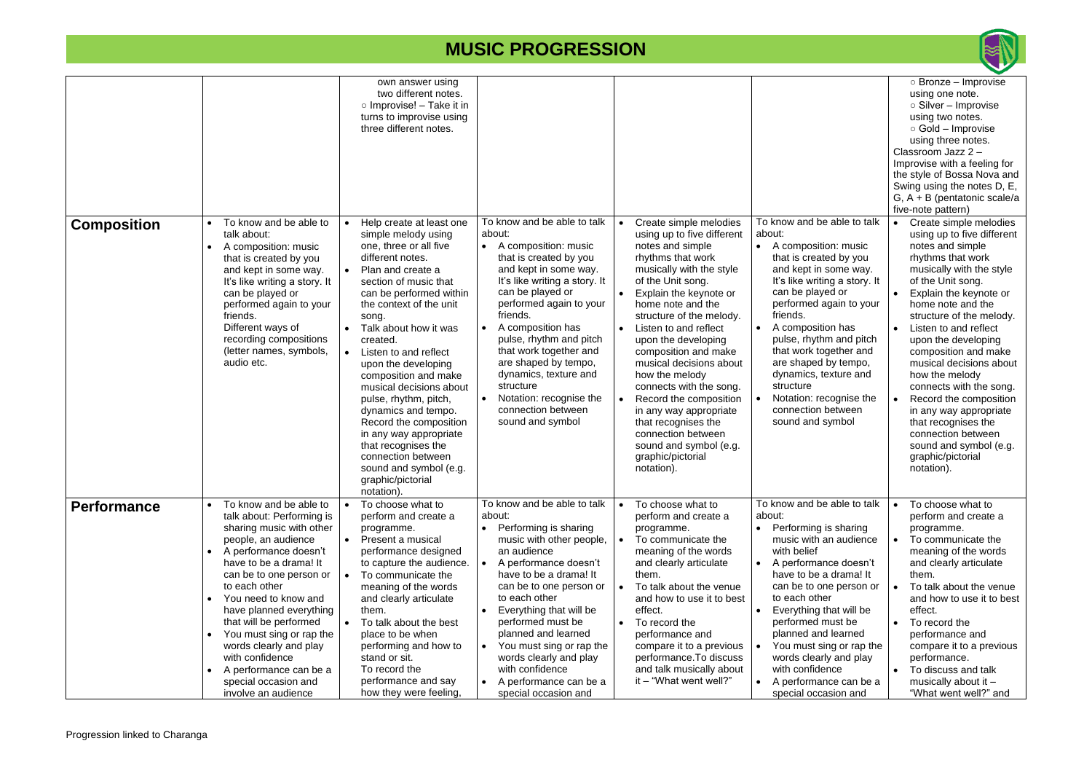|                    |                                                                                                                                                                                                                                                                                                                                                                                                                                                                                                                                                                                                                                                                                                                                                                                                                                                                          |                                                                                                                                                                                                                                                                                                                                                                                                                                                                                                                                                                                                                                                                                                                                                                                                                                                                                                                                                                                                                                                                                                                                                                                                                                                                                                                                                                      | W                                                                                                                                                                                                                                                                                                                                                                                                                                                                                                                                                                        |
|--------------------|--------------------------------------------------------------------------------------------------------------------------------------------------------------------------------------------------------------------------------------------------------------------------------------------------------------------------------------------------------------------------------------------------------------------------------------------------------------------------------------------------------------------------------------------------------------------------------------------------------------------------------------------------------------------------------------------------------------------------------------------------------------------------------------------------------------------------------------------------------------------------|----------------------------------------------------------------------------------------------------------------------------------------------------------------------------------------------------------------------------------------------------------------------------------------------------------------------------------------------------------------------------------------------------------------------------------------------------------------------------------------------------------------------------------------------------------------------------------------------------------------------------------------------------------------------------------------------------------------------------------------------------------------------------------------------------------------------------------------------------------------------------------------------------------------------------------------------------------------------------------------------------------------------------------------------------------------------------------------------------------------------------------------------------------------------------------------------------------------------------------------------------------------------------------------------------------------------------------------------------------------------|--------------------------------------------------------------------------------------------------------------------------------------------------------------------------------------------------------------------------------------------------------------------------------------------------------------------------------------------------------------------------------------------------------------------------------------------------------------------------------------------------------------------------------------------------------------------------|
|                    | own answer using<br>two different notes.<br>$\circ$ Improvise! – Take it in<br>turns to improvise using<br>three different notes.                                                                                                                                                                                                                                                                                                                                                                                                                                                                                                                                                                                                                                                                                                                                        |                                                                                                                                                                                                                                                                                                                                                                                                                                                                                                                                                                                                                                                                                                                                                                                                                                                                                                                                                                                                                                                                                                                                                                                                                                                                                                                                                                      | ○ Bronze - Improvise<br>using one note.<br>$\circ$ Silver – Improvise<br>using two notes.<br>○ Gold - Improvise<br>using three notes.<br>Classroom Jazz 2-<br>Improvise with a feeling for<br>the style of Bossa Nova and<br>Swing using the notes D, E,<br>$G, A + B$ (pentatonic scale/a<br>five-note pattern)                                                                                                                                                                                                                                                         |
| <b>Composition</b> | To know and be able to<br>Help create at least one<br>talk about:<br>simple melody using<br>one, three or all five<br>A composition: music<br>different notes.<br>that is created by you<br>Plan and create a<br>and kept in some way.<br>section of music that<br>It's like writing a story. It<br>can be played or<br>can be performed within<br>performed again to your<br>the context of the unit<br>friends.<br>song.<br>Different ways of<br>Talk about how it was<br>recording compositions<br>created.<br>(letter names, symbols,<br>Listen to and reflect<br>audio etc.<br>upon the developing<br>composition and make<br>musical decisions about<br>pulse, rhythm, pitch,<br>dynamics and tempo.<br>Record the composition<br>in any way appropriate<br>that recognises the<br>connection between<br>sound and symbol (e.g.<br>graphic/pictorial<br>notation). | To know and be able to talk<br>To know and be able to talk<br>Create simple melodies<br>about:<br>about:<br>using up to five different<br>• A composition: music<br>• A composition: music<br>notes and simple<br>that is created by you<br>rhythms that work<br>that is created by you<br>and kept in some way.<br>musically with the style<br>and kept in some way.<br>It's like writing a story. It<br>of the Unit song.<br>can be played or<br>can be played or<br>Explain the keynote or<br>performed again to your<br>performed again to your<br>home note and the<br>friends.<br>friends.<br>structure of the melody.<br>A composition has<br>A composition has<br>Listen to and reflect<br>pulse, rhythm and pitch<br>pulse, rhythm and pitch<br>upon the developing<br>that work together and<br>composition and make<br>that work together and<br>are shaped by tempo,<br>are shaped by tempo,<br>musical decisions about<br>dynamics, texture and<br>dynamics, texture and<br>how the melody<br>structure<br>structure<br>connects with the song.<br>Notation: recognise the<br>Notation: recognise the<br>Record the composition<br>connection between<br>connection between<br>in any way appropriate<br>sound and symbol<br>sound and symbol<br>that recognises the<br>connection between<br>sound and symbol (e.g.<br>graphic/pictorial<br>notation). | Create simple melodies<br>using up to five different<br>notes and simple<br>rhythms that work<br>musically with the style<br>It's like writing a story. It<br>of the Unit song.<br>Explain the keynote or<br>home note and the<br>structure of the melody.<br>Listen to and reflect<br>upon the developing<br>composition and make<br>musical decisions about<br>how the melody<br>connects with the song.<br>Record the composition<br>in any way appropriate<br>that recognises the<br>connection between<br>sound and symbol (e.g.<br>graphic/pictorial<br>notation). |
| <b>Performance</b> | To know and be able to<br>To choose what to<br>talk about: Performing is<br>perform and create a<br>sharing music with other<br>programme.<br>people, an audience<br>Present a musical<br>A performance doesn't<br>performance designed<br>$\bullet$<br>have to be a drama! It<br>to capture the audience.<br>can be to one person or<br>To communicate the<br>to each other<br>meaning of the words<br>You need to know and<br>and clearly articulate<br>have planned everything<br>them.<br>that will be performed<br>To talk about the best<br>You must sing or rap the<br>place to be when<br>words clearly and play<br>performing and how to<br>with confidence<br>stand or sit.<br>To record the<br>A performance can be a<br>performance and say<br>special occasion and<br>how they were feeling,<br>involve an audience                                         | To know and be able to talk<br>To know and be able to talk<br>To choose what to<br>about:<br>about:<br>perform and create a<br>Performing is sharing<br>• Performing is sharing<br>programme.<br>music with an audience<br>music with other people,<br>To communicate the<br>an audience<br>meaning of the words<br>with belief<br>A performance doesn't<br>and clearly articulate<br>• A performance doesn't<br>have to be a drama! It<br>have to be a drama! It<br>them.<br>can be to one person or<br>To talk about the venue<br>can be to one person or<br>to each other<br>to each other<br>and how to use it to best<br>Everything that will be<br>Everything that will be<br>effect.<br>performed must be<br>performed must be<br>To record the<br>planned and learned<br>planned and learned<br>performance and<br>You must sing or rap the<br>compare it to a previous<br>words clearly and play<br>performance. To discuss<br>words clearly and play<br>with confidence<br>and talk musically about<br>with confidence<br>it - "What went well?"<br>A performance can be a<br>A performance can be a<br>special occasion and<br>special occasion and                                                                                                                                                                                                       | To choose what to<br>perform and create a<br>programme.<br>To communicate the<br>meaning of the words<br>and clearly articulate<br>them.<br>To talk about the venue<br>and how to use it to best<br>effect.<br>To record the<br>performance and<br>You must sing or rap the<br>compare it to a previous<br>performance.<br>To discuss and talk<br>musically about it $-$<br>"What went well?" and                                                                                                                                                                        |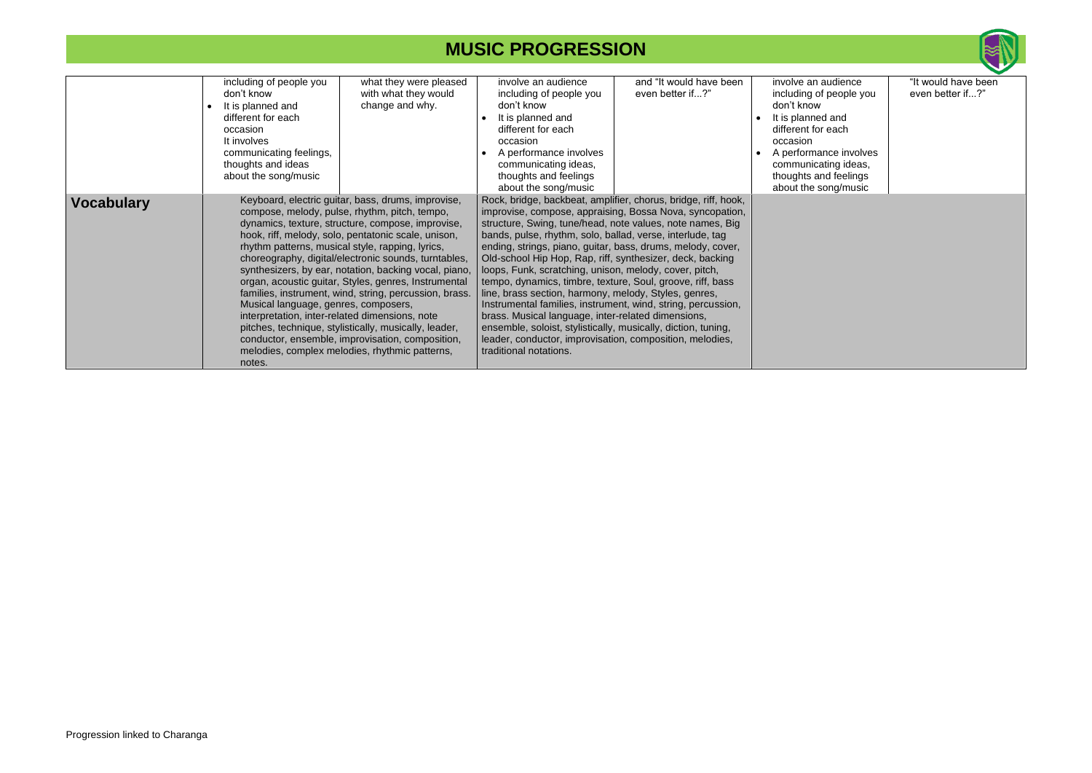"It would have been even better if...?"

|                   | including of people you<br>don't know<br>It is planned and<br>different for each<br>occasion<br>It involves<br>communicating feelings,<br>thoughts and ideas<br>about the song/music                                                                                                                                                                                                                                                                                                                                                                                                                                                                                                                                                                            | what they were pleased<br>with what they would<br>change and why. | involve an audience<br>including of people you<br>don't know<br>It is planned and<br>different for each<br>occasion<br>A performance involves<br>communicating ideas,<br>thoughts and feelings<br>about the song/music                                                                                                                                                                                                                                                                                                                                                                                                                                                                                                                                                                                                                         | and "It would have been<br>even better if?" | involve an audience<br>including of people you<br>don't know<br>It is planned and<br>different for each<br>occasion<br>A performance involves<br>communicating ideas,<br>thoughts and feelings<br>about the song/music |
|-------------------|-----------------------------------------------------------------------------------------------------------------------------------------------------------------------------------------------------------------------------------------------------------------------------------------------------------------------------------------------------------------------------------------------------------------------------------------------------------------------------------------------------------------------------------------------------------------------------------------------------------------------------------------------------------------------------------------------------------------------------------------------------------------|-------------------------------------------------------------------|------------------------------------------------------------------------------------------------------------------------------------------------------------------------------------------------------------------------------------------------------------------------------------------------------------------------------------------------------------------------------------------------------------------------------------------------------------------------------------------------------------------------------------------------------------------------------------------------------------------------------------------------------------------------------------------------------------------------------------------------------------------------------------------------------------------------------------------------|---------------------------------------------|------------------------------------------------------------------------------------------------------------------------------------------------------------------------------------------------------------------------|
| <b>Vocabulary</b> | Keyboard, electric guitar, bass, drums, improvise,<br>compose, melody, pulse, rhythm, pitch, tempo,<br>dynamics, texture, structure, compose, improvise,<br>hook, riff, melody, solo, pentatonic scale, unison,<br>rhythm patterns, musical style, rapping, lyrics,<br>choreography, digital/electronic sounds, turntables,<br>synthesizers, by ear, notation, backing vocal, piano,<br>organ, acoustic guitar, Styles, genres, Instrumental<br>families, instrument, wind, string, percussion, brass.<br>Musical language, genres, composers,<br>interpretation, inter-related dimensions, note<br>pitches, technique, stylistically, musically, leader,<br>conductor, ensemble, improvisation, composition,<br>melodies, complex melodies, rhythmic patterns, |                                                                   | Rock, bridge, backbeat, amplifier, chorus, bridge, riff, hook,<br>improvise, compose, appraising, Bossa Nova, syncopation,<br>structure, Swing, tune/head, note values, note names, Big<br>bands, pulse, rhythm, solo, ballad, verse, interlude, tag<br>ending, strings, piano, guitar, bass, drums, melody, cover,<br>Old-school Hip Hop, Rap, riff, synthesizer, deck, backing<br>loops, Funk, scratching, unison, melody, cover, pitch,<br>tempo, dynamics, timbre, texture, Soul, groove, riff, bass<br>line, brass section, harmony, melody, Styles, genres,<br>Instrumental families, instrument, wind, string, percussion,<br>brass. Musical language, inter-related dimensions,<br>ensemble, soloist, stylistically, musically, diction, tuning,<br>leader, conductor, improvisation, composition, melodies,<br>traditional notations. |                                             |                                                                                                                                                                                                                        |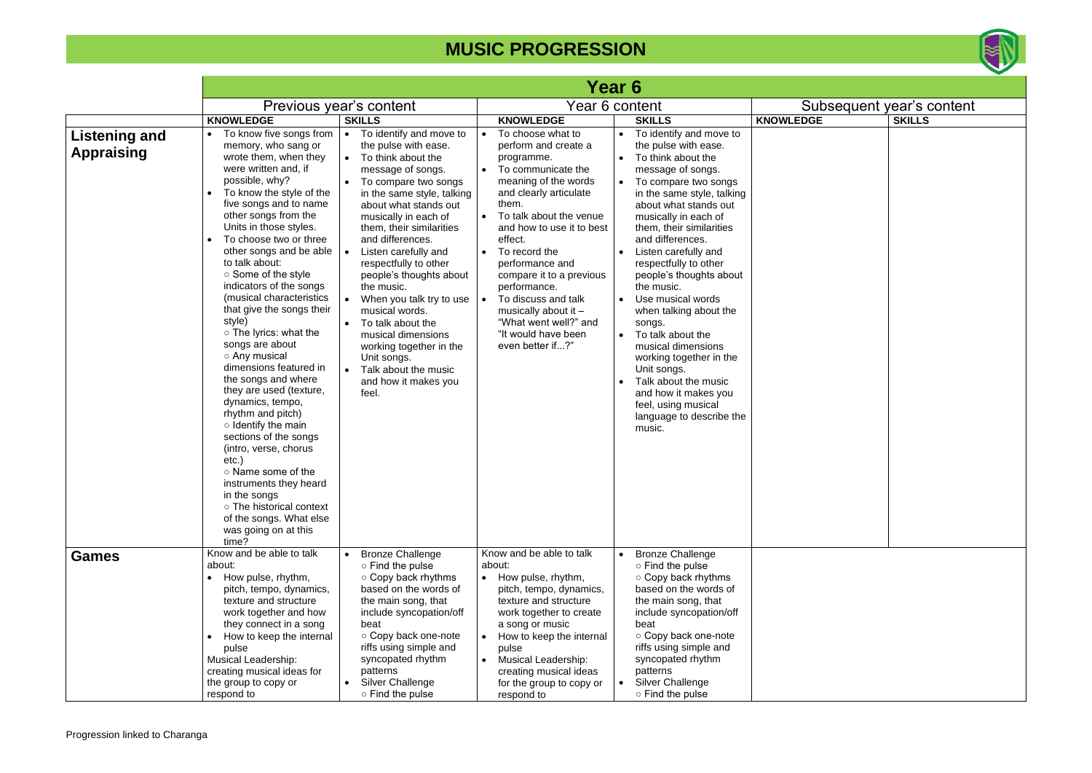

|                                           | Year 6                                                                                                                                                                                                                                                                                                                                                                                                                                                                                                                                                                                                                                                                                                                                                                                                                                                      |                                                                                                                                                                                                                                                                                                                                                                                                                                                                                                                                             |                                                                                                                                                                                                                                                                                                                                                                                                                                            |                                                                                                                                                                                                                                                                                                                                                                                                                                                                                                                                                                                                                                  |                           |               |
|-------------------------------------------|-------------------------------------------------------------------------------------------------------------------------------------------------------------------------------------------------------------------------------------------------------------------------------------------------------------------------------------------------------------------------------------------------------------------------------------------------------------------------------------------------------------------------------------------------------------------------------------------------------------------------------------------------------------------------------------------------------------------------------------------------------------------------------------------------------------------------------------------------------------|---------------------------------------------------------------------------------------------------------------------------------------------------------------------------------------------------------------------------------------------------------------------------------------------------------------------------------------------------------------------------------------------------------------------------------------------------------------------------------------------------------------------------------------------|--------------------------------------------------------------------------------------------------------------------------------------------------------------------------------------------------------------------------------------------------------------------------------------------------------------------------------------------------------------------------------------------------------------------------------------------|----------------------------------------------------------------------------------------------------------------------------------------------------------------------------------------------------------------------------------------------------------------------------------------------------------------------------------------------------------------------------------------------------------------------------------------------------------------------------------------------------------------------------------------------------------------------------------------------------------------------------------|---------------------------|---------------|
|                                           | Previous year's content                                                                                                                                                                                                                                                                                                                                                                                                                                                                                                                                                                                                                                                                                                                                                                                                                                     |                                                                                                                                                                                                                                                                                                                                                                                                                                                                                                                                             |                                                                                                                                                                                                                                                                                                                                                                                                                                            | Year 6 content                                                                                                                                                                                                                                                                                                                                                                                                                                                                                                                                                                                                                   | Subsequent year's content |               |
|                                           | <b>KNOWLEDGE</b>                                                                                                                                                                                                                                                                                                                                                                                                                                                                                                                                                                                                                                                                                                                                                                                                                                            | <b>SKILLS</b>                                                                                                                                                                                                                                                                                                                                                                                                                                                                                                                               | <b>KNOWLEDGE</b>                                                                                                                                                                                                                                                                                                                                                                                                                           | <b>SKILLS</b>                                                                                                                                                                                                                                                                                                                                                                                                                                                                                                                                                                                                                    | <b>KNOWLEDGE</b>          | <b>SKILLS</b> |
| <b>Listening and</b><br><b>Appraising</b> | To know five songs from<br>memory, who sang or<br>wrote them, when they<br>were written and, if<br>possible, why?<br>To know the style of the<br>five songs and to name<br>other songs from the<br>Units in those styles.<br>To choose two or three<br>other songs and be able<br>to talk about:<br>○ Some of the style<br>indicators of the songs<br>(musical characteristics<br>that give the songs their<br>style)<br>○ The lyrics: what the<br>songs are about<br>○ Any musical<br>dimensions featured in<br>the songs and where<br>they are used (texture,<br>dynamics, tempo,<br>rhythm and pitch)<br>$\circ$ Identify the main<br>sections of the songs<br>(intro, verse, chorus<br>$etc.$ )<br>○ Name some of the<br>instruments they heard<br>in the songs<br>o The historical context<br>of the songs. What else<br>was going on at this<br>time? | To identify and move to<br>the pulse with ease.<br>• To think about the<br>message of songs.<br>• To compare two songs<br>in the same style, talking<br>about what stands out<br>musically in each of<br>them, their similarities<br>and differences.<br>Listen carefully and<br>respectfully to other<br>people's thoughts about<br>the music.<br>When you talk try to use<br>musical words.<br>To talk about the<br>musical dimensions<br>working together in the<br>Unit songs.<br>Talk about the music<br>and how it makes you<br>feel. | To choose what to<br>perform and create a<br>programme.<br>To communicate the<br>$\bullet$<br>meaning of the words<br>and clearly articulate<br>them.<br>To talk about the venue<br>and how to use it to best<br>effect.<br>To record the<br>$\bullet$<br>performance and<br>compare it to a previous<br>performance.<br>To discuss and talk<br>musically about it $-$<br>"What went well?" and<br>"It would have been<br>even better if?" | To identify and move to<br>the pulse with ease.<br>To think about the<br>$\bullet$<br>message of songs.<br>To compare two songs<br>$\bullet$<br>in the same style, talking<br>about what stands out<br>musically in each of<br>them, their similarities<br>and differences.<br>Listen carefully and<br>respectfully to other<br>people's thoughts about<br>the music.<br>Use musical words<br>when talking about the<br>songs.<br>To talk about the<br>musical dimensions<br>working together in the<br>Unit songs.<br>Talk about the music<br>and how it makes you<br>feel, using musical<br>language to describe the<br>music. |                           |               |
| <b>Games</b>                              | Know and be able to talk<br>about:<br>How pulse, rhythm,<br>$\bullet$<br>pitch, tempo, dynamics,<br>texture and structure<br>work together and how<br>they connect in a song<br>How to keep the internal<br>pulse<br><b>Musical Leadership:</b><br>creating musical ideas for<br>the group to copy or<br>respond to                                                                                                                                                                                                                                                                                                                                                                                                                                                                                                                                         | <b>Bronze Challenge</b><br>○ Find the pulse<br>○ Copy back rhythms<br>based on the words of<br>the main song, that<br>include syncopation/off<br>beat<br>○ Copy back one-note<br>riffs using simple and<br>syncopated rhythm<br>patterns<br><b>Silver Challenge</b><br>○ Find the pulse                                                                                                                                                                                                                                                     | Know and be able to talk<br>about:<br>How pulse, rhythm,<br>$\bullet$<br>pitch, tempo, dynamics,<br>texture and structure<br>work together to create<br>a song or music<br>How to keep the internal<br>pulse<br><b>Musical Leadership:</b><br>$\bullet$<br>creating musical ideas<br>for the group to copy or<br>respond to                                                                                                                | <b>Bronze Challenge</b><br>$\circ$ Find the pulse<br>○ Copy back rhythms<br>based on the words of<br>the main song, that<br>include syncopation/off<br>beat<br>○ Copy back one-note<br>riffs using simple and<br>syncopated rhythm<br>patterns<br><b>Silver Challenge</b><br>$\circ$ Find the pulse                                                                                                                                                                                                                                                                                                                              |                           |               |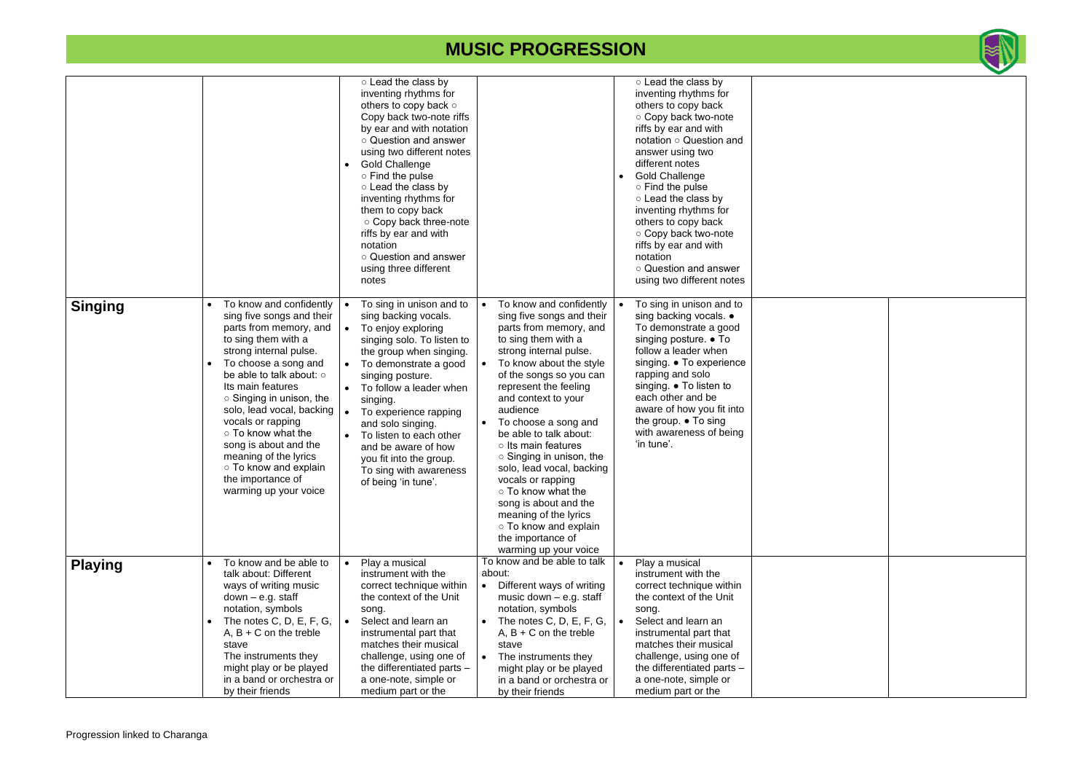



|                |                                                                                                                                                                                                                                                                                                                                                                                                                                                                       | ○ Lead the class by<br>inventing rhythms for<br>others to copy back $\circ$<br>Copy back two-note riffs<br>by ear and with notation<br>○ Question and answer<br>using two different notes<br><b>Gold Challenge</b><br>$\bullet$<br>○ Find the pulse<br>o Lead the class by<br>inventing rhythms for<br>them to copy back<br>○ Copy back three-note<br>riffs by ear and with<br>notation<br>○ Question and answer<br>using three different<br>notes               |                                                                                                                                                                                                                                                                                                                                                                                                                                                                                                                                                                                               | $\circ$ Lead the class by<br>inventing rhythms for<br>others to copy back<br>○ Copy back two-note<br>riffs by ear and with<br>notation ○ Question and<br>answer using two<br>different notes<br><b>Gold Challenge</b><br>○ Find the pulse<br>o Lead the class by<br>inventing rhythms for<br>others to copy back<br>○ Copy back two-note<br>riffs by ear and with<br>notation<br>○ Question and answer<br>using two different notes |
|----------------|-----------------------------------------------------------------------------------------------------------------------------------------------------------------------------------------------------------------------------------------------------------------------------------------------------------------------------------------------------------------------------------------------------------------------------------------------------------------------|------------------------------------------------------------------------------------------------------------------------------------------------------------------------------------------------------------------------------------------------------------------------------------------------------------------------------------------------------------------------------------------------------------------------------------------------------------------|-----------------------------------------------------------------------------------------------------------------------------------------------------------------------------------------------------------------------------------------------------------------------------------------------------------------------------------------------------------------------------------------------------------------------------------------------------------------------------------------------------------------------------------------------------------------------------------------------|-------------------------------------------------------------------------------------------------------------------------------------------------------------------------------------------------------------------------------------------------------------------------------------------------------------------------------------------------------------------------------------------------------------------------------------|
| <b>Singing</b> | To know and confidently<br>$\bullet$<br>sing five songs and their<br>parts from memory, and<br>to sing them with a<br>strong internal pulse.<br>To choose a song and<br>$\bullet$<br>be able to talk about: o<br>Its main features<br>$\circ$ Singing in unison, the<br>solo, lead vocal, backing<br>vocals or rapping<br>○ To know what the<br>song is about and the<br>meaning of the lyrics<br>o To know and explain<br>the importance of<br>warming up your voice | To sing in unison and to<br>$\bullet$<br>sing backing vocals.<br>To enjoy exploring<br>$\bullet$<br>singing solo. To listen to<br>the group when singing.<br>To demonstrate a good<br>$\bullet$<br>singing posture.<br>To follow a leader when<br>singing.<br>To experience rapping<br>$\bullet$<br>and solo singing.<br>To listen to each other<br>$\bullet$<br>and be aware of how<br>you fit into the group.<br>To sing with awareness<br>of being 'in tune'. | To know and confidently<br>$\bullet$<br>sing five songs and their<br>parts from memory, and<br>to sing them with a<br>strong internal pulse.<br>To know about the style<br>of the songs so you can<br>represent the feeling<br>and context to your<br>audience<br>To choose a song and<br>$\bullet$<br>be able to talk about:<br>$\circ$ Its main features<br>$\circ$ Singing in unison, the<br>solo, lead vocal, backing<br>vocals or rapping<br>○ To know what the<br>song is about and the<br>meaning of the lyrics<br>○ To know and explain<br>the importance of<br>warming up your voice | To sing in unison and to<br>sing backing vocals. •<br>To demonstrate a good<br>singing posture. • To<br>follow a leader when<br>singing. • To experience<br>rapping and solo<br>singing. $\bullet$ To listen to<br>each other and be<br>aware of how you fit into<br>the group. • To sing<br>with awareness of being<br>'in tune'.                                                                                                  |
| <b>Playing</b> | To know and be able to<br>$\bullet$<br>talk about: Different<br>ways of writing music<br>$down - e.g.$ staff<br>notation, symbols<br>The notes C, D, E, F, G,<br>$\bullet$<br>$A, B + C$ on the treble<br>stave<br>The instruments they<br>might play or be played<br>in a band or orchestra or<br>by their friends                                                                                                                                                   | Play a musical<br>$\bullet$<br>instrument with the<br>correct technique within<br>the context of the Unit<br>song.<br>Select and learn an<br>$\bullet$<br>instrumental part that<br>matches their musical<br>challenge, using one of<br>the differentiated parts $-$<br>a one-note, simple or<br>medium part or the                                                                                                                                              | To know and be able to talk<br>about:<br>Different ways of writing<br>$\bullet$<br>music down - e.g. staff<br>notation, symbols<br>The notes C, D, E, F, G,<br>$\bullet$<br>$A, B + C$ on the treble<br>stave<br>The instruments they<br>might play or be played<br>in a band or orchestra or<br>by their friends                                                                                                                                                                                                                                                                             | Play a musical<br>$\bullet$<br>instrument with the<br>correct technique within<br>the context of the Unit<br>song.<br>Select and learn an<br>$\bullet$<br>instrumental part that<br>matches their musical<br>challenge, using one of<br>the differentiated parts -<br>a one-note, simple or<br>medium part or the                                                                                                                   |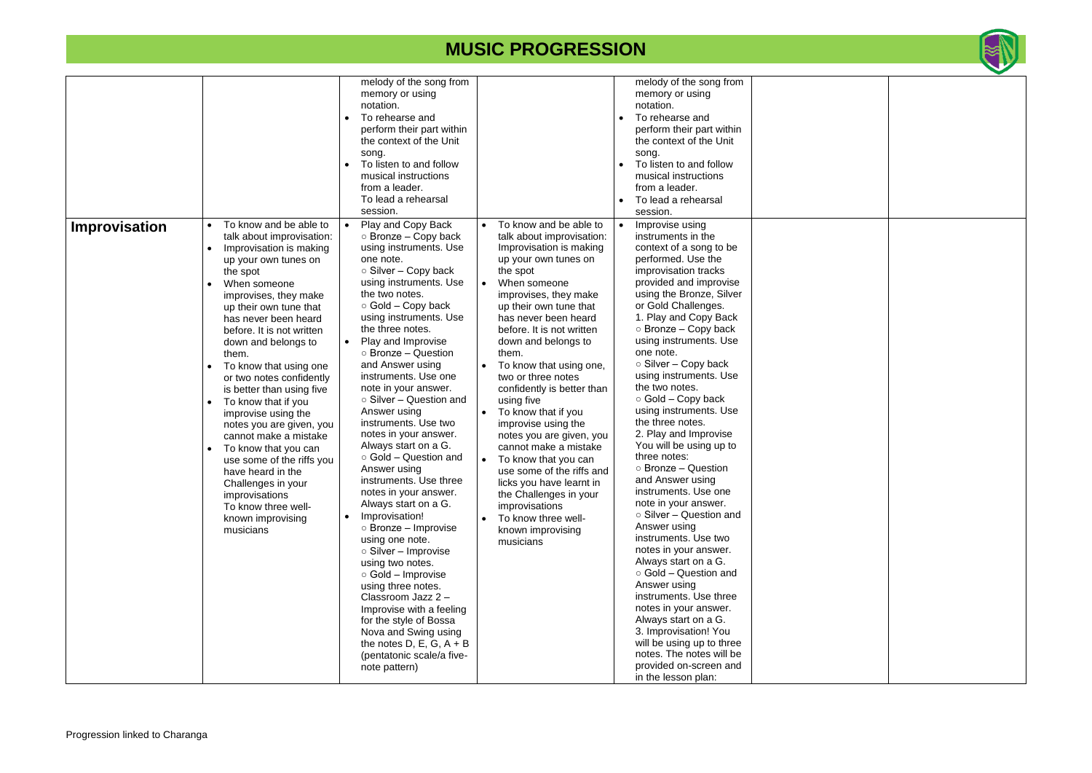

|               |                                                                                                                                                                                                                                                                                                                                                                                                                                                                                                                                                                                                                                                                                                 | melody of the song from<br>melody of the song from<br>memory or using<br>memory or using<br>notation.<br>notation.<br>To rehearse and<br>To rehearse and<br>$\bullet$<br>perform their part within<br>perform their part within<br>the context of the Unit<br>the context of the Unit<br>song.<br>song.<br>To listen to and follow<br>To listen to and follow<br>$\bullet$<br>musical instructions<br>musical instructions<br>from a leader.<br>from a leader.<br>To lead a rehearsal<br>To lead a rehearsal<br>session.<br>session.                                                                                                                                                                                                                                                                                                                                                                                                                                                                                                                                                                                                                                                                                                                                                                                                                                                                                                                                                                                                                                                                                                                                                                                                                                                                                                                                                                                                                                                                                                                                                                                                                                                                                                                                                                                                                                                                                                                                                                                                                                                                                                                                                            |  |
|---------------|-------------------------------------------------------------------------------------------------------------------------------------------------------------------------------------------------------------------------------------------------------------------------------------------------------------------------------------------------------------------------------------------------------------------------------------------------------------------------------------------------------------------------------------------------------------------------------------------------------------------------------------------------------------------------------------------------|-------------------------------------------------------------------------------------------------------------------------------------------------------------------------------------------------------------------------------------------------------------------------------------------------------------------------------------------------------------------------------------------------------------------------------------------------------------------------------------------------------------------------------------------------------------------------------------------------------------------------------------------------------------------------------------------------------------------------------------------------------------------------------------------------------------------------------------------------------------------------------------------------------------------------------------------------------------------------------------------------------------------------------------------------------------------------------------------------------------------------------------------------------------------------------------------------------------------------------------------------------------------------------------------------------------------------------------------------------------------------------------------------------------------------------------------------------------------------------------------------------------------------------------------------------------------------------------------------------------------------------------------------------------------------------------------------------------------------------------------------------------------------------------------------------------------------------------------------------------------------------------------------------------------------------------------------------------------------------------------------------------------------------------------------------------------------------------------------------------------------------------------------------------------------------------------------------------------------------------------------------------------------------------------------------------------------------------------------------------------------------------------------------------------------------------------------------------------------------------------------------------------------------------------------------------------------------------------------------------------------------------------------------------------------------------------------|--|
| Improvisation | To know and be able to<br>$\bullet$<br>talk about improvisation:<br>Improvisation is making<br>$\bullet$<br>up your own tunes on<br>the spot<br>When someone<br>improvises, they make<br>up their own tune that<br>has never been heard<br>before. It is not written<br>down and belongs to<br>them.<br>To know that using one<br>or two notes confidently<br>is better than using five<br>To know that if you<br>$\bullet$<br>improvise using the<br>notes you are given, you<br>cannot make a mistake<br>To know that you can<br>$\bullet$<br>use some of the riffs you<br>have heard in the<br>Challenges in your<br>improvisations<br>To know three well-<br>known improvising<br>musicians | Play and Copy Back<br>To know and be able to<br>Improvise using<br>$\bullet$<br>$\circ$ Bronze – Copy back<br>talk about improvisation:<br>instruments in the<br>using instruments. Use<br>context of a song to be<br>Improvisation is making<br>performed. Use the<br>one note.<br>up your own tunes on<br>$\circ$ Silver – Copy back<br>improvisation tracks<br>the spot<br>provided and improvise<br>using instruments. Use<br>When someone<br>$\bullet$<br>using the Bronze, Silver<br>the two notes.<br>improvises, they make<br>$\circ$ Gold – Copy back<br>or Gold Challenges.<br>up their own tune that<br>1. Play and Copy Back<br>using instruments. Use<br>has never been heard<br>the three notes.<br>$\circ$ Bronze – Copy back<br>before. It is not written<br>using instruments. Use<br>Play and Improvise<br>down and belongs to<br>$\bullet$<br>one note.<br>○ Bronze – Question<br>them.<br>$\circ$ Silver – Copy back<br>and Answer using<br>To know that using one,<br>using instruments. Use<br>instruments. Use one<br>two or three notes<br>the two notes.<br>note in your answer.<br>confidently is better than<br>$\circ$ Gold – Copy back<br>$\circ$ Silver – Question and<br>using five<br>using instruments. Use<br>Answer using<br>To know that if you<br>the three notes.<br>instruments. Use two<br>improvise using the<br>2. Play and Improvise<br>notes in your answer.<br>notes you are given, you<br>You will be using up to<br>Always start on a G.<br>cannot make a mistake<br>○ Gold – Question and<br>three notes:<br>To know that you can<br>$\bullet$<br>$\circ$ Bronze – Question<br>Answer using<br>use some of the riffs and<br>and Answer using<br>instruments. Use three<br>licks you have learnt in<br>instruments. Use one<br>notes in your answer.<br>the Challenges in your<br>note in your answer.<br>Always start on a G.<br>improvisations<br>$\circ$ Silver – Question and<br>Improvisation!<br>To know three well-<br>Answer using<br>$\circ$ Bronze – Improvise<br>known improvising<br>instruments. Use two<br>using one note.<br>musicians<br>notes in your answer.<br>$\circ$ Silver – Improvise<br>Always start on a G.<br>using two notes.<br>○ Gold - Question and<br>$\circ$ Gold – Improvise<br>Answer using<br>using three notes.<br>instruments. Use three<br>Classroom Jazz 2-<br>notes in your answer.<br>Improvise with a feeling<br>Always start on a G.<br>for the style of Bossa<br>3. Improvisation! You<br>Nova and Swing using<br>will be using up to three<br>the notes $D, E, G, A + B$<br>notes. The notes will be<br>(pentatonic scale/a five-<br>provided on-screen and<br>note pattern)<br>in the lesson plan: |  |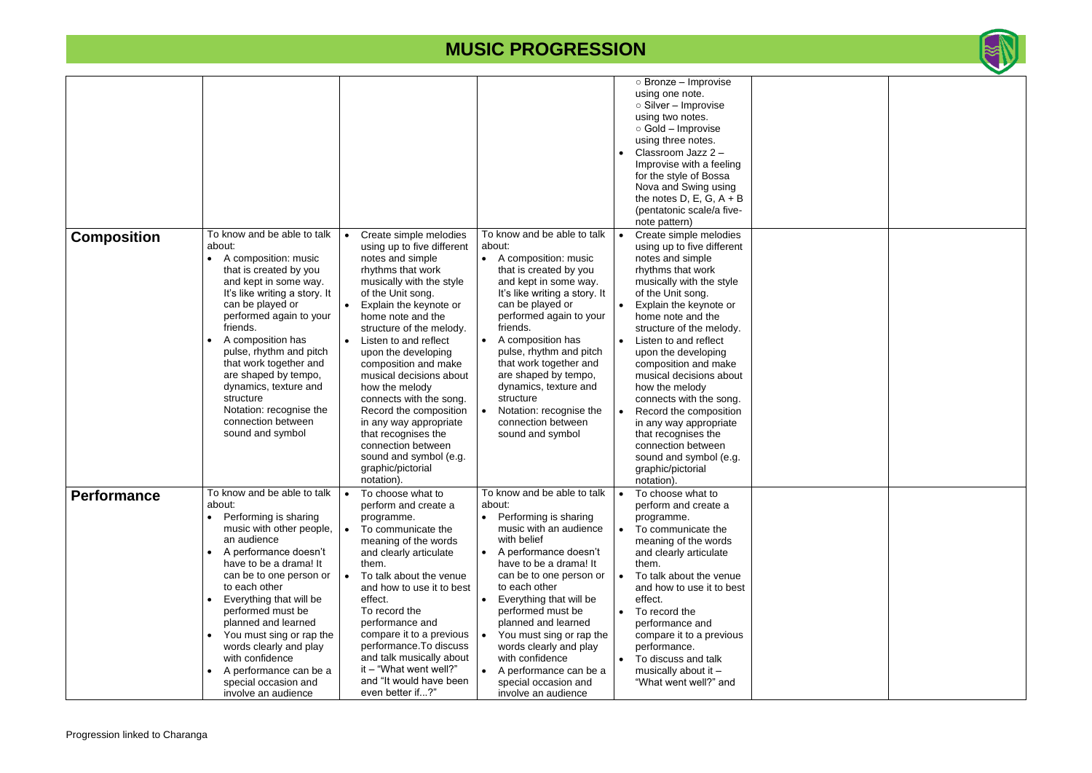

|                    |                                                                                                                                                                                                                                                                                                                                                                                                                                                                          |                                                                                                                                                                                                                                                                                                                                                                                                                                                                                                                                                                                                                                                                                                                                                                                                                                                                                                                                                                                                                          | $\circ$ Bronze – Improvise<br>using one note.<br>$\circ$ Silver – Improvise<br>using two notes.<br>$\circ$ Gold – Improvise<br>using three notes.<br>Classroom Jazz 2-<br>$\bullet$<br>Improvise with a feeling                                                                                                                                                                                                                                                                                                                                                                             |
|--------------------|--------------------------------------------------------------------------------------------------------------------------------------------------------------------------------------------------------------------------------------------------------------------------------------------------------------------------------------------------------------------------------------------------------------------------------------------------------------------------|--------------------------------------------------------------------------------------------------------------------------------------------------------------------------------------------------------------------------------------------------------------------------------------------------------------------------------------------------------------------------------------------------------------------------------------------------------------------------------------------------------------------------------------------------------------------------------------------------------------------------------------------------------------------------------------------------------------------------------------------------------------------------------------------------------------------------------------------------------------------------------------------------------------------------------------------------------------------------------------------------------------------------|---------------------------------------------------------------------------------------------------------------------------------------------------------------------------------------------------------------------------------------------------------------------------------------------------------------------------------------------------------------------------------------------------------------------------------------------------------------------------------------------------------------------------------------------------------------------------------------------|
|                    |                                                                                                                                                                                                                                                                                                                                                                                                                                                                          |                                                                                                                                                                                                                                                                                                                                                                                                                                                                                                                                                                                                                                                                                                                                                                                                                                                                                                                                                                                                                          | for the style of Bossa<br>Nova and Swing using<br>the notes $D, E, G, A + B$<br>(pentatonic scale/a five-<br>note pattern)                                                                                                                                                                                                                                                                                                                                                                                                                                                                  |
| <b>Composition</b> | To know and be able to talk<br>about:<br>A composition: music<br>$\bullet$<br>that is created by you<br>and kept in some way.<br>It's like writing a story. It<br>can be played or<br>performed again to your<br>friends.<br>A composition has<br>pulse, rhythm and pitch<br>that work together and<br>are shaped by tempo,<br>dynamics, texture and<br>structure<br>Notation: recognise the<br>connection between<br>sound and symbol                                   | To know and be able to talk<br>Create simple melodies<br>using up to five different<br>about:<br>notes and simple<br>A composition: music<br>$\bullet$<br>rhythms that work<br>that is created by you<br>musically with the style<br>and kept in some way.<br>of the Unit song.<br>It's like writing a story. It<br>can be played or<br>Explain the keynote or<br>$\bullet$<br>performed again to your<br>home note and the<br>friends.<br>structure of the melody.<br>A composition has<br>Listen to and reflect<br>$\bullet$<br>pulse, rhythm and pitch<br>upon the developing<br>that work together and<br>composition and make<br>are shaped by tempo,<br>musical decisions about<br>dynamics, texture and<br>how the melody<br>structure<br>connects with the song.<br>Record the composition<br>Notation: recognise the<br>$\bullet$<br>connection between<br>in any way appropriate<br>that recognises the<br>sound and symbol<br>connection between<br>sound and symbol (e.g.<br>graphic/pictorial<br>notation). | Create simple melodies<br>$\bullet$<br>using up to five different<br>notes and simple<br>rhythms that work<br>musically with the style<br>of the Unit song.<br>Explain the keynote or<br>$\bullet$<br>home note and the<br>structure of the melody.<br>Listen to and reflect<br>$\bullet$<br>upon the developing<br>composition and make<br>musical decisions about<br>how the melody<br>connects with the song.<br>Record the composition<br>$\bullet$<br>in any way appropriate<br>that recognises the<br>connection between<br>sound and symbol (e.g.<br>graphic/pictorial<br>notation). |
| <b>Performance</b> | To know and be able to talk<br>about:<br>Performing is sharing<br>$\bullet$<br>music with other people,<br>an audience<br>A performance doesn't<br>$\bullet$<br>have to be a drama! It<br>can be to one person or<br>to each other<br>Everything that will be<br>performed must be<br>planned and learned<br>You must sing or rap the<br>$\bullet$<br>words clearly and play<br>with confidence<br>A performance can be a<br>special occasion and<br>involve an audience | To know and be able to talk<br>To choose what to<br>about:<br>perform and create a<br>Performing is sharing<br>programme.<br>$\bullet$<br>music with an audience<br>To communicate the<br>with belief<br>meaning of the words<br>A performance doesn't<br>and clearly articulate<br>$\bullet$<br>them.<br>have to be a drama! It<br>can be to one person or<br>To talk about the venue<br>to each other<br>and how to use it to best<br>effect.<br>Everything that will be<br>To record the<br>performed must be<br>performance and<br>planned and learned<br>compare it to a previous<br>You must sing or rap the<br>performance. To discuss<br>words clearly and play<br>and talk musically about<br>with confidence<br>it – "What went well?"<br>A performance can be a<br>and "It would have been<br>special occasion and<br>even better if?"<br>involve an audience                                                                                                                                                 | To choose what to<br>perform and create a<br>programme.<br>To communicate the<br>$\bullet$<br>meaning of the words<br>and clearly articulate<br>them.<br>To talk about the venue<br>$\bullet$<br>and how to use it to best<br>effect.<br>To record the<br>$\bullet$<br>performance and<br>compare it to a previous<br>performance.<br>To discuss and talk<br>musically about it $-$<br>"What went well?" and                                                                                                                                                                                |